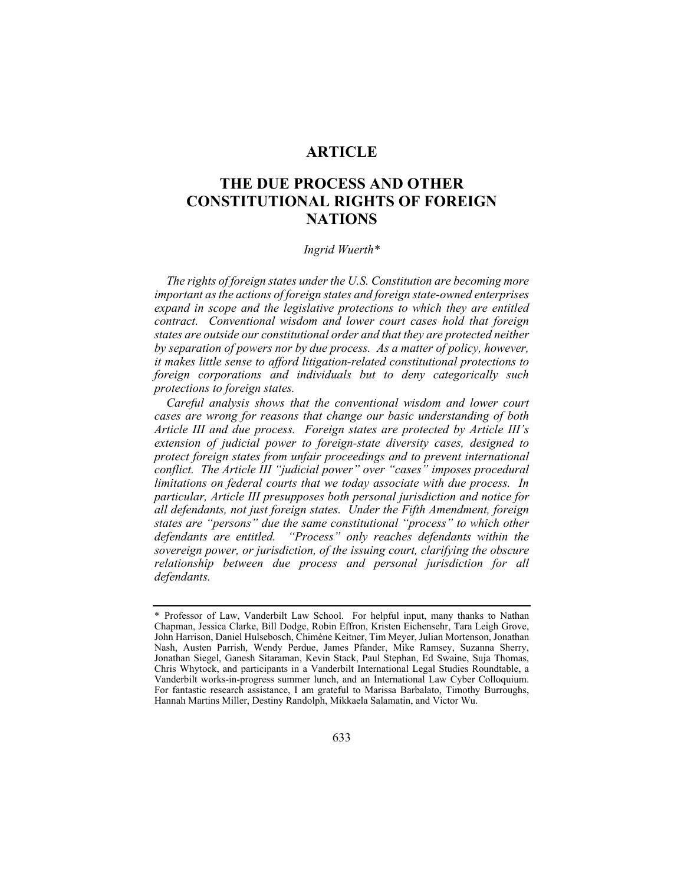## **ARTICLE**

# **THE DUE PROCESS AND OTHER CONSTITUTIONAL RIGHTS OF FOREIGN NATIONS**

#### *Ingrid Wuerth\**

*The rights of foreign states under the U.S. Constitution are becoming more important as the actions of foreign states and foreign state-owned enterprises expand in scope and the legislative protections to which they are entitled contract. Conventional wisdom and lower court cases hold that foreign states are outside our constitutional order and that they are protected neither by separation of powers nor by due process. As a matter of policy, however, it makes little sense to afford litigation-related constitutional protections to foreign corporations and individuals but to deny categorically such protections to foreign states.* 

*Careful analysis shows that the conventional wisdom and lower court cases are wrong for reasons that change our basic understanding of both Article III and due process. Foreign states are protected by Article III's extension of judicial power to foreign-state diversity cases, designed to protect foreign states from unfair proceedings and to prevent international conflict. The Article III "judicial power" over "cases" imposes procedural limitations on federal courts that we today associate with due process. In particular, Article III presupposes both personal jurisdiction and notice for all defendants, not just foreign states. Under the Fifth Amendment, foreign states are "persons" due the same constitutional "process" to which other defendants are entitled. "Process" only reaches defendants within the sovereign power, or jurisdiction, of the issuing court, clarifying the obscure relationship between due process and personal jurisdiction for all defendants.* 

<sup>\*</sup> Professor of Law, Vanderbilt Law School. For helpful input, many thanks to Nathan Chapman, Jessica Clarke, Bill Dodge, Robin Effron, Kristen Eichensehr, Tara Leigh Grove, John Harrison, Daniel Hulsebosch, Chimène Keitner, Tim Meyer, Julian Mortenson, Jonathan Nash, Austen Parrish, Wendy Perdue, James Pfander, Mike Ramsey, Suzanna Sherry, Jonathan Siegel, Ganesh Sitaraman, Kevin Stack, Paul Stephan, Ed Swaine, Suja Thomas, Chris Whytock, and participants in a Vanderbilt International Legal Studies Roundtable, a Vanderbilt works-in-progress summer lunch, and an International Law Cyber Colloquium. For fantastic research assistance, I am grateful to Marissa Barbalato, Timothy Burroughs, Hannah Martins Miller, Destiny Randolph, Mikkaela Salamatin, and Victor Wu.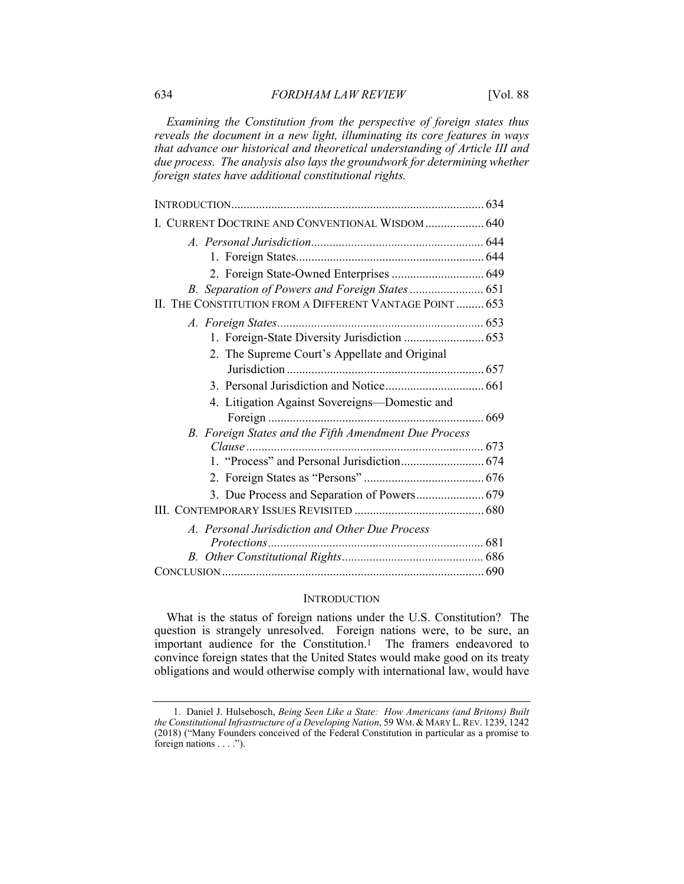*Examining the Constitution from the perspective of foreign states thus reveals the document in a new light, illuminating its core features in ways that advance our historical and theoretical understanding of Article III and due process. The analysis also lays the groundwork for determining whether foreign states have additional constitutional rights.* 

| I. CURRENT DOCTRINE AND CONVENTIONAL WISDOM 640          |  |
|----------------------------------------------------------|--|
|                                                          |  |
|                                                          |  |
| 2. Foreign State-Owned Enterprises  649                  |  |
|                                                          |  |
| II. THE CONSTITUTION FROM A DIFFERENT VANTAGE POINT  653 |  |
|                                                          |  |
|                                                          |  |
| 2. The Supreme Court's Appellate and Original            |  |
|                                                          |  |
|                                                          |  |
| 4. Litigation Against Sovereigns—Domestic and            |  |
|                                                          |  |
| B. Foreign States and the Fifth Amendment Due Process    |  |
|                                                          |  |
|                                                          |  |
|                                                          |  |
| 3. Due Process and Separation of Powers 679              |  |
|                                                          |  |
| A. Personal Jurisdiction and Other Due Process           |  |
|                                                          |  |
|                                                          |  |
|                                                          |  |

## **INTRODUCTION**

What is the status of foreign nations under the U.S. Constitution? The question is strangely unresolved. Foreign nations were, to be sure, an important audience for the Constitution.1 The framers endeavored to convince foreign states that the United States would make good on its treaty obligations and would otherwise comply with international law, would have

 <sup>1.</sup> Daniel J. Hulsebosch, *Being Seen Like a State: How Americans (and Britons) Built the Constitutional Infrastructure of a Developing Nation*, 59 WM.& MARY L.REV. 1239, 1242 (2018) ("Many Founders conceived of the Federal Constitution in particular as a promise to foreign nations . . . .").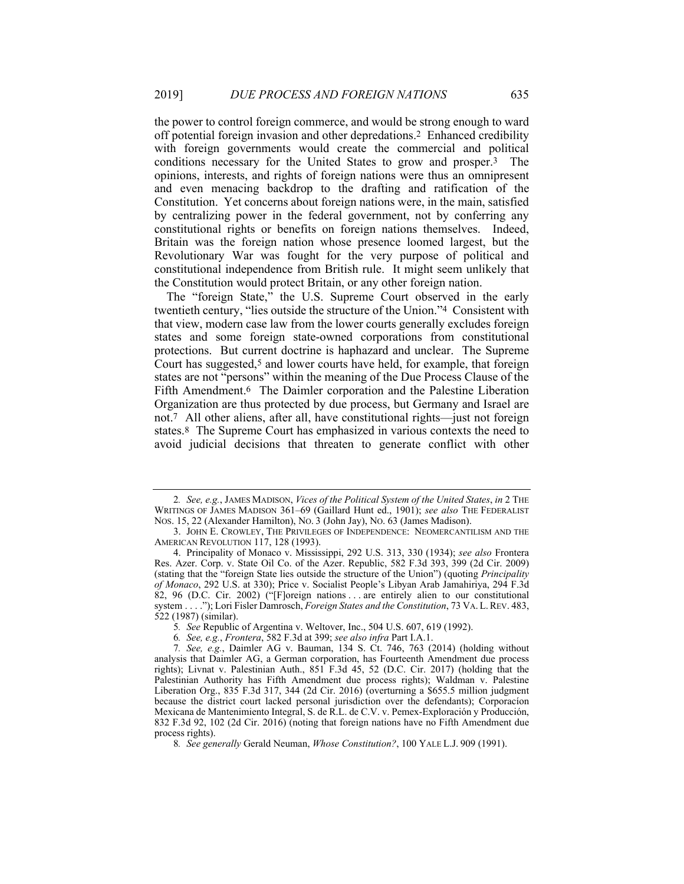the power to control foreign commerce, and would be strong enough to ward off potential foreign invasion and other depredations.2 Enhanced credibility with foreign governments would create the commercial and political conditions necessary for the United States to grow and prosper.3 The opinions, interests, and rights of foreign nations were thus an omnipresent and even menacing backdrop to the drafting and ratification of the Constitution. Yet concerns about foreign nations were, in the main, satisfied by centralizing power in the federal government, not by conferring any constitutional rights or benefits on foreign nations themselves. Indeed, Britain was the foreign nation whose presence loomed largest, but the Revolutionary War was fought for the very purpose of political and constitutional independence from British rule. It might seem unlikely that the Constitution would protect Britain, or any other foreign nation.

The "foreign State," the U.S. Supreme Court observed in the early twentieth century, "lies outside the structure of the Union."4 Consistent with that view, modern case law from the lower courts generally excludes foreign states and some foreign state-owned corporations from constitutional protections. But current doctrine is haphazard and unclear. The Supreme Court has suggested,<sup>5</sup> and lower courts have held, for example, that foreign states are not "persons" within the meaning of the Due Process Clause of the Fifth Amendment.<sup>6</sup> The Daimler corporation and the Palestine Liberation Organization are thus protected by due process, but Germany and Israel are not.7 All other aliens, after all, have constitutional rights—just not foreign states.8 The Supreme Court has emphasized in various contexts the need to avoid judicial decisions that threaten to generate conflict with other

<sup>2</sup>*. See, e.g.*, JAMES MADISON, *Vices of the Political System of the United States*, *in* 2 THE WRITINGS OF JAMES MADISON 361–69 (Gaillard Hunt ed., 1901); *see also* THE FEDERALIST NOS. 15, 22 (Alexander Hamilton), NO. 3 (John Jay), NO. 63 (James Madison).

 <sup>3.</sup> JOHN E. CROWLEY, THE PRIVILEGES OF INDEPENDENCE: NEOMERCANTILISM AND THE AMERICAN REVOLUTION 117, 128 (1993).

 <sup>4.</sup> Principality of Monaco v. Mississippi, 292 U.S. 313, 330 (1934); *see also* Frontera Res. Azer. Corp. v. State Oil Co. of the Azer. Republic, 582 F.3d 393, 399 (2d Cir. 2009) (stating that the "foreign State lies outside the structure of the Union") (quoting *Principality of Monaco*, 292 U.S. at 330); Price v. Socialist People's Libyan Arab Jamahiriya, 294 F.3d 82, 96 (D.C. Cir. 2002) ("[F]oreign nations . . . are entirely alien to our constitutional system . . . ."); Lori Fisler Damrosch, *Foreign States and the Constitution*, 73 VA. L. REV. 483, 522 (1987) (similar).

<sup>5</sup>*. See* Republic of Argentina v. Weltover, Inc., 504 U.S. 607, 619 (1992).

<sup>6</sup>*. See, e.g.*, *Frontera*, 582 F.3d at 399; *see also infra* Part I.A.1.

<sup>7</sup>*. See, e.g.*, Daimler AG v. Bauman, 134 S. Ct. 746, 763 (2014) (holding without analysis that Daimler AG, a German corporation, has Fourteenth Amendment due process rights); Livnat v. Palestinian Auth., 851 F.3d 45, 52 (D.C. Cir. 2017) (holding that the Palestinian Authority has Fifth Amendment due process rights); Waldman v. Palestine Liberation Org., 835 F.3d 317, 344 (2d Cir. 2016) (overturning a \$655.5 million judgment because the district court lacked personal jurisdiction over the defendants); Corporacíon Mexicana de Mantenimiento Integral, S. de R.L. de C.V. v. Pemex-Exploración y Producción, 832 F.3d 92, 102 (2d Cir. 2016) (noting that foreign nations have no Fifth Amendment due process rights).

<sup>8</sup>*. See generally* Gerald Neuman, *Whose Constitution?*, 100 YALE L.J. 909 (1991).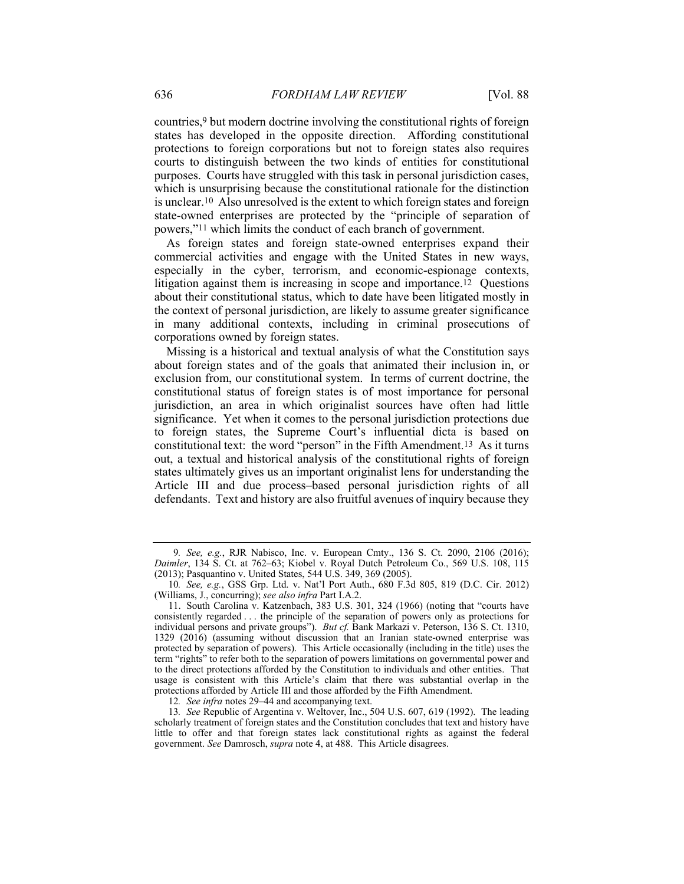countries,9 but modern doctrine involving the constitutional rights of foreign states has developed in the opposite direction. Affording constitutional protections to foreign corporations but not to foreign states also requires courts to distinguish between the two kinds of entities for constitutional purposes. Courts have struggled with this task in personal jurisdiction cases, which is unsurprising because the constitutional rationale for the distinction is unclear.10 Also unresolved is the extent to which foreign states and foreign state-owned enterprises are protected by the "principle of separation of powers,"11 which limits the conduct of each branch of government.

As foreign states and foreign state-owned enterprises expand their commercial activities and engage with the United States in new ways, especially in the cyber, terrorism, and economic-espionage contexts, litigation against them is increasing in scope and importance.12 Questions about their constitutional status, which to date have been litigated mostly in the context of personal jurisdiction, are likely to assume greater significance in many additional contexts, including in criminal prosecutions of corporations owned by foreign states.

Missing is a historical and textual analysis of what the Constitution says about foreign states and of the goals that animated their inclusion in, or exclusion from, our constitutional system. In terms of current doctrine, the constitutional status of foreign states is of most importance for personal jurisdiction, an area in which originalist sources have often had little significance. Yet when it comes to the personal jurisdiction protections due to foreign states, the Supreme Court's influential dicta is based on constitutional text: the word "person" in the Fifth Amendment.13 As it turns out, a textual and historical analysis of the constitutional rights of foreign states ultimately gives us an important originalist lens for understanding the Article III and due process–based personal jurisdiction rights of all defendants. Text and history are also fruitful avenues of inquiry because they

<sup>9</sup>*. See, e.g.*, RJR Nabisco, Inc. v. European Cmty., 136 S. Ct. 2090, 2106 (2016); *Daimler*, 134 S. Ct. at 762–63; Kiobel v. Royal Dutch Petroleum Co., 569 U.S. 108, 115 (2013); Pasquantino v. United States, 544 U.S. 349, 369 (2005).

<sup>10</sup>*. See, e.g.*, GSS Grp. Ltd. v. Nat'l Port Auth., 680 F.3d 805, 819 (D.C. Cir. 2012) (Williams, J., concurring); *see also infra* Part I.A.2.

 <sup>11.</sup> South Carolina v. Katzenbach, 383 U.S. 301, 324 (1966) (noting that "courts have consistently regarded . . . the principle of the separation of powers only as protections for individual persons and private groups"). *But cf.* Bank Markazi v. Peterson, 136 S. Ct. 1310, 1329 (2016) (assuming without discussion that an Iranian state-owned enterprise was protected by separation of powers). This Article occasionally (including in the title) uses the term "rights" to refer both to the separation of powers limitations on governmental power and to the direct protections afforded by the Constitution to individuals and other entities. That usage is consistent with this Article's claim that there was substantial overlap in the protections afforded by Article III and those afforded by the Fifth Amendment.

<sup>12</sup>*. See infra* notes 29–44 and accompanying text.

<sup>13</sup>*. See* Republic of Argentina v. Weltover, Inc., 504 U.S. 607, 619 (1992). The leading scholarly treatment of foreign states and the Constitution concludes that text and history have little to offer and that foreign states lack constitutional rights as against the federal government. *See* Damrosch, *supra* note 4, at 488. This Article disagrees.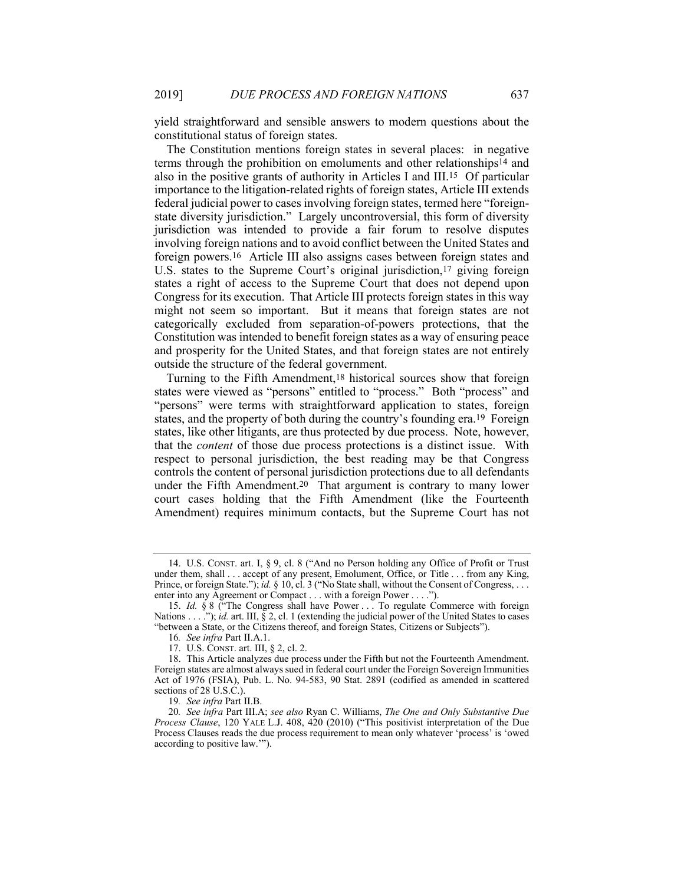yield straightforward and sensible answers to modern questions about the constitutional status of foreign states.

The Constitution mentions foreign states in several places: in negative terms through the prohibition on emoluments and other relationships14 and also in the positive grants of authority in Articles I and III.15 Of particular importance to the litigation-related rights of foreign states, Article III extends federal judicial power to cases involving foreign states, termed here "foreignstate diversity jurisdiction." Largely uncontroversial, this form of diversity jurisdiction was intended to provide a fair forum to resolve disputes involving foreign nations and to avoid conflict between the United States and foreign powers.16 Article III also assigns cases between foreign states and U.S. states to the Supreme Court's original jurisdiction,<sup>17</sup> giving foreign states a right of access to the Supreme Court that does not depend upon Congress for its execution. That Article III protects foreign states in this way might not seem so important. But it means that foreign states are not categorically excluded from separation-of-powers protections, that the Constitution was intended to benefit foreign states as a way of ensuring peace and prosperity for the United States, and that foreign states are not entirely outside the structure of the federal government.

Turning to the Fifth Amendment,18 historical sources show that foreign states were viewed as "persons" entitled to "process." Both "process" and "persons" were terms with straightforward application to states, foreign states, and the property of both during the country's founding era.19 Foreign states, like other litigants, are thus protected by due process. Note, however, that the *content* of those due process protections is a distinct issue. With respect to personal jurisdiction, the best reading may be that Congress controls the content of personal jurisdiction protections due to all defendants under the Fifth Amendment.20 That argument is contrary to many lower court cases holding that the Fifth Amendment (like the Fourteenth Amendment) requires minimum contacts, but the Supreme Court has not

 <sup>14.</sup> U.S. CONST. art. I, § 9, cl. 8 ("And no Person holding any Office of Profit or Trust under them, shall . . . accept of any present, Emolument, Office, or Title . . . from any King, Prince, or foreign State."); *id.* § 10, cl. 3 ("No State shall, without the Consent of Congress, . . . enter into any Agreement or Compact . . . with a foreign Power . . . .").

 <sup>15.</sup> *Id.* § 8 ("The Congress shall have Power . . . To regulate Commerce with foreign Nations . . . ."); *id.* art. III, § 2, cl. 1 (extending the judicial power of the United States to cases "between a State, or the Citizens thereof, and foreign States, Citizens or Subjects").

<sup>16</sup>*. See infra* Part II.A.1.

 <sup>17.</sup> U.S. CONST. art. III, § 2, cl. 2.

 <sup>18.</sup> This Article analyzes due process under the Fifth but not the Fourteenth Amendment. Foreign states are almost always sued in federal court under the Foreign Sovereign Immunities Act of 1976 (FSIA), Pub. L. No. 94-583, 90 Stat. 2891 (codified as amended in scattered sections of 28 U.S.C.).

<sup>19</sup>*. See infra* Part II.B.

<sup>20</sup>*. See infra* Part III.A; *see also* Ryan C. Williams, *The One and Only Substantive Due Process Clause*, 120 YALE L.J. 408, 420 (2010) ("This positivist interpretation of the Due Process Clauses reads the due process requirement to mean only whatever 'process' is 'owed according to positive law.'").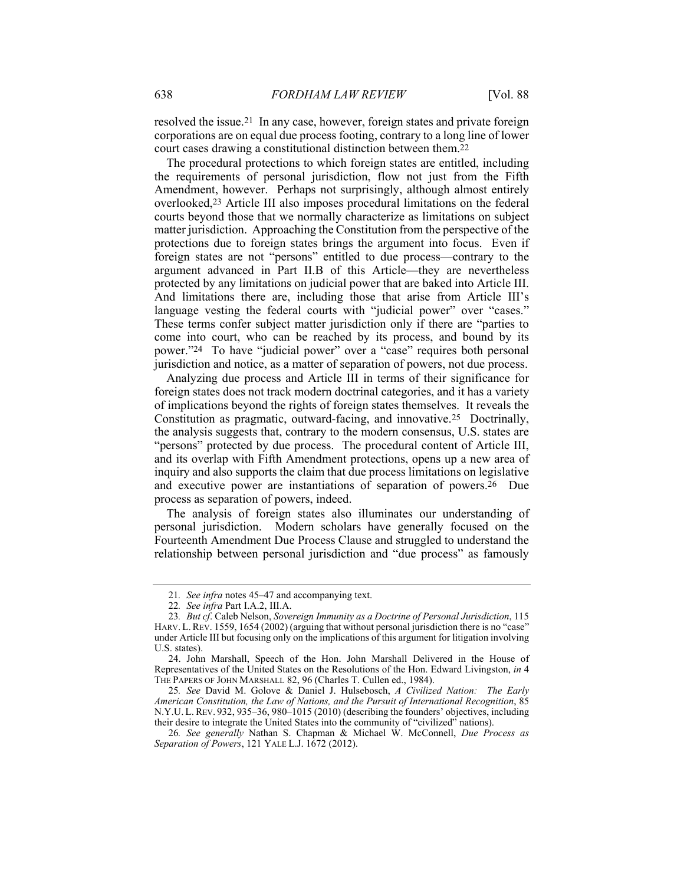resolved the issue.21 In any case, however, foreign states and private foreign corporations are on equal due process footing, contrary to a long line of lower court cases drawing a constitutional distinction between them.22

The procedural protections to which foreign states are entitled, including the requirements of personal jurisdiction, flow not just from the Fifth Amendment, however. Perhaps not surprisingly, although almost entirely overlooked,23 Article III also imposes procedural limitations on the federal courts beyond those that we normally characterize as limitations on subject matter jurisdiction. Approaching the Constitution from the perspective of the protections due to foreign states brings the argument into focus. Even if foreign states are not "persons" entitled to due process—contrary to the argument advanced in Part II.B of this Article—they are nevertheless protected by any limitations on judicial power that are baked into Article III. And limitations there are, including those that arise from Article III's language vesting the federal courts with "judicial power" over "cases." These terms confer subject matter jurisdiction only if there are "parties to come into court, who can be reached by its process, and bound by its power."24 To have "judicial power" over a "case" requires both personal jurisdiction and notice, as a matter of separation of powers, not due process.

Analyzing due process and Article III in terms of their significance for foreign states does not track modern doctrinal categories, and it has a variety of implications beyond the rights of foreign states themselves. It reveals the Constitution as pragmatic, outward-facing, and innovative.25 Doctrinally, the analysis suggests that, contrary to the modern consensus, U.S. states are "persons" protected by due process. The procedural content of Article III, and its overlap with Fifth Amendment protections, opens up a new area of inquiry and also supports the claim that due process limitations on legislative and executive power are instantiations of separation of powers.26 Due process as separation of powers, indeed.

The analysis of foreign states also illuminates our understanding of personal jurisdiction. Modern scholars have generally focused on the Fourteenth Amendment Due Process Clause and struggled to understand the relationship between personal jurisdiction and "due process" as famously

25*. See* David M. Golove & Daniel J. Hulsebosch, *A Civilized Nation: The Early American Constitution, the Law of Nations, and the Pursuit of International Recognition*, 85 N.Y.U. L. REV. 932, 935–36, 980–1015 (2010) (describing the founders' objectives, including their desire to integrate the United States into the community of "civilized" nations).

<sup>21</sup>*. See infra* notes 45–47 and accompanying text.

<sup>22</sup>*. See infra* Part I.A.2, III.A.

<sup>23</sup>*. But cf*. Caleb Nelson, *Sovereign Immunity as a Doctrine of Personal Jurisdiction*, 115 HARV. L. REV. 1559, 1654 (2002) (arguing that without personal jurisdiction there is no "case" under Article III but focusing only on the implications of this argument for litigation involving U.S. states).

 <sup>24.</sup> John Marshall, Speech of the Hon. John Marshall Delivered in the House of Representatives of the United States on the Resolutions of the Hon. Edward Livingston, *in* 4 THE PAPERS OF JOHN MARSHALL 82, 96 (Charles T. Cullen ed., 1984).

<sup>26</sup>*. See generally* Nathan S. Chapman & Michael W. McConnell, *Due Process as Separation of Powers*, 121 YALE L.J. 1672 (2012).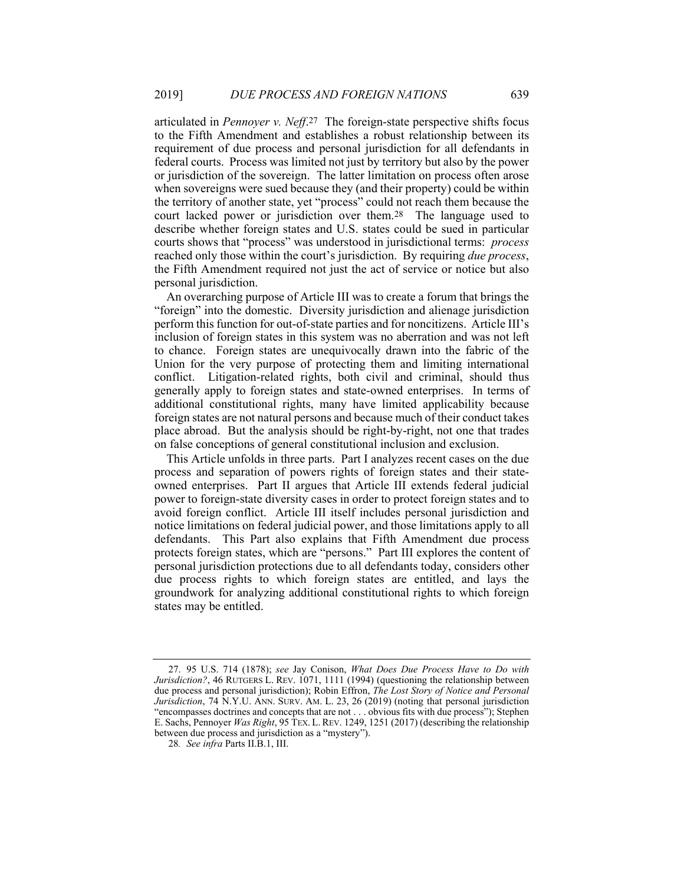articulated in *Pennoyer v. Neff*.27 The foreign-state perspective shifts focus to the Fifth Amendment and establishes a robust relationship between its requirement of due process and personal jurisdiction for all defendants in federal courts. Process was limited not just by territory but also by the power or jurisdiction of the sovereign. The latter limitation on process often arose when sovereigns were sued because they (and their property) could be within the territory of another state, yet "process" could not reach them because the court lacked power or jurisdiction over them.28 The language used to describe whether foreign states and U.S. states could be sued in particular courts shows that "process" was understood in jurisdictional terms: *process* reached only those within the court's jurisdiction. By requiring *due process*, the Fifth Amendment required not just the act of service or notice but also personal jurisdiction.

An overarching purpose of Article III was to create a forum that brings the "foreign" into the domestic. Diversity jurisdiction and alienage jurisdiction perform this function for out-of-state parties and for noncitizens. Article III's inclusion of foreign states in this system was no aberration and was not left to chance. Foreign states are unequivocally drawn into the fabric of the Union for the very purpose of protecting them and limiting international conflict. Litigation-related rights, both civil and criminal, should thus generally apply to foreign states and state-owned enterprises. In terms of additional constitutional rights, many have limited applicability because foreign states are not natural persons and because much of their conduct takes place abroad. But the analysis should be right-by-right, not one that trades on false conceptions of general constitutional inclusion and exclusion.

This Article unfolds in three parts. Part I analyzes recent cases on the due process and separation of powers rights of foreign states and their stateowned enterprises. Part II argues that Article III extends federal judicial power to foreign-state diversity cases in order to protect foreign states and to avoid foreign conflict. Article III itself includes personal jurisdiction and notice limitations on federal judicial power, and those limitations apply to all defendants. This Part also explains that Fifth Amendment due process protects foreign states, which are "persons." Part III explores the content of personal jurisdiction protections due to all defendants today, considers other due process rights to which foreign states are entitled, and lays the groundwork for analyzing additional constitutional rights to which foreign states may be entitled.

 <sup>27. 95</sup> U.S. 714 (1878); *see* Jay Conison, *What Does Due Process Have to Do with Jurisdiction?*, 46 RUTGERS L. REV. 1071, 1111 (1994) (questioning the relationship between due process and personal jurisdiction); Robin Effron, *The Lost Story of Notice and Personal Jurisdiction*, 74 N.Y.U. ANN. SURV. AM. L. 23, 26 (2019) (noting that personal jurisdiction "encompasses doctrines and concepts that are not . . . obvious fits with due process"); Stephen E. Sachs, Pennoyer *Was Right*, 95 TEX. L.REV. 1249, 1251 (2017) (describing the relationship between due process and jurisdiction as a "mystery").

<sup>28</sup>*. See infra* Parts II.B.1, III.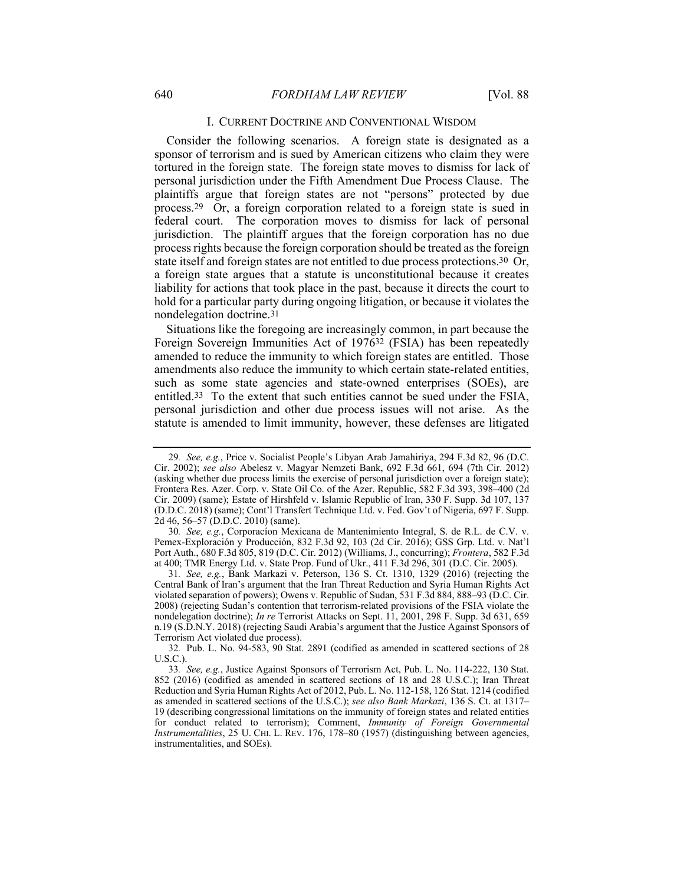#### I. CURRENT DOCTRINE AND CONVENTIONAL WISDOM

Consider the following scenarios. A foreign state is designated as a sponsor of terrorism and is sued by American citizens who claim they were tortured in the foreign state. The foreign state moves to dismiss for lack of personal jurisdiction under the Fifth Amendment Due Process Clause. The plaintiffs argue that foreign states are not "persons" protected by due process.29 Or, a foreign corporation related to a foreign state is sued in federal court. The corporation moves to dismiss for lack of personal jurisdiction. The plaintiff argues that the foreign corporation has no due process rights because the foreign corporation should be treated as the foreign state itself and foreign states are not entitled to due process protections.30 Or, a foreign state argues that a statute is unconstitutional because it creates liability for actions that took place in the past, because it directs the court to hold for a particular party during ongoing litigation, or because it violates the nondelegation doctrine.31

Situations like the foregoing are increasingly common, in part because the Foreign Sovereign Immunities Act of 197632 (FSIA) has been repeatedly amended to reduce the immunity to which foreign states are entitled. Those amendments also reduce the immunity to which certain state-related entities, such as some state agencies and state-owned enterprises (SOEs), are entitled.33 To the extent that such entities cannot be sued under the FSIA, personal jurisdiction and other due process issues will not arise. As the statute is amended to limit immunity, however, these defenses are litigated

<sup>29</sup>*. See, e.g.*, Price v. Socialist People's Libyan Arab Jamahiriya, 294 F.3d 82, 96 (D.C. Cir. 2002); *see also* Abelesz v. Magyar Nemzeti Bank, 692 F.3d 661, 694 (7th Cir. 2012) (asking whether due process limits the exercise of personal jurisdiction over a foreign state); Frontera Res. Azer. Corp. v. State Oil Co. of the Azer. Republic, 582 F.3d 393, 398–400 (2d Cir. 2009) (same); Estate of Hirshfeld v. Islamic Republic of Iran, 330 F. Supp. 3d 107, 137 (D.D.C. 2018) (same); Cont'l Transfert Technique Ltd. v. Fed. Gov't of Nigeria, 697 F. Supp. 2d 46, 56–57 (D.D.C. 2010) (same).

<sup>30</sup>*. See, e.g.*, Corporacíon Mexicana de Mantenimiento Integral, S. de R.L. de C.V. v. Pemex-Exploración y Producción, 832 F.3d 92, 103 (2d Cir. 2016); GSS Grp. Ltd. v. Nat'l Port Auth., 680 F.3d 805, 819 (D.C. Cir. 2012) (Williams, J., concurring); *Frontera*, 582 F.3d at 400; TMR Energy Ltd. v. State Prop. Fund of Ukr., 411 F.3d 296, 301 (D.C. Cir. 2005).

<sup>31</sup>*. See, e.g.*, Bank Markazi v. Peterson, 136 S. Ct. 1310, 1329 (2016) (rejecting the Central Bank of Iran's argument that the Iran Threat Reduction and Syria Human Rights Act violated separation of powers); Owens v. Republic of Sudan, 531 F.3d 884, 888–93 (D.C. Cir. 2008) (rejecting Sudan's contention that terrorism-related provisions of the FSIA violate the nondelegation doctrine); *In re* Terrorist Attacks on Sept. 11, 2001, 298 F. Supp. 3d 631, 659 n.19 (S.D.N.Y. 2018) (rejecting Saudi Arabia's argument that the Justice Against Sponsors of Terrorism Act violated due process).

<sup>32</sup>*.* Pub. L. No. 94-583, 90 Stat. 2891 (codified as amended in scattered sections of 28 U.S.C.).

<sup>33</sup>*. See, e.g.*, Justice Against Sponsors of Terrorism Act, Pub. L. No. 114-222, 130 Stat. 852 (2016) (codified as amended in scattered sections of 18 and 28 U.S.C.); Iran Threat Reduction and Syria Human Rights Act of 2012, Pub. L. No. 112-158, 126 Stat. 1214 (codified as amended in scattered sections of the U.S.C.); *see also Bank Markazi*, 136 S. Ct. at 1317– 19 (describing congressional limitations on the immunity of foreign states and related entities for conduct related to terrorism); Comment, *Immunity of Foreign Governmental Instrumentalities*, 25 U. CHI. L. REV. 176, 178–80 (1957) (distinguishing between agencies, instrumentalities, and SOEs).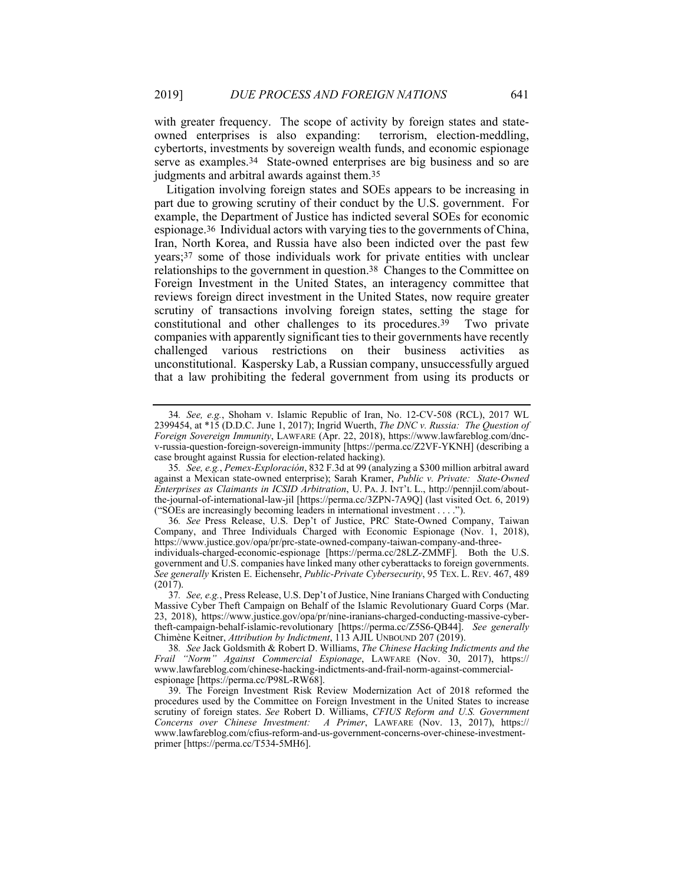with greater frequency. The scope of activity by foreign states and stateowned enterprises is also expanding: terrorism, election-meddling, cybertorts, investments by sovereign wealth funds, and economic espionage serve as examples.34 State-owned enterprises are big business and so are judgments and arbitral awards against them.35

Litigation involving foreign states and SOEs appears to be increasing in part due to growing scrutiny of their conduct by the U.S. government. For example, the Department of Justice has indicted several SOEs for economic espionage.36 Individual actors with varying ties to the governments of China, Iran, North Korea, and Russia have also been indicted over the past few years;37 some of those individuals work for private entities with unclear relationships to the government in question.38 Changes to the Committee on Foreign Investment in the United States, an interagency committee that reviews foreign direct investment in the United States, now require greater scrutiny of transactions involving foreign states, setting the stage for constitutional and other challenges to its procedures.39 Two private companies with apparently significant ties to their governments have recently challenged various restrictions on their business activities as unconstitutional. Kaspersky Lab, a Russian company, unsuccessfully argued that a law prohibiting the federal government from using its products or

36*. See* Press Release, U.S. Dep't of Justice, PRC State-Owned Company, Taiwan Company, and Three Individuals Charged with Economic Espionage (Nov. 1, 2018), https://www.justice.gov/opa/pr/prc-state-owned-company-taiwan-company-and-threeindividuals-charged-economic-espionage [https://perma.cc/28LZ-ZMMF]. Both the U.S. government and U.S. companies have linked many other cyberattacks to foreign governments. *See generally* Kristen E. Eichensehr, *Public-Private Cybersecurity*, 95 TEX. L. REV. 467, 489

<sup>34</sup>*. See, e.g.*, Shoham v. Islamic Republic of Iran, No. 12-CV-508 (RCL), 2017 WL 2399454, at \*15 (D.D.C. June 1, 2017); Ingrid Wuerth, *The DNC v. Russia: The Question of Foreign Sovereign Immunity*, LAWFARE (Apr. 22, 2018), https://www.lawfareblog.com/dncv-russia-question-foreign-sovereign-immunity [https://perma.cc/Z2VF-YKNH] (describing a case brought against Russia for election-related hacking).

<sup>35</sup>*. See, e.g.*, *Pemex-Exploración*, 832 F.3d at 99 (analyzing a \$300 million arbitral award against a Mexican state-owned enterprise); Sarah Kramer, *Public v. Private: State-Owned Enterprises as Claimants in ICSID Arbitration*, U. PA. J. INT'L L., http://pennjil.com/aboutthe-journal-of-international-law-jil [https://perma.cc/3ZPN-7A9Q] (last visited Oct. 6, 2019) ("SOEs are increasingly becoming leaders in international investment . . . .").

<sup>(2017).</sup>  37*. See, e.g.*, Press Release, U.S. Dep't of Justice, Nine Iranians Charged with Conducting Massive Cyber Theft Campaign on Behalf of the Islamic Revolutionary Guard Corps (Mar. 23, 2018), https://www.justice.gov/opa/pr/nine-iranians-charged-conducting-massive-cybertheft-campaign-behalf-islamic-revolutionary [https://perma.cc/Z5S6-QB44]. *See generally* Chimène Keitner, *Attribution by Indictment*, 113 AJIL UNBOUND 207 (2019).

<sup>38</sup>*. See* Jack Goldsmith & Robert D. Williams, *The Chinese Hacking Indictments and the Frail "Norm" Against Commercial Espionage*, LAWFARE (Nov. 30, 2017), https:// www.lawfareblog.com/chinese-hacking-indictments-and-frail-norm-against-commercialespionage [https://perma.cc/P98L-RW68].

 <sup>39.</sup> The Foreign Investment Risk Review Modernization Act of 2018 reformed the procedures used by the Committee on Foreign Investment in the United States to increase scrutiny of foreign states. *See* Robert D. Williams, *CFIUS Reform and U.S. Government Concerns over Chinese Investment: A Primer*, LAWFARE (Nov. 13, 2017), https:// www.lawfareblog.com/cfius-reform-and-us-government-concerns-over-chinese-investmentprimer [https://perma.cc/T534-5MH6].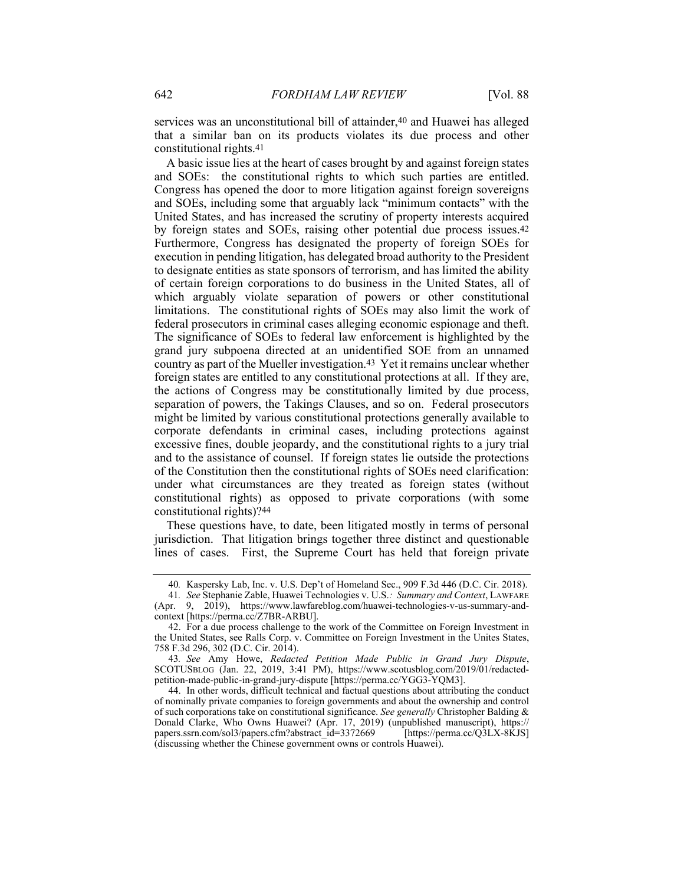services was an unconstitutional bill of attainder,<sup>40</sup> and Huawei has alleged that a similar ban on its products violates its due process and other constitutional rights.41

A basic issue lies at the heart of cases brought by and against foreign states and SOEs: the constitutional rights to which such parties are entitled. Congress has opened the door to more litigation against foreign sovereigns and SOEs, including some that arguably lack "minimum contacts" with the United States, and has increased the scrutiny of property interests acquired by foreign states and SOEs, raising other potential due process issues.42 Furthermore, Congress has designated the property of foreign SOEs for execution in pending litigation, has delegated broad authority to the President to designate entities as state sponsors of terrorism, and has limited the ability of certain foreign corporations to do business in the United States, all of which arguably violate separation of powers or other constitutional limitations. The constitutional rights of SOEs may also limit the work of federal prosecutors in criminal cases alleging economic espionage and theft. The significance of SOEs to federal law enforcement is highlighted by the grand jury subpoena directed at an unidentified SOE from an unnamed country as part of the Mueller investigation.43 Yet it remains unclear whether foreign states are entitled to any constitutional protections at all. If they are, the actions of Congress may be constitutionally limited by due process, separation of powers, the Takings Clauses, and so on. Federal prosecutors might be limited by various constitutional protections generally available to corporate defendants in criminal cases, including protections against excessive fines, double jeopardy, and the constitutional rights to a jury trial and to the assistance of counsel. If foreign states lie outside the protections of the Constitution then the constitutional rights of SOEs need clarification: under what circumstances are they treated as foreign states (without constitutional rights) as opposed to private corporations (with some constitutional rights)?44

These questions have, to date, been litigated mostly in terms of personal jurisdiction. That litigation brings together three distinct and questionable lines of cases. First, the Supreme Court has held that foreign private

 44. In other words, difficult technical and factual questions about attributing the conduct of nominally private companies to foreign governments and about the ownership and control of such corporations take on constitutional significance. *See generally* Christopher Balding & Donald Clarke, Who Owns Huawei? (Apr. 17, 2019) (unpublished manuscript), https:// papers.ssrn.com/sol3/papers.cfm?abstract\_id=3372669 [https://perma.cc/Q3LX-8KJS] (discussing whether the Chinese government owns or controls Huawei).

<sup>40</sup>*.* Kaspersky Lab, Inc. v. U.S. Dep't of Homeland Sec., 909 F.3d 446 (D.C. Cir. 2018).

<sup>41</sup>*. See* Stephanie Zable, Huawei Technologies v. U.S.*: Summary and Context*, LAWFARE (Apr. 9, 2019), https://www.lawfareblog.com/huawei-technologies-v-us-summary-andcontext [https://perma.cc/Z7BR-ARBU].

 <sup>42.</sup> For a due process challenge to the work of the Committee on Foreign Investment in the United States, see Ralls Corp. v. Committee on Foreign Investment in the Unites States, 758 F.3d 296, 302 (D.C. Cir. 2014).

<sup>43</sup>*. See* Amy Howe, *Redacted Petition Made Public in Grand Jury Dispute*, SCOTUSBLOG (Jan. 22, 2019, 3:41 PM), https://www.scotusblog.com/2019/01/redactedpetition-made-public-in-grand-jury-dispute [https://perma.cc/YGG3-YQM3].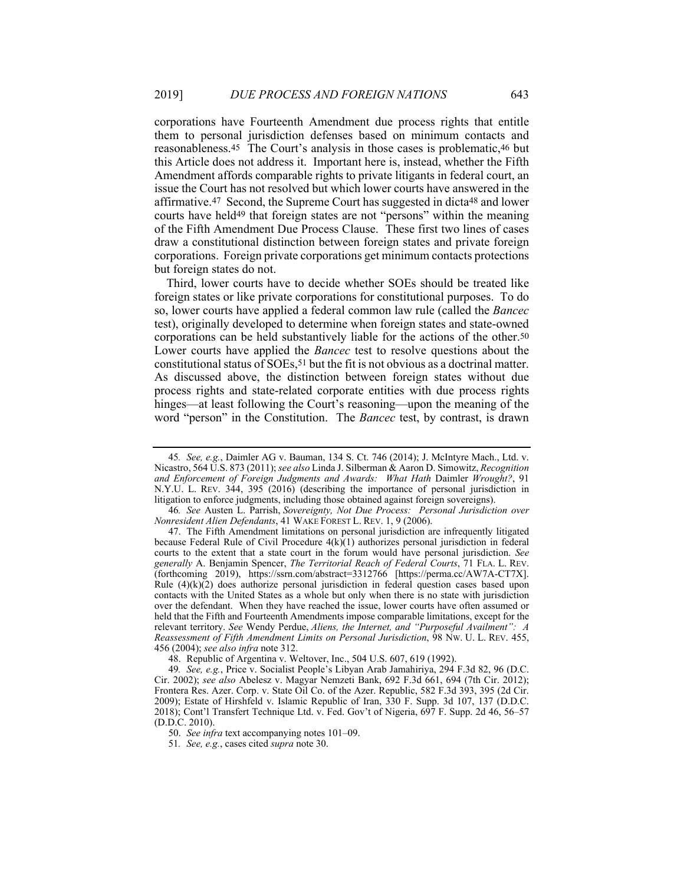corporations have Fourteenth Amendment due process rights that entitle them to personal jurisdiction defenses based on minimum contacts and reasonableness.45 The Court's analysis in those cases is problematic,46 but this Article does not address it. Important here is, instead, whether the Fifth Amendment affords comparable rights to private litigants in federal court, an issue the Court has not resolved but which lower courts have answered in the affirmative.47 Second, the Supreme Court has suggested in dicta48 and lower courts have held49 that foreign states are not "persons" within the meaning of the Fifth Amendment Due Process Clause. These first two lines of cases draw a constitutional distinction between foreign states and private foreign corporations. Foreign private corporations get minimum contacts protections but foreign states do not.

Third, lower courts have to decide whether SOEs should be treated like foreign states or like private corporations for constitutional purposes. To do so, lower courts have applied a federal common law rule (called the *Bancec* test), originally developed to determine when foreign states and state-owned corporations can be held substantively liable for the actions of the other.50 Lower courts have applied the *Bancec* test to resolve questions about the constitutional status of SOEs,51 but the fit is not obvious as a doctrinal matter. As discussed above, the distinction between foreign states without due process rights and state-related corporate entities with due process rights hinges—at least following the Court's reasoning—upon the meaning of the word "person" in the Constitution. The *Bancec* test, by contrast, is drawn

48. Republic of Argentina v. Weltover, Inc., 504 U.S. 607, 619 (1992).

<sup>45</sup>*. See, e.g.*, Daimler AG v. Bauman, 134 S. Ct. 746 (2014); J. McIntyre Mach., Ltd. v. Nicastro, 564 U.S. 873 (2011); *see also* Linda J. Silberman & Aaron D. Simowitz, *Recognition and Enforcement of Foreign Judgments and Awards: What Hath* Daimler *Wrought?*, 91 N.Y.U. L. REV. 344, 395 (2016) (describing the importance of personal jurisdiction in litigation to enforce judgments, including those obtained against foreign sovereigns).

<sup>46</sup>*. See* Austen L. Parrish, *Sovereignty, Not Due Process: Personal Jurisdiction over Nonresident Alien Defendants*, 41 WAKE FOREST L. REV. 1, 9 (2006).

 <sup>47.</sup> The Fifth Amendment limitations on personal jurisdiction are infrequently litigated because Federal Rule of Civil Procedure  $4(k)(1)$  authorizes personal jurisdiction in federal courts to the extent that a state court in the forum would have personal jurisdiction. *See generally* A. Benjamin Spencer, *The Territorial Reach of Federal Courts*, 71 FLA. L. REV. (forthcoming 2019), https://ssrn.com/abstract=3312766 [https://perma.cc/AW7A-CT7X]. Rule (4)(k)(2) does authorize personal jurisdiction in federal question cases based upon contacts with the United States as a whole but only when there is no state with jurisdiction over the defendant. When they have reached the issue, lower courts have often assumed or held that the Fifth and Fourteenth Amendments impose comparable limitations, except for the relevant territory. *See* Wendy Perdue, *Aliens, the Internet, and "Purposeful Availment": A Reassessment of Fifth Amendment Limits on Personal Jurisdiction*, 98 NW. U. L. REV. 455, 456 (2004); *see also infra* note 312.

<sup>49</sup>*. See, e.g.*, Price v. Socialist People's Libyan Arab Jamahiriya, 294 F.3d 82, 96 (D.C. Cir. 2002); *see also* Abelesz v. Magyar Nemzeti Bank, 692 F.3d 661, 694 (7th Cir. 2012); Frontera Res. Azer. Corp. v. State Oil Co. of the Azer. Republic, 582 F.3d 393, 395 (2d Cir. 2009); Estate of Hirshfeld v. Islamic Republic of Iran, 330 F. Supp. 3d 107, 137 (D.D.C. 2018); Cont'l Transfert Technique Ltd. v. Fed. Gov't of Nigeria, 697 F. Supp. 2d 46, 56–57 (D.D.C. 2010).

 <sup>50.</sup> *See infra* text accompanying notes 101–09.

<sup>51</sup>*. See, e.g.*, cases cited *supra* note 30.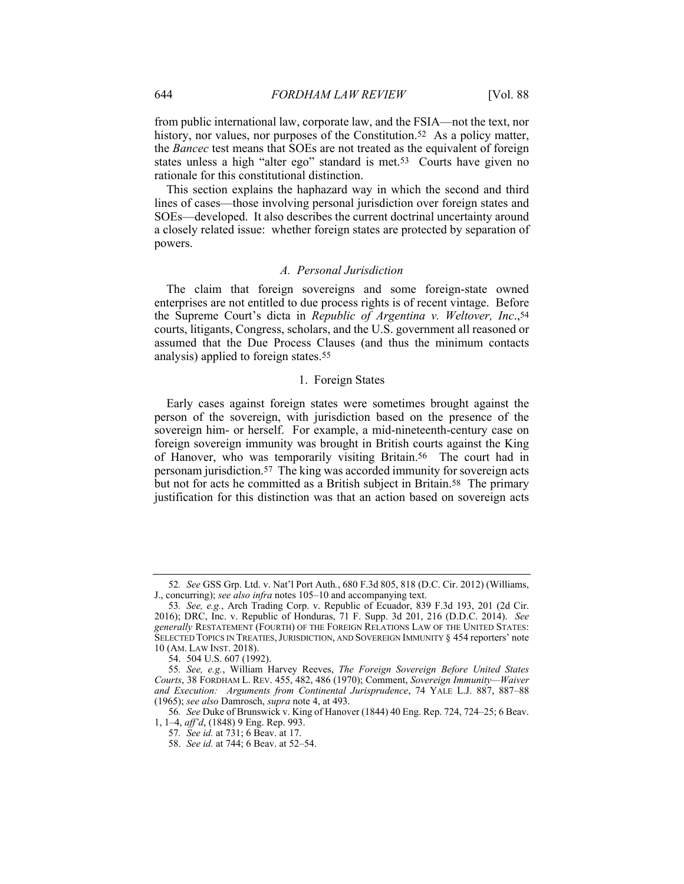from public international law, corporate law, and the FSIA—not the text, nor history, nor values, nor purposes of the Constitution.<sup>52</sup> As a policy matter, the *Bancec* test means that SOEs are not treated as the equivalent of foreign states unless a high "alter ego" standard is met.53 Courts have given no rationale for this constitutional distinction.

This section explains the haphazard way in which the second and third lines of cases—those involving personal jurisdiction over foreign states and SOEs—developed. It also describes the current doctrinal uncertainty around a closely related issue: whether foreign states are protected by separation of powers.

#### *A. Personal Jurisdiction*

The claim that foreign sovereigns and some foreign-state owned enterprises are not entitled to due process rights is of recent vintage. Before the Supreme Court's dicta in *Republic of Argentina v. Weltover, Inc*.,54 courts, litigants, Congress, scholars, and the U.S. government all reasoned or assumed that the Due Process Clauses (and thus the minimum contacts analysis) applied to foreign states.55

## 1. Foreign States

Early cases against foreign states were sometimes brought against the person of the sovereign, with jurisdiction based on the presence of the sovereign him- or herself. For example, a mid-nineteenth-century case on foreign sovereign immunity was brought in British courts against the King of Hanover, who was temporarily visiting Britain.56 The court had in personam jurisdiction.57 The king was accorded immunity for sovereign acts but not for acts he committed as a British subject in Britain.<sup>58</sup> The primary justification for this distinction was that an action based on sovereign acts

<sup>52</sup>*. See* GSS Grp. Ltd. v. Nat'l Port Auth*.*, 680 F.3d 805, 818 (D.C. Cir. 2012) (Williams, J., concurring); *see also infra* notes 105–10 and accompanying text.

<sup>53</sup>*. See, e.g.*, Arch Trading Corp. v. Republic of Ecuador, 839 F.3d 193, 201 (2d Cir. 2016); DRC, Inc. v. Republic of Honduras, 71 F. Supp. 3d 201, 216 (D.D.C. 2014). *See generally* RESTATEMENT (FOURTH) OF THE FOREIGN RELATIONS LAW OF THE UNITED STATES: SELECTED TOPICS IN TREATIES, JURISDICTION, AND SOVEREIGN IMMUNITY § 454 reporters' note 10 (AM. LAW INST. 2018).

 <sup>54. 504</sup> U.S. 607 (1992).

<sup>55</sup>*. See, e.g.*, William Harvey Reeves, *The Foreign Sovereign Before United States Courts*, 38 FORDHAM L. REV. 455, 482, 486 (1970); Comment, *Sovereign Immunity—Waiver and Execution: Arguments from Continental Jurisprudence*, 74 YALE L.J. 887, 887–88 (1965); *see also* Damrosch, *supra* note 4, at 493.

<sup>56</sup>*. See* Duke of Brunswick v. King of Hanover (1844) 40 Eng. Rep. 724, 724–25; 6 Beav. 1, 1–4, *aff'd*, (1848) 9 Eng. Rep. 993.

<sup>57</sup>*. See id.* at 731; 6 Beav. at 17.

 <sup>58.</sup> *See id.* at 744; 6 Beav. at 52–54.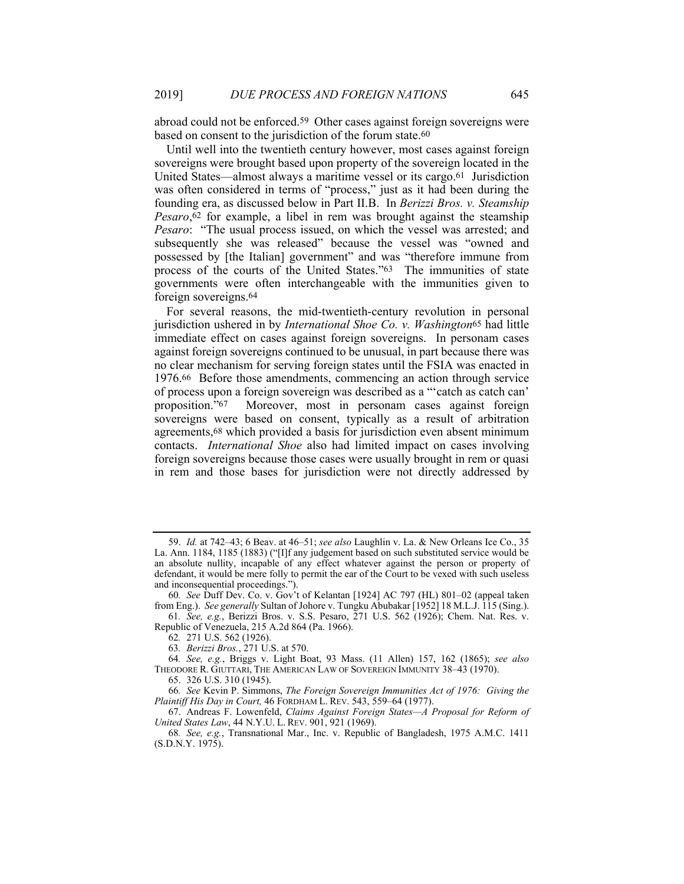abroad could not be enforced.59 Other cases against foreign sovereigns were based on consent to the jurisdiction of the forum state.60

Until well into the twentieth century however, most cases against foreign sovereigns were brought based upon property of the sovereign located in the United States—almost always a maritime vessel or its cargo.61 Jurisdiction was often considered in terms of "process," just as it had been during the founding era, as discussed below in Part II.B. In *Berizzi Bros. v. Steamship Pesaro*, $62$  for example, a libel in rem was brought against the steamship *Pesaro*: "The usual process issued, on which the vessel was arrested; and subsequently she was released" because the vessel was "owned and possessed by [the Italian] government" and was "therefore immune from process of the courts of the United States."63 The immunities of state governments were often interchangeable with the immunities given to foreign sovereigns.64

For several reasons, the mid-twentieth-century revolution in personal jurisdiction ushered in by *International Shoe Co. v. Washington*65 had little immediate effect on cases against foreign sovereigns. In personam cases against foreign sovereigns continued to be unusual, in part because there was no clear mechanism for serving foreign states until the FSIA was enacted in 1976.66 Before those amendments, commencing an action through service of process upon a foreign sovereign was described as a "'catch as catch can' proposition."67 Moreover, most in personam cases against foreign sovereigns were based on consent, typically as a result of arbitration agreements,68 which provided a basis for jurisdiction even absent minimum contacts. *International Shoe* also had limited impact on cases involving foreign sovereigns because those cases were usually brought in rem or quasi in rem and those bases for jurisdiction were not directly addressed by

 <sup>59.</sup> *Id.* at 742–43; 6 Beav. at 46–51; *see also* Laughlin v. La. & New Orleans Ice Co., 35 La. Ann. 1184, 1185 (1883) ("[I]f any judgement based on such substituted service would be an absolute nullity, incapable of any effect whatever against the person or property of defendant, it would be mere folly to permit the ear of the Court to be vexed with such useless and inconsequential proceedings.").

<sup>60</sup>*. See* Duff Dev. Co. v. Gov't of Kelantan [1924] AC 797 (HL) 801–02 (appeal taken from Eng.). *See generally* Sultan of Johore v. Tungku Abubakar [1952] 18 M.L.J. 115 (Sing.).

<sup>61</sup>*. See, e.g.*, Berizzi Bros. v. S.S. Pesaro, 271 U.S. 562 (1926); Chem. Nat. Res. v. Republic of Venezuela, 215 A.2d 864 (Pa. 1966).

<sup>62</sup>*.* 271 U.S. 562 (1926).

<sup>63</sup>*. Berizzi Bros.*, 271 U.S. at 570.

<sup>64</sup>*. See, e.g.*, Briggs v. Light Boat, 93 Mass. (11 Allen) 157, 162 (1865); *see also* THEODORE R. GIUTTARI, THE AMERICAN LAW OF SOVEREIGN IMMUNITY 38–43 (1970).

 <sup>65. 326</sup> U.S. 310 (1945).

<sup>66</sup>*. See* Kevin P. Simmons, *The Foreign Sovereign Immunities Act of 1976: Giving the Plaintiff His Day in Court,* 46 FORDHAM L. REV. 543, 559–64 (1977).

 <sup>67.</sup> Andreas F. Lowenfeld, *Claims Against Foreign States—A Proposal for Reform of United States Law*, 44 N.Y.U. L. REV. 901, 921 (1969).

<sup>68</sup>*. See, e.g.*, Transnational Mar., Inc. v. Republic of Bangladesh, 1975 A.M.C. 1411 (S.D.N.Y. 1975).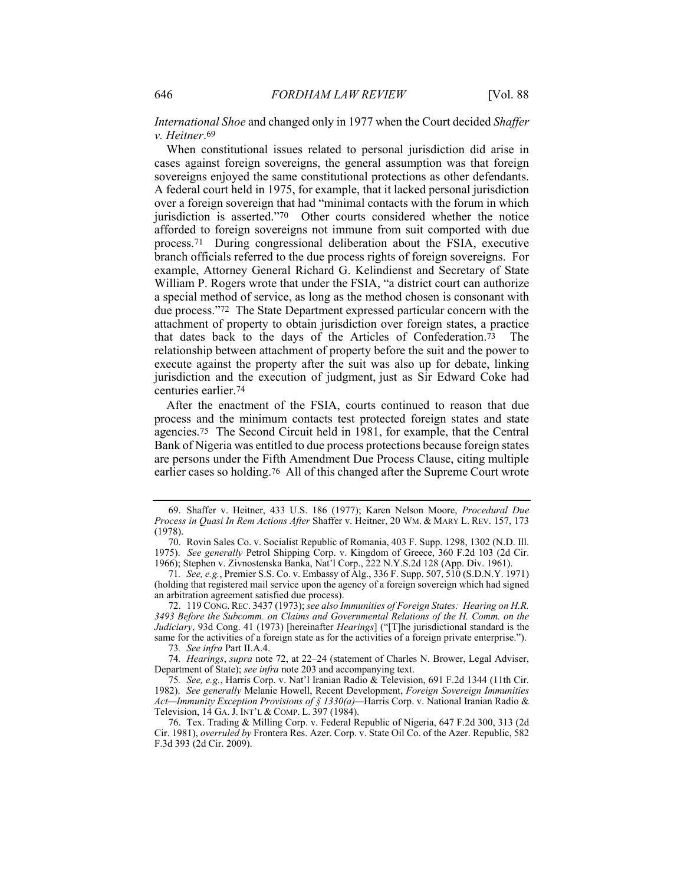*International Shoe* and changed only in 1977 when the Court decided *Shaffer v. Heitner*.69

When constitutional issues related to personal jurisdiction did arise in cases against foreign sovereigns, the general assumption was that foreign sovereigns enjoyed the same constitutional protections as other defendants. A federal court held in 1975, for example, that it lacked personal jurisdiction over a foreign sovereign that had "minimal contacts with the forum in which jurisdiction is asserted."70 Other courts considered whether the notice afforded to foreign sovereigns not immune from suit comported with due process.71 During congressional deliberation about the FSIA, executive branch officials referred to the due process rights of foreign sovereigns. For example, Attorney General Richard G. Kelindienst and Secretary of State William P. Rogers wrote that under the FSIA, "a district court can authorize a special method of service, as long as the method chosen is consonant with due process."72 The State Department expressed particular concern with the attachment of property to obtain jurisdiction over foreign states, a practice that dates back to the days of the Articles of Confederation.73 The relationship between attachment of property before the suit and the power to execute against the property after the suit was also up for debate, linking jurisdiction and the execution of judgment, just as Sir Edward Coke had centuries earlier.74

After the enactment of the FSIA, courts continued to reason that due process and the minimum contacts test protected foreign states and state agencies.75 The Second Circuit held in 1981, for example, that the Central Bank of Nigeria was entitled to due process protections because foreign states are persons under the Fifth Amendment Due Process Clause, citing multiple earlier cases so holding.76 All of this changed after the Supreme Court wrote

 72. 119 CONG.REC. 3437 (1973); *see also Immunities of Foreign States: Hearing on H.R. 3493 Before the Subcomm. on Claims and Governmental Relations of the H. Comm. on the Judiciary*, 93d Cong. 41 (1973) [hereinafter *Hearings*] ("[T]he jurisdictional standard is the same for the activities of a foreign state as for the activities of a foreign private enterprise.").

73*. See infra* Part II.A.4.

74*. Hearings*, *supra* note 72, at 22–24 (statement of Charles N. Brower, Legal Adviser, Department of State); *see infra* note 203 and accompanying text.

75*. See, e.g.*, Harris Corp. v. Nat'l Iranian Radio & Television, 691 F.2d 1344 (11th Cir. 1982). *See generally* Melanie Howell, Recent Development, *Foreign Sovereign Immunities Act—Immunity Exception Provisions of § 1330(a)—*Harris Corp. v. National Iranian Radio & Television, 14 GA. J. INT'L & COMP. L. 397 (1984).

 76. Tex. Trading & Milling Corp. v. Federal Republic of Nigeria, 647 F.2d 300, 313 (2d Cir. 1981), *overruled by* Frontera Res. Azer. Corp. v. State Oil Co. of the Azer. Republic, 582 F.3d 393 (2d Cir. 2009).

 <sup>69.</sup> Shaffer v. Heitner, 433 U.S. 186 (1977); Karen Nelson Moore, *Procedural Due Process in Quasi In Rem Actions After* Shaffer v. Heitner, 20 WM. & MARY L. REV. 157, 173 (1978).

 <sup>70.</sup> Rovin Sales Co. v. Socialist Republic of Romania, 403 F. Supp. 1298, 1302 (N.D. Ill. 1975). *See generally* Petrol Shipping Corp. v. Kingdom of Greece, 360 F.2d 103 (2d Cir. 1966); Stephen v. Zivnostenska Banka, Nat'l Corp., 222 N.Y.S.2d 128 (App. Div. 1961).

<sup>71</sup>*. See, e.g.*, Premier S.S. Co. v. Embassy of Alg., 336 F. Supp. 507, 510 (S.D.N.Y. 1971) (holding that registered mail service upon the agency of a foreign sovereign which had signed an arbitration agreement satisfied due process).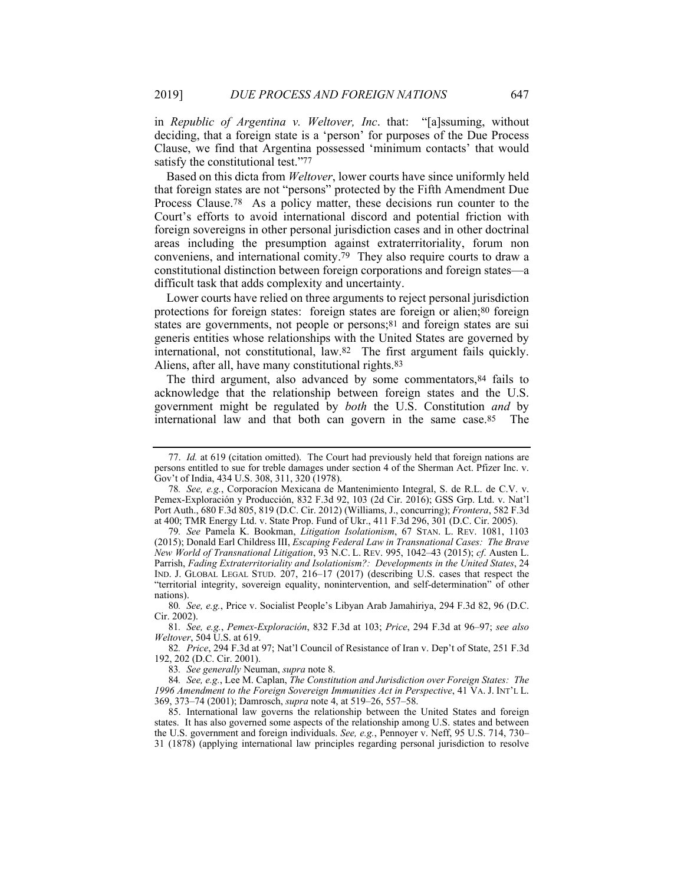in *Republic of Argentina v. Weltover, Inc*. that: "[a]ssuming, without deciding, that a foreign state is a 'person' for purposes of the Due Process Clause, we find that Argentina possessed 'minimum contacts' that would satisfy the constitutional test."77

Based on this dicta from *Weltover*, lower courts have since uniformly held that foreign states are not "persons" protected by the Fifth Amendment Due Process Clause.78 As a policy matter, these decisions run counter to the Court's efforts to avoid international discord and potential friction with foreign sovereigns in other personal jurisdiction cases and in other doctrinal areas including the presumption against extraterritoriality, forum non conveniens, and international comity.79 They also require courts to draw a constitutional distinction between foreign corporations and foreign states—a difficult task that adds complexity and uncertainty.

Lower courts have relied on three arguments to reject personal jurisdiction protections for foreign states: foreign states are foreign or alien;80 foreign states are governments, not people or persons;<sup>81</sup> and foreign states are sui generis entities whose relationships with the United States are governed by international, not constitutional, law.82 The first argument fails quickly. Aliens, after all, have many constitutional rights.83

The third argument, also advanced by some commentators,  $84$  fails to acknowledge that the relationship between foreign states and the U.S. government might be regulated by *both* the U.S. Constitution *and* by international law and that both can govern in the same case.85 The

83*. See generally* Neuman, *supra* note 8.

 <sup>77.</sup> *Id.* at 619 (citation omitted). The Court had previously held that foreign nations are persons entitled to sue for treble damages under section 4 of the Sherman Act. Pfizer Inc. v. Gov't of India, 434 U.S. 308, 311, 320 (1978).

<sup>78</sup>*. See, e.g.*, Corporacíon Mexicana de Mantenimiento Integral, S. de R.L. de C.V. v. Pemex-Exploración y Producción, 832 F.3d 92, 103 (2d Cir. 2016); GSS Grp. Ltd. v. Nat'l Port Auth., 680 F.3d 805, 819 (D.C. Cir. 2012) (Williams, J., concurring); *Frontera*, 582 F.3d at 400; TMR Energy Ltd. v. State Prop. Fund of Ukr., 411 F.3d 296, 301 (D.C. Cir. 2005).

<sup>79</sup>*. See* Pamela K. Bookman, *Litigation Isolationism*, 67 STAN. L. REV. 1081, 1103 (2015); Donald Earl Childress III, *Escaping Federal Law in Transnational Cases: The Brave New World of Transnational Litigation*, 93 N.C. L. REV. 995, 1042–43 (2015); *cf*. Austen L. Parrish, *Fading Extraterritoriality and Isolationism?: Developments in the United States*, 24 IND. J. GLOBAL LEGAL STUD. 207, 216–17 (2017) (describing U.S. cases that respect the "territorial integrity, sovereign equality, nonintervention, and self-determination" of other nations).

<sup>80</sup>*. See, e.g.*, Price v. Socialist People's Libyan Arab Jamahiriya, 294 F.3d 82, 96 (D.C. Cir. 2002).

<sup>81</sup>*. See, e.g.*, *Pemex-Exploración*, 832 F.3d at 103; *Price*, 294 F.3d at 96–97; *see also Weltover*, 504 U.S. at 619.

<sup>82</sup>*. Price*, 294 F.3d at 97; Nat'l Council of Resistance of Iran v. Dep't of State, 251 F.3d 192, 202 (D.C. Cir. 2001).

<sup>84</sup>*. See, e.g.*, Lee M. Caplan, *The Constitution and Jurisdiction over Foreign States: The 1996 Amendment to the Foreign Sovereign Immunities Act in Perspective*, 41 VA. J. INT'L L. 369, 373–74 (2001); Damrosch, *supra* note 4, at 519–26, 557–58.

 <sup>85.</sup> International law governs the relationship between the United States and foreign states. It has also governed some aspects of the relationship among U.S. states and between the U.S. government and foreign individuals. *See, e.g.*, Pennoyer v. Neff, 95 U.S. 714, 730– 31 (1878) (applying international law principles regarding personal jurisdiction to resolve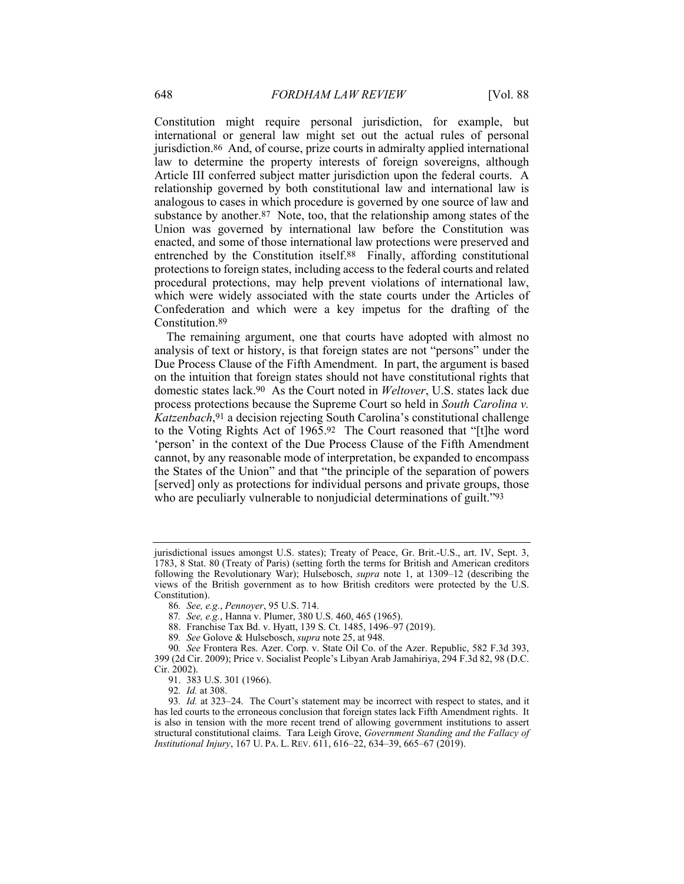Constitution might require personal jurisdiction, for example, but international or general law might set out the actual rules of personal jurisdiction.86 And, of course, prize courts in admiralty applied international law to determine the property interests of foreign sovereigns, although Article III conferred subject matter jurisdiction upon the federal courts. A relationship governed by both constitutional law and international law is analogous to cases in which procedure is governed by one source of law and substance by another.87 Note, too, that the relationship among states of the Union was governed by international law before the Constitution was enacted, and some of those international law protections were preserved and entrenched by the Constitution itself.88 Finally, affording constitutional protections to foreign states, including access to the federal courts and related procedural protections, may help prevent violations of international law, which were widely associated with the state courts under the Articles of Confederation and which were a key impetus for the drafting of the Constitution.89

The remaining argument, one that courts have adopted with almost no analysis of text or history, is that foreign states are not "persons" under the Due Process Clause of the Fifth Amendment. In part, the argument is based on the intuition that foreign states should not have constitutional rights that domestic states lack.90 As the Court noted in *Weltover*, U.S. states lack due process protections because the Supreme Court so held in *South Carolina v. Katzenbach*,91 a decision rejecting South Carolina's constitutional challenge to the Voting Rights Act of 1965.92 The Court reasoned that "[t]he word 'person' in the context of the Due Process Clause of the Fifth Amendment cannot, by any reasonable mode of interpretation, be expanded to encompass the States of the Union" and that "the principle of the separation of powers [served] only as protections for individual persons and private groups, those who are peculiarly vulnerable to nonjudicial determinations of guilt."93

jurisdictional issues amongst U.S. states); Treaty of Peace, Gr. Brit.-U.S., art. IV, Sept. 3, 1783, 8 Stat. 80 (Treaty of Paris) (setting forth the terms for British and American creditors following the Revolutionary War); Hulsebosch, *supra* note 1, at 1309–12 (describing the views of the British government as to how British creditors were protected by the U.S. Constitution).

<sup>86</sup>*. See, e.g.*, *Pennoyer*, 95 U.S. 714.

<sup>87</sup>*. See, e.g.*, Hanna v. Plumer, 380 U.S. 460, 465 (1965).

 <sup>88.</sup> Franchise Tax Bd. v. Hyatt, 139 S. Ct. 1485, 1496–97 (2019).

<sup>89</sup>*. See* Golove & Hulsebosch, *supra* note 25, at 948.

<sup>90</sup>*. See* Frontera Res. Azer. Corp. v. State Oil Co. of the Azer. Republic, 582 F.3d 393, 399 (2d Cir. 2009); Price v. Socialist People's Libyan Arab Jamahiriya, 294 F.3d 82, 98 (D.C. Cir. 2002).

 <sup>91. 383</sup> U.S. 301 (1966).

<sup>92</sup>*. Id.* at 308.

<sup>93</sup>*. Id.* at 323–24. The Court's statement may be incorrect with respect to states, and it has led courts to the erroneous conclusion that foreign states lack Fifth Amendment rights. It is also in tension with the more recent trend of allowing government institutions to assert structural constitutional claims. Tara Leigh Grove, *Government Standing and the Fallacy of Institutional Injury*, 167 U. PA. L. REV. 611, 616–22, 634–39, 665–67 (2019).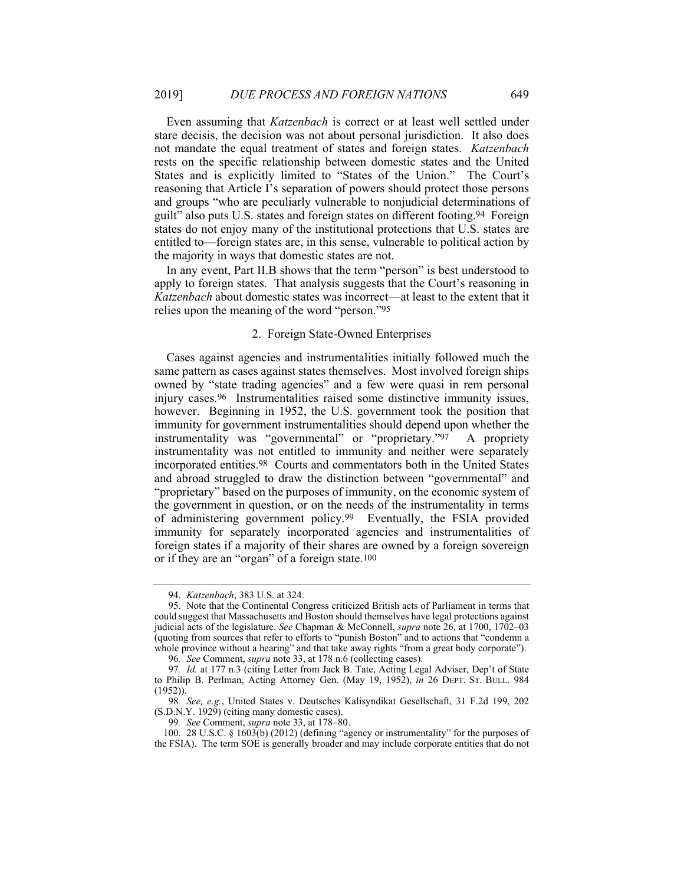Even assuming that *Katzenbach* is correct or at least well settled under stare decisis, the decision was not about personal jurisdiction. It also does not mandate the equal treatment of states and foreign states. *Katzenbach* rests on the specific relationship between domestic states and the United States and is explicitly limited to "States of the Union." The Court's reasoning that Article I's separation of powers should protect those persons and groups "who are peculiarly vulnerable to nonjudicial determinations of guilt" also puts U.S. states and foreign states on different footing.94 Foreign states do not enjoy many of the institutional protections that U.S. states are entitled to—foreign states are, in this sense, vulnerable to political action by the majority in ways that domestic states are not.

In any event, Part II.B shows that the term "person" is best understood to apply to foreign states. That analysis suggests that the Court's reasoning in *Katzenbach* about domestic states was incorrect—at least to the extent that it relies upon the meaning of the word "person."95

## 2. Foreign State-Owned Enterprises

Cases against agencies and instrumentalities initially followed much the same pattern as cases against states themselves. Most involved foreign ships owned by "state trading agencies" and a few were quasi in rem personal injury cases.96 Instrumentalities raised some distinctive immunity issues, however. Beginning in 1952, the U.S. government took the position that immunity for government instrumentalities should depend upon whether the instrumentality was "governmental" or "proprietary."97 A propriety instrumentality was not entitled to immunity and neither were separately incorporated entities.98 Courts and commentators both in the United States and abroad struggled to draw the distinction between "governmental" and "proprietary" based on the purposes of immunity, on the economic system of the government in question, or on the needs of the instrumentality in terms of administering government policy.99 Eventually, the FSIA provided immunity for separately incorporated agencies and instrumentalities of foreign states if a majority of their shares are owned by a foreign sovereign or if they are an "organ" of a foreign state.100

99*. See* Comment, *supra* note 33, at 178–80.

 <sup>94.</sup> *Katzenbach*, 383 U.S. at 324.

 <sup>95.</sup> Note that the Continental Congress criticized British acts of Parliament in terms that could suggest that Massachusetts and Boston should themselves have legal protections against judicial acts of the legislature. *See* Chapman & McConnell, *supra* note 26, at 1700, 1702–03 (quoting from sources that refer to efforts to "punish Boston" and to actions that "condemn a whole province without a hearing" and that take away rights "from a great body corporate").

<sup>96</sup>*. See* Comment, *supra* note 33, at 178 n.6 (collecting cases).

<sup>97</sup>*. Id.* at 177 n.3 (citing Letter from Jack B. Tate, Acting Legal Adviser, Dep't of State to Philip B. Perlman, Acting Attorney Gen. (May 19, 1952), *in* 26 DEPT. ST. BULL. 984 (1952)).

<sup>98</sup>*. See, e.g.*, United States v. Deutsches Kalisyndikat Gesellschaft, 31 F.2d 199, 202 (S.D.N.Y. 1929) (citing many domestic cases).

 <sup>100. 28</sup> U.S.C. § 1603(b) (2012) (defining "agency or instrumentality" for the purposes of the FSIA). The term SOE is generally broader and may include corporate entities that do not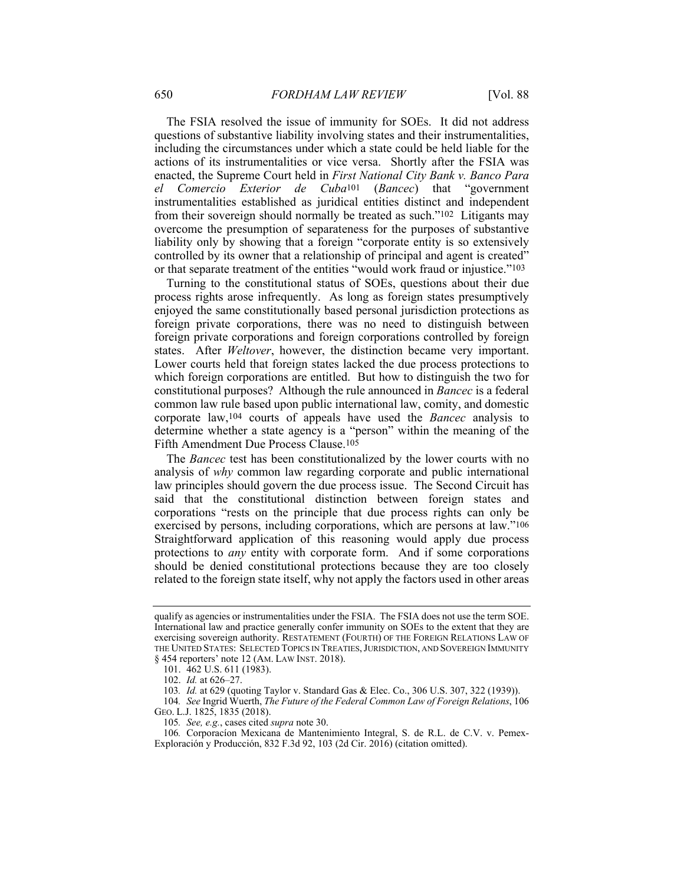The FSIA resolved the issue of immunity for SOEs. It did not address questions of substantive liability involving states and their instrumentalities, including the circumstances under which a state could be held liable for the actions of its instrumentalities or vice versa. Shortly after the FSIA was enacted, the Supreme Court held in *First National City Bank v. Banco Para el Comercio Exterior de Cuba*101 (*Bancec*) that "government instrumentalities established as juridical entities distinct and independent from their sovereign should normally be treated as such."102 Litigants may overcome the presumption of separateness for the purposes of substantive liability only by showing that a foreign "corporate entity is so extensively controlled by its owner that a relationship of principal and agent is created" or that separate treatment of the entities "would work fraud or injustice."103

Turning to the constitutional status of SOEs, questions about their due process rights arose infrequently. As long as foreign states presumptively enjoyed the same constitutionally based personal jurisdiction protections as foreign private corporations, there was no need to distinguish between foreign private corporations and foreign corporations controlled by foreign states. After *Weltover*, however, the distinction became very important. Lower courts held that foreign states lacked the due process protections to which foreign corporations are entitled. But how to distinguish the two for constitutional purposes? Although the rule announced in *Bancec* is a federal common law rule based upon public international law, comity, and domestic corporate law,104 courts of appeals have used the *Bancec* analysis to determine whether a state agency is a "person" within the meaning of the Fifth Amendment Due Process Clause.105

The *Bancec* test has been constitutionalized by the lower courts with no analysis of *why* common law regarding corporate and public international law principles should govern the due process issue. The Second Circuit has said that the constitutional distinction between foreign states and corporations "rests on the principle that due process rights can only be exercised by persons, including corporations, which are persons at law."106 Straightforward application of this reasoning would apply due process protections to *any* entity with corporate form. And if some corporations should be denied constitutional protections because they are too closely related to the foreign state itself, why not apply the factors used in other areas

qualify as agencies or instrumentalities under the FSIA. The FSIA does not use the term SOE. International law and practice generally confer immunity on SOEs to the extent that they are exercising sovereign authority. RESTATEMENT (FOURTH) OF THE FOREIGN RELATIONS LAW OF THE UNITED STATES: SELECTED TOPICS IN TREATIES,JURISDICTION, AND SOVEREIGN IMMUNITY § 454 reporters' note 12 (AM. LAW INST. 2018).

 <sup>101. 462</sup> U.S. 611 (1983).

 <sup>102.</sup> *Id.* at 626–27.

<sup>103</sup>*. Id.* at 629 (quoting Taylor v. Standard Gas & Elec. Co., 306 U.S. 307, 322 (1939)).

<sup>104</sup>*. See* Ingrid Wuerth, *The Future of the Federal Common Law of Foreign Relations*, 106 GEO. L.J. 1825, 1835 (2018).

<sup>105</sup>*. See, e.g.*, cases cited *supra* note 30.

<sup>106</sup>*.* Corporacíon Mexicana de Mantenimiento Integral, S. de R.L. de C.V. v. Pemex-Exploración y Producción, 832 F.3d 92, 103 (2d Cir. 2016) (citation omitted).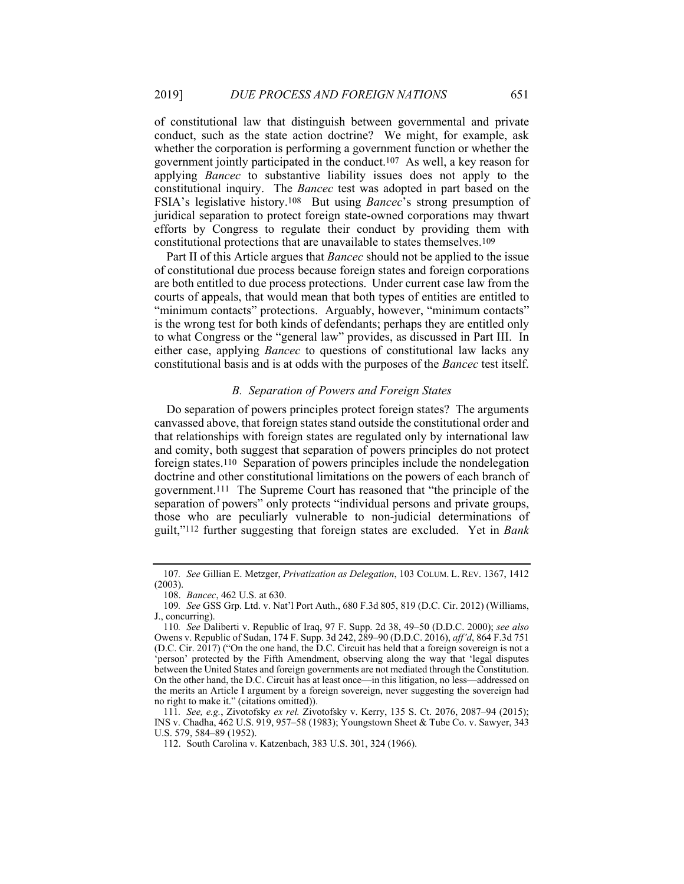of constitutional law that distinguish between governmental and private conduct, such as the state action doctrine? We might, for example, ask whether the corporation is performing a government function or whether the government jointly participated in the conduct.107 As well, a key reason for applying *Bancec* to substantive liability issues does not apply to the constitutional inquiry. The *Bancec* test was adopted in part based on the FSIA's legislative history.108 But using *Bancec*'s strong presumption of juridical separation to protect foreign state-owned corporations may thwart efforts by Congress to regulate their conduct by providing them with constitutional protections that are unavailable to states themselves.109

Part II of this Article argues that *Bancec* should not be applied to the issue of constitutional due process because foreign states and foreign corporations are both entitled to due process protections. Under current case law from the courts of appeals, that would mean that both types of entities are entitled to "minimum contacts" protections. Arguably, however, "minimum contacts" is the wrong test for both kinds of defendants; perhaps they are entitled only to what Congress or the "general law" provides, as discussed in Part III. In either case, applying *Bancec* to questions of constitutional law lacks any constitutional basis and is at odds with the purposes of the *Bancec* test itself.

#### *B. Separation of Powers and Foreign States*

Do separation of powers principles protect foreign states? The arguments canvassed above, that foreign states stand outside the constitutional order and that relationships with foreign states are regulated only by international law and comity, both suggest that separation of powers principles do not protect foreign states.110 Separation of powers principles include the nondelegation doctrine and other constitutional limitations on the powers of each branch of government.111 The Supreme Court has reasoned that "the principle of the separation of powers" only protects "individual persons and private groups, those who are peculiarly vulnerable to non-judicial determinations of guilt,"112 further suggesting that foreign states are excluded. Yet in *Bank* 

<sup>107</sup>*. See* Gillian E. Metzger, *Privatization as Delegation*, 103 COLUM. L. REV. 1367, 1412 (2003).

 <sup>108.</sup> *Bancec*, 462 U.S. at 630.

<sup>109</sup>*. See* GSS Grp. Ltd. v. Nat'l Port Auth., 680 F.3d 805, 819 (D.C. Cir. 2012) (Williams, J., concurring).

<sup>110</sup>*. See* Daliberti v. Republic of Iraq, 97 F. Supp. 2d 38, 49–50 (D.D.C. 2000); *see also* Owens v. Republic of Sudan, 174 F. Supp. 3d 242, 289–90 (D.D.C. 2016), *aff'd*, 864 F.3d 751 (D.C. Cir. 2017) ("On the one hand, the D.C. Circuit has held that a foreign sovereign is not a 'person' protected by the Fifth Amendment, observing along the way that 'legal disputes between the United States and foreign governments are not mediated through the Constitution. On the other hand, the D.C. Circuit has at least once—in this litigation, no less—addressed on the merits an Article I argument by a foreign sovereign, never suggesting the sovereign had no right to make it." (citations omitted)).

<sup>111</sup>*. See, e.g.*, Zivotofsky *ex rel.* Zivotofsky v. Kerry, 135 S. Ct. 2076, 2087–94 (2015); INS v. Chadha, 462 U.S. 919, 957–58 (1983); Youngstown Sheet & Tube Co. v. Sawyer, 343 U.S. 579, 584–89 (1952).

 <sup>112.</sup> South Carolina v. Katzenbach, 383 U.S. 301, 324 (1966).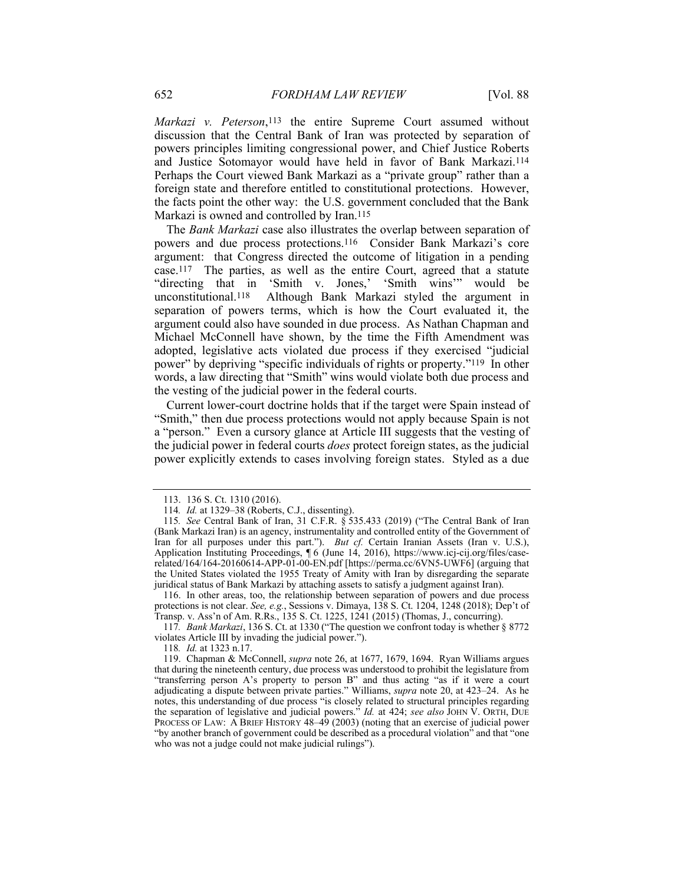*Markazi v. Peterson*,113 the entire Supreme Court assumed without discussion that the Central Bank of Iran was protected by separation of powers principles limiting congressional power, and Chief Justice Roberts and Justice Sotomayor would have held in favor of Bank Markazi.114 Perhaps the Court viewed Bank Markazi as a "private group" rather than a foreign state and therefore entitled to constitutional protections. However, the facts point the other way: the U.S. government concluded that the Bank Markazi is owned and controlled by Iran.<sup>115</sup>

The *Bank Markazi* case also illustrates the overlap between separation of powers and due process protections.116 Consider Bank Markazi's core argument: that Congress directed the outcome of litigation in a pending case.117 The parties, as well as the entire Court, agreed that a statute "directing that in 'Smith v. Jones,' 'Smith wins'" would be unconstitutional.118 Although Bank Markazi styled the argument in separation of powers terms, which is how the Court evaluated it, the argument could also have sounded in due process. As Nathan Chapman and Michael McConnell have shown, by the time the Fifth Amendment was adopted, legislative acts violated due process if they exercised "judicial power" by depriving "specific individuals of rights or property."119 In other words, a law directing that "Smith" wins would violate both due process and the vesting of the judicial power in the federal courts.

Current lower-court doctrine holds that if the target were Spain instead of "Smith," then due process protections would not apply because Spain is not a "person." Even a cursory glance at Article III suggests that the vesting of the judicial power in federal courts *does* protect foreign states, as the judicial power explicitly extends to cases involving foreign states. Styled as a due

 116. In other areas, too, the relationship between separation of powers and due process protections is not clear. *See, e.g.*, Sessions v. Dimaya, 138 S. Ct. 1204, 1248 (2018); Dep't of Transp. v. Ass'n of Am. R.Rs., 135 S. Ct. 1225, 1241 (2015) (Thomas, J., concurring).

 <sup>113. 136</sup> S. Ct. 1310 (2016).

<sup>114</sup>*. Id.* at 1329–38 (Roberts, C.J., dissenting).

<sup>115</sup>*. See* Central Bank of Iran, 31 C.F.R. § 535.433 (2019) ("The Central Bank of Iran (Bank Markazi Iran) is an agency, instrumentality and controlled entity of the Government of Iran for all purposes under this part."). *But cf.* Certain Iranian Assets (Iran v. U.S.), Application Instituting Proceedings, ¶ 6 (June 14, 2016), https://www.icj-cij.org/files/caserelated/164/164-20160614-APP-01-00-EN.pdf [https://perma.cc/6VN5-UWF6] (arguing that the United States violated the 1955 Treaty of Amity with Iran by disregarding the separate juridical status of Bank Markazi by attaching assets to satisfy a judgment against Iran).

<sup>117</sup>*. Bank Markazi*, 136 S. Ct. at 1330 ("The question we confront today is whether § 8772 violates Article III by invading the judicial power.").

<sup>118</sup>*. Id.* at 1323 n.17.

 <sup>119.</sup> Chapman & McConnell, *supra* note 26, at 1677, 1679, 1694. Ryan Williams argues that during the nineteenth century, due process was understood to prohibit the legislature from "transferring person A's property to person B" and thus acting "as if it were a court adjudicating a dispute between private parties." Williams, *supra* note 20, at 423–24. As he notes, this understanding of due process "is closely related to structural principles regarding the separation of legislative and judicial powers." *Id.* at 424; *see also* JOHN V. ORTH, DUE PROCESS OF LAW: A BRIEF HISTORY 48–49 (2003) (noting that an exercise of judicial power "by another branch of government could be described as a procedural violation" and that "one who was not a judge could not make judicial rulings").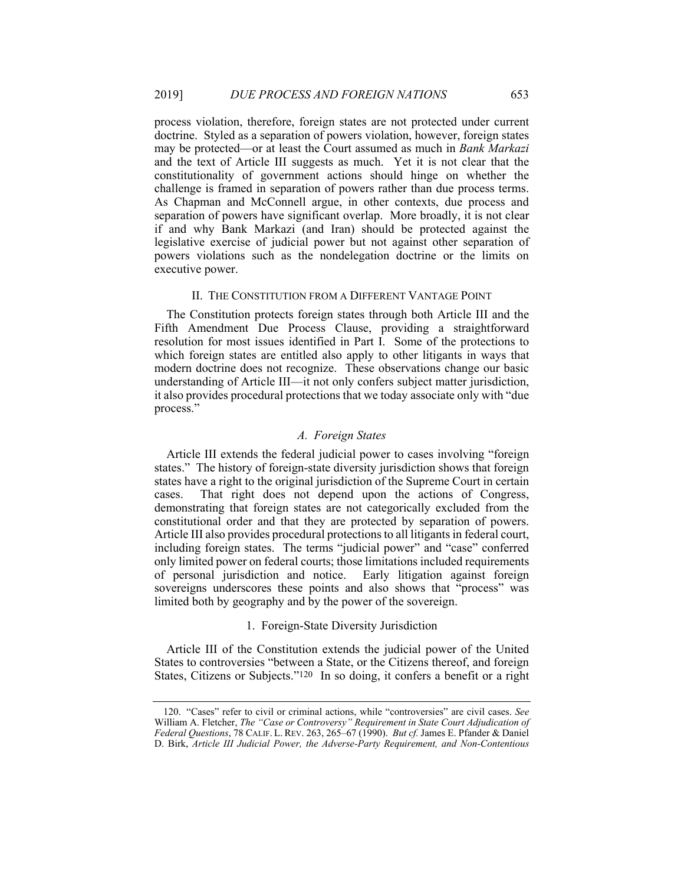process violation, therefore, foreign states are not protected under current doctrine. Styled as a separation of powers violation, however, foreign states may be protected—or at least the Court assumed as much in *Bank Markazi* and the text of Article III suggests as much.Yet it is not clear that the constitutionality of government actions should hinge on whether the challenge is framed in separation of powers rather than due process terms. As Chapman and McConnell argue, in other contexts, due process and separation of powers have significant overlap. More broadly, it is not clear if and why Bank Markazi (and Iran) should be protected against the legislative exercise of judicial power but not against other separation of powers violations such as the nondelegation doctrine or the limits on executive power.

#### II. THE CONSTITUTION FROM A DIFFERENT VANTAGE POINT

The Constitution protects foreign states through both Article III and the Fifth Amendment Due Process Clause, providing a straightforward resolution for most issues identified in Part I. Some of the protections to which foreign states are entitled also apply to other litigants in ways that modern doctrine does not recognize. These observations change our basic understanding of Article III—it not only confers subject matter jurisdiction, it also provides procedural protections that we today associate only with "due process."

## *A. Foreign States*

Article III extends the federal judicial power to cases involving "foreign states." The history of foreign-state diversity jurisdiction shows that foreign states have a right to the original jurisdiction of the Supreme Court in certain cases. That right does not depend upon the actions of Congress, demonstrating that foreign states are not categorically excluded from the constitutional order and that they are protected by separation of powers. Article III also provides procedural protections to all litigants in federal court, including foreign states. The terms "judicial power" and "case" conferred only limited power on federal courts; those limitations included requirements of personal jurisdiction and notice. Early litigation against foreign sovereigns underscores these points and also shows that "process" was limited both by geography and by the power of the sovereign.

## 1. Foreign-State Diversity Jurisdiction

Article III of the Constitution extends the judicial power of the United States to controversies "between a State, or the Citizens thereof, and foreign States, Citizens or Subjects."120 In so doing, it confers a benefit or a right

 <sup>120. &</sup>quot;Cases" refer to civil or criminal actions, while "controversies" are civil cases. *See* William A. Fletcher, *The "Case or Controversy" Requirement in State Court Adjudication of Federal Questions*, 78 CALIF. L. REV. 263, 265–67 (1990). *But cf.* James E. Pfander & Daniel D. Birk, *Article III Judicial Power, the Adverse-Party Requirement, and Non-Contentious*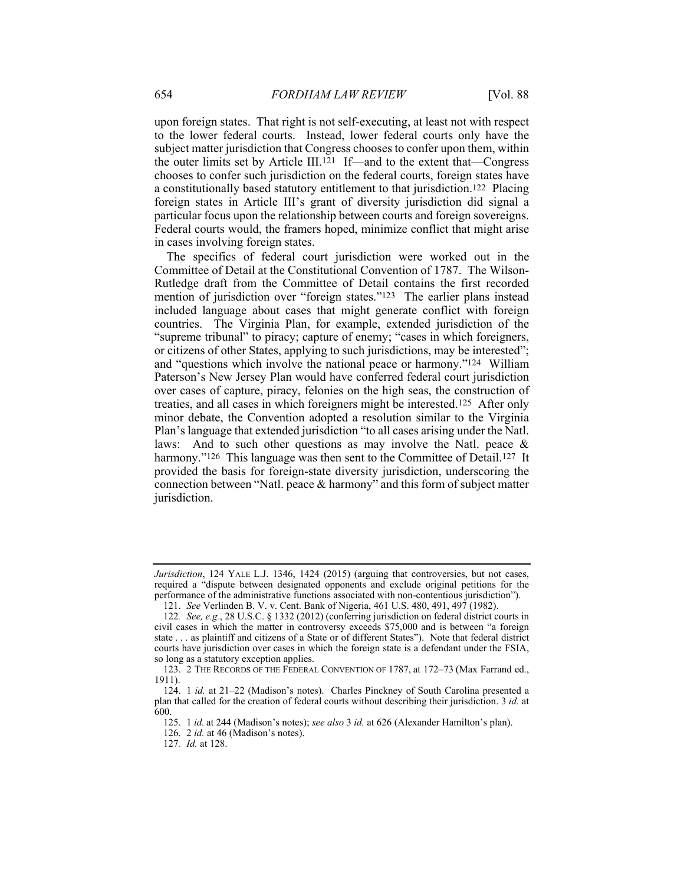upon foreign states. That right is not self-executing, at least not with respect to the lower federal courts. Instead, lower federal courts only have the subject matter jurisdiction that Congress chooses to confer upon them, within the outer limits set by Article III.121 If—and to the extent that—Congress chooses to confer such jurisdiction on the federal courts, foreign states have a constitutionally based statutory entitlement to that jurisdiction.122 Placing foreign states in Article III's grant of diversity jurisdiction did signal a particular focus upon the relationship between courts and foreign sovereigns. Federal courts would, the framers hoped, minimize conflict that might arise in cases involving foreign states.

The specifics of federal court jurisdiction were worked out in the Committee of Detail at the Constitutional Convention of 1787. The Wilson-Rutledge draft from the Committee of Detail contains the first recorded mention of jurisdiction over "foreign states."123 The earlier plans instead included language about cases that might generate conflict with foreign countries. The Virginia Plan, for example, extended jurisdiction of the "supreme tribunal" to piracy; capture of enemy; "cases in which foreigners, or citizens of other States, applying to such jurisdictions, may be interested"; and "questions which involve the national peace or harmony."124 William Paterson's New Jersey Plan would have conferred federal court jurisdiction over cases of capture, piracy, felonies on the high seas, the construction of treaties, and all cases in which foreigners might be interested.125 After only minor debate, the Convention adopted a resolution similar to the Virginia Plan's language that extended jurisdiction "to all cases arising under the Natl. laws: And to such other questions as may involve the Natl. peace & harmony."<sup>126</sup> This language was then sent to the Committee of Detail.<sup>127</sup> It provided the basis for foreign-state diversity jurisdiction, underscoring the connection between "Natl. peace & harmony" and this form of subject matter jurisdiction.

*Jurisdiction*, 124 YALE L.J. 1346, 1424 (2015) (arguing that controversies, but not cases, required a "dispute between designated opponents and exclude original petitions for the performance of the administrative functions associated with non-contentious jurisdiction").

 <sup>121.</sup> *See* Verlinden B. V. v. Cent. Bank of Nigeria, 461 U.S. 480, 491, 497 (1982).

<sup>122</sup>*. See, e.g.*, 28 U.S.C. § 1332 (2012) (conferring jurisdiction on federal district courts in civil cases in which the matter in controversy exceeds \$75,000 and is between "a foreign state . . . as plaintiff and citizens of a State or of different States"). Note that federal district courts have jurisdiction over cases in which the foreign state is a defendant under the FSIA, so long as a statutory exception applies.

 <sup>123. 2</sup> THE RECORDS OF THE FEDERAL CONVENTION OF 1787, at 172–73 (Max Farrand ed., 1911).

 <sup>124. 1</sup> *id.* at 21–22 (Madison's notes). Charles Pinckney of South Carolina presented a plan that called for the creation of federal courts without describing their jurisdiction. 3 *id.* at 600.

 <sup>125. 1</sup> *id.* at 244 (Madison's notes); *see also* 3 *id.* at 626 (Alexander Hamilton's plan).

 <sup>126. 2</sup> *id.* at 46 (Madison's notes).

<sup>127</sup>*. Id.* at 128.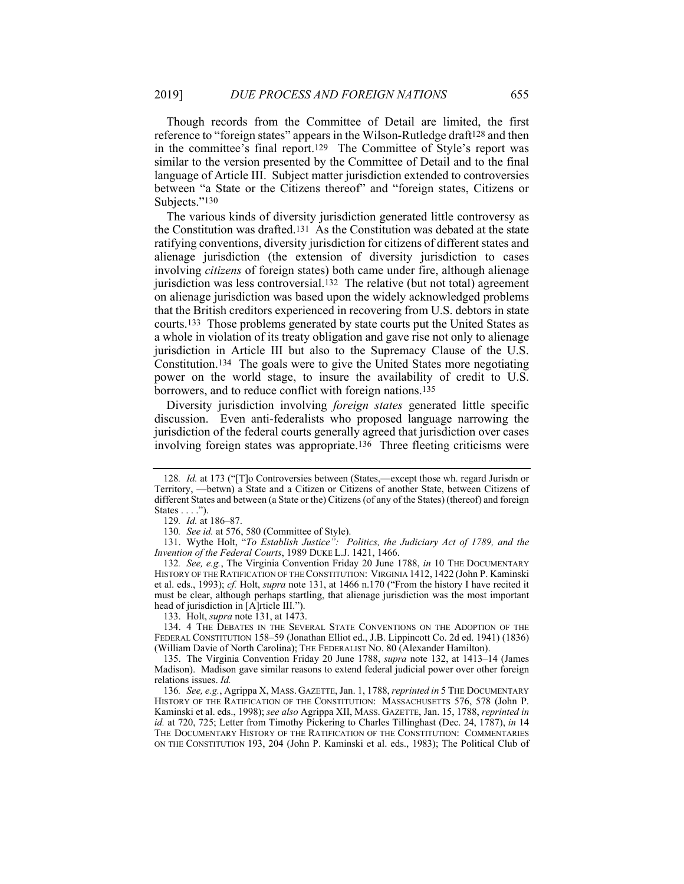Though records from the Committee of Detail are limited, the first reference to "foreign states" appears in the Wilson-Rutledge draft<sup>128</sup> and then in the committee's final report.129 The Committee of Style's report was similar to the version presented by the Committee of Detail and to the final language of Article III. Subject matter jurisdiction extended to controversies between "a State or the Citizens thereof" and "foreign states, Citizens or Subjects."130

The various kinds of diversity jurisdiction generated little controversy as the Constitution was drafted.131 As the Constitution was debated at the state ratifying conventions, diversity jurisdiction for citizens of different states and alienage jurisdiction (the extension of diversity jurisdiction to cases involving *citizens* of foreign states) both came under fire, although alienage jurisdiction was less controversial.132 The relative (but not total) agreement on alienage jurisdiction was based upon the widely acknowledged problems that the British creditors experienced in recovering from U.S. debtors in state courts.133 Those problems generated by state courts put the United States as a whole in violation of its treaty obligation and gave rise not only to alienage jurisdiction in Article III but also to the Supremacy Clause of the U.S. Constitution.134 The goals were to give the United States more negotiating power on the world stage, to insure the availability of credit to U.S. borrowers, and to reduce conflict with foreign nations.135

Diversity jurisdiction involving *foreign states* generated little specific discussion. Even anti-federalists who proposed language narrowing the jurisdiction of the federal courts generally agreed that jurisdiction over cases involving foreign states was appropriate.136 Three fleeting criticisms were

132*. See, e.g.*, The Virginia Convention Friday 20 June 1788, *in* 10 THE DOCUMENTARY HISTORY OF THE RATIFICATION OF THE CONSTITUTION: VIRGINIA 1412, 1422 (John P. Kaminski et al. eds., 1993); *cf.* Holt, *supra* note 131, at 1466 n.170 ("From the history I have recited it must be clear, although perhaps startling, that alienage jurisdiction was the most important head of jurisdiction in [A]rticle III.").

133. Holt, *supra* note 131, at 1473.

 134. 4 THE DEBATES IN THE SEVERAL STATE CONVENTIONS ON THE ADOPTION OF THE FEDERAL CONSTITUTION 158–59 (Jonathan Elliot ed., J.B. Lippincott Co. 2d ed. 1941) (1836) (William Davie of North Carolina); THE FEDERALIST NO. 80 (Alexander Hamilton).

 135. The Virginia Convention Friday 20 June 1788, *supra* note 132, at 1413–14 (James Madison). Madison gave similar reasons to extend federal judicial power over other foreign relations issues. *Id.*

136*. See, e.g.*, Agrippa X, MASS. GAZETTE, Jan. 1, 1788, *reprinted in* 5 THE DOCUMENTARY HISTORY OF THE RATIFICATION OF THE CONSTITUTION: MASSACHUSETTS 576, 578 (John P. Kaminski et al. eds., 1998); *see also* Agrippa XII, MASS. GAZETTE, Jan. 15, 1788, *reprinted in id.* at 720, 725; Letter from Timothy Pickering to Charles Tillinghast (Dec. 24, 1787), *in* 14 THE DOCUMENTARY HISTORY OF THE RATIFICATION OF THE CONSTITUTION: COMMENTARIES ON THE CONSTITUTION 193, 204 (John P. Kaminski et al. eds., 1983); The Political Club of

<sup>128</sup>*. Id.* at 173 ("[T]o Controversies between (States,—except those wh. regard Jurisdn or Territory, —betwn) a State and a Citizen or Citizens of another State, between Citizens of different States and between (a State or the) Citizens (of any of the States) (thereof) and foreign States  $\dots$ .").

<sup>129</sup>*. Id.* at 186–87.

<sup>130</sup>*. See id.* at 576, 580 (Committee of Style).

 <sup>131.</sup> Wythe Holt, "*To Establish Justice": Politics, the Judiciary Act of 1789, and the Invention of the Federal Courts*, 1989 DUKE L.J. 1421, 1466.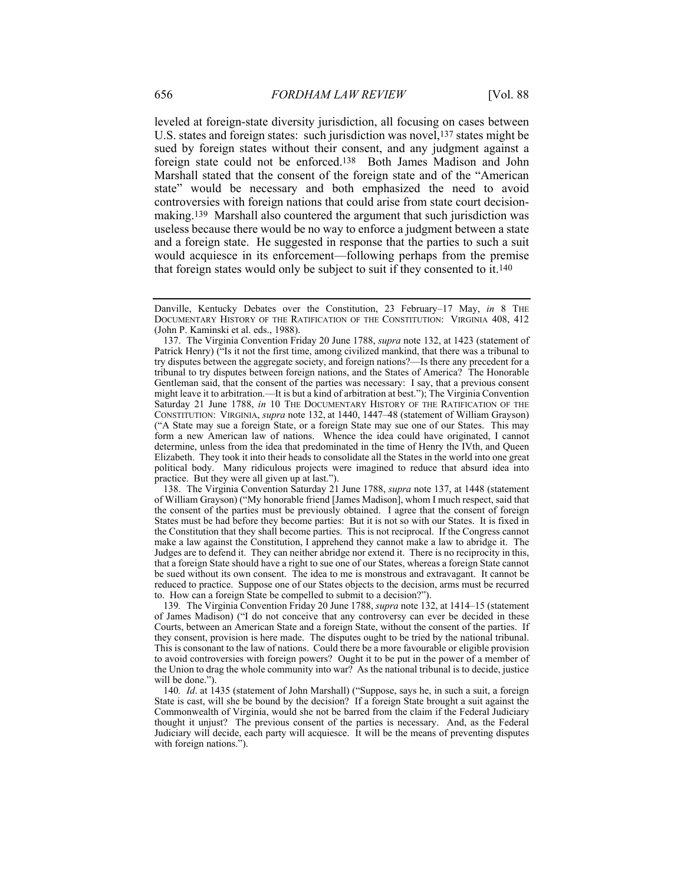leveled at foreign-state diversity jurisdiction, all focusing on cases between U.S. states and foreign states: such jurisdiction was novel,137 states might be sued by foreign states without their consent, and any judgment against a foreign state could not be enforced.138 Both James Madison and John Marshall stated that the consent of the foreign state and of the "American state" would be necessary and both emphasized the need to avoid controversies with foreign nations that could arise from state court decisionmaking.139 Marshall also countered the argument that such jurisdiction was useless because there would be no way to enforce a judgment between a state and a foreign state. He suggested in response that the parties to such a suit would acquiesce in its enforcement—following perhaps from the premise that foreign states would only be subject to suit if they consented to it.140

 138. The Virginia Convention Saturday 21 June 1788, *supra* note 137, at 1448 (statement of William Grayson) ("My honorable friend [James Madison], whom I much respect, said that the consent of the parties must be previously obtained. I agree that the consent of foreign States must be had before they become parties: But it is not so with our States. It is fixed in the Constitution that they shall become parties. This is not reciprocal. If the Congress cannot make a law against the Constitution, I apprehend they cannot make a law to abridge it. The Judges are to defend it. They can neither abridge nor extend it. There is no reciprocity in this, that a foreign State should have a right to sue one of our States, whereas a foreign State cannot be sued without its own consent. The idea to me is monstrous and extravagant. It cannot be reduced to practice. Suppose one of our States objects to the decision, arms must be recurred to. How can a foreign State be compelled to submit to a decision?").

139*.* The Virginia Convention Friday 20 June 1788, *supra* note 132, at 1414–15 (statement of James Madison) ("I do not conceive that any controversy can ever be decided in these Courts, between an American State and a foreign State, without the consent of the parties. If they consent, provision is here made. The disputes ought to be tried by the national tribunal. This is consonant to the law of nations. Could there be a more favourable or eligible provision to avoid controversies with foreign powers? Ought it to be put in the power of a member of the Union to drag the whole community into war? As the national tribunal is to decide, justice will be done.").

140*. Id*. at 1435 (statement of John Marshall) ("Suppose, says he, in such a suit, a foreign State is cast, will she be bound by the decision? If a foreign State brought a suit against the Commonwealth of Virginia, would she not be barred from the claim if the Federal Judiciary thought it unjust? The previous consent of the parties is necessary. And, as the Federal Judiciary will decide, each party will acquiesce. It will be the means of preventing disputes with foreign nations.").

Danville, Kentucky Debates over the Constitution, 23 February–17 May, *in* 8 THE DOCUMENTARY HISTORY OF THE RATIFICATION OF THE CONSTITUTION: VIRGINIA 408, 412 (John P. Kaminski et al. eds., 1988).

 <sup>137.</sup> The Virginia Convention Friday 20 June 1788, *supra* note 132, at 1423 (statement of Patrick Henry) ("Is it not the first time, among civilized mankind, that there was a tribunal to try disputes between the aggregate society, and foreign nations?—Is there any precedent for a tribunal to try disputes between foreign nations, and the States of America? The Honorable Gentleman said, that the consent of the parties was necessary: I say, that a previous consent might leave it to arbitration.—It is but a kind of arbitration at best."); The Virginia Convention Saturday 21 June 1788, *in* 10 THE DOCUMENTARY HISTORY OF THE RATIFICATION OF THE CONSTITUTION: VIRGINIA, *supra* note 132, at 1440, 1447–48 (statement of William Grayson) ("A State may sue a foreign State, or a foreign State may sue one of our States. This may form a new American law of nations. Whence the idea could have originated, I cannot determine, unless from the idea that predominated in the time of Henry the IVth, and Queen Elizabeth. They took it into their heads to consolidate all the States in the world into one great political body. Many ridiculous projects were imagined to reduce that absurd idea into practice. But they were all given up at last.").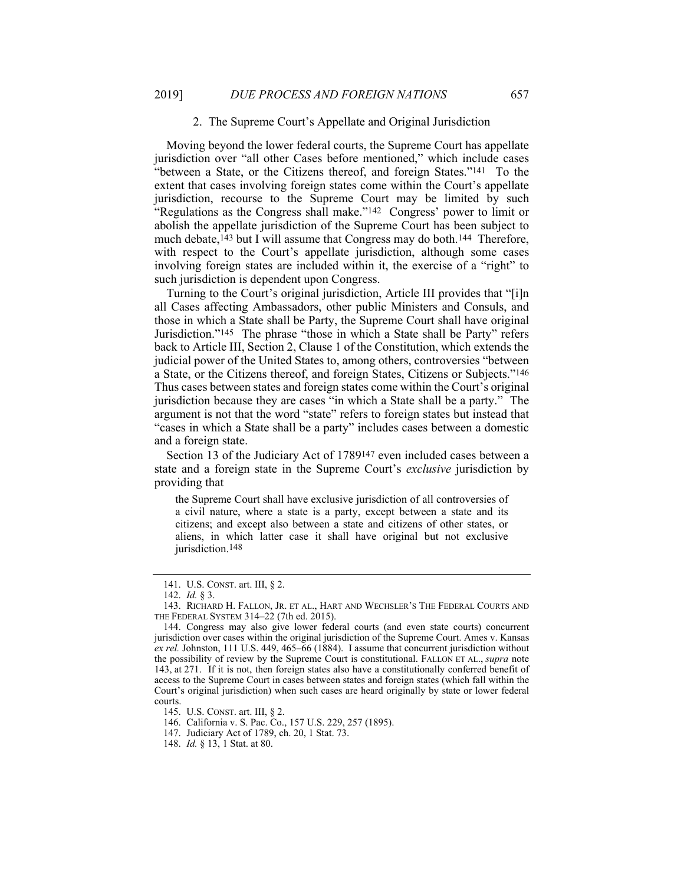#### 2. The Supreme Court's Appellate and Original Jurisdiction

Moving beyond the lower federal courts, the Supreme Court has appellate jurisdiction over "all other Cases before mentioned," which include cases "between a State, or the Citizens thereof, and foreign States."141 To the extent that cases involving foreign states come within the Court's appellate jurisdiction, recourse to the Supreme Court may be limited by such "Regulations as the Congress shall make."142 Congress' power to limit or abolish the appellate jurisdiction of the Supreme Court has been subject to much debate,<sup>143</sup> but I will assume that Congress may do both.<sup>144</sup> Therefore, with respect to the Court's appellate jurisdiction, although some cases involving foreign states are included within it, the exercise of a "right" to such jurisdiction is dependent upon Congress.

Turning to the Court's original jurisdiction, Article III provides that "[i]n all Cases affecting Ambassadors, other public Ministers and Consuls, and those in which a State shall be Party, the Supreme Court shall have original Jurisdiction."145 The phrase "those in which a State shall be Party" refers back to Article III, Section 2, Clause 1 of the Constitution, which extends the judicial power of the United States to, among others, controversies "between a State, or the Citizens thereof, and foreign States, Citizens or Subjects."146 Thus cases between states and foreign states come within the Court's original jurisdiction because they are cases "in which a State shall be a party." The argument is not that the word "state" refers to foreign states but instead that "cases in which a State shall be a party" includes cases between a domestic and a foreign state.

Section 13 of the Judiciary Act of 1789147 even included cases between a state and a foreign state in the Supreme Court's *exclusive* jurisdiction by providing that

the Supreme Court shall have exclusive jurisdiction of all controversies of a civil nature, where a state is a party, except between a state and its citizens; and except also between a state and citizens of other states, or aliens, in which latter case it shall have original but not exclusive jurisdiction.<sup>148</sup>

 <sup>141.</sup> U.S. CONST. art. III, § 2.

 <sup>142.</sup> *Id.* § 3.

 <sup>143.</sup> RICHARD H. FALLON, JR. ET AL., HART AND WECHSLER'S THE FEDERAL COURTS AND THE FEDERAL SYSTEM 314–22 (7th ed. 2015).

 <sup>144.</sup> Congress may also give lower federal courts (and even state courts) concurrent jurisdiction over cases within the original jurisdiction of the Supreme Court. Ames v. Kansas *ex rel.* Johnston, 111 U.S. 449, 465–66 (1884). I assume that concurrent jurisdiction without the possibility of review by the Supreme Court is constitutional. FALLON ET AL., *supra* note 143, at 271. If it is not, then foreign states also have a constitutionally conferred benefit of access to the Supreme Court in cases between states and foreign states (which fall within the Court's original jurisdiction) when such cases are heard originally by state or lower federal courts.

 <sup>145.</sup> U.S. CONST. art. III, § 2.

 <sup>146.</sup> California v. S. Pac. Co., 157 U.S. 229, 257 (1895).

 <sup>147.</sup> Judiciary Act of 1789, ch. 20, 1 Stat. 73.

 <sup>148.</sup> *Id.* § 13, 1 Stat. at 80.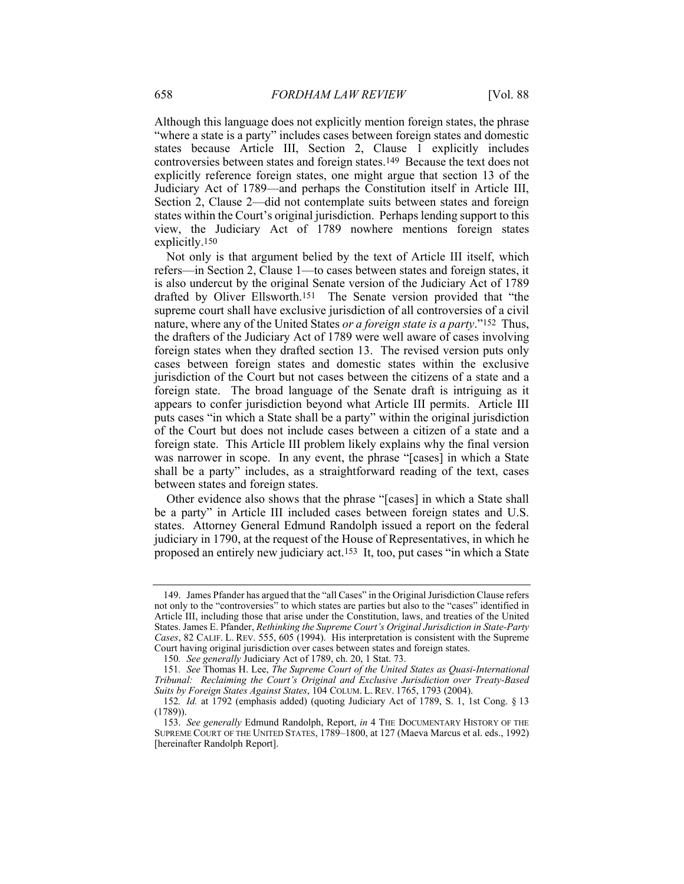Although this language does not explicitly mention foreign states, the phrase "where a state is a party" includes cases between foreign states and domestic states because Article III, Section 2, Clause 1 explicitly includes controversies between states and foreign states.149 Because the text does not explicitly reference foreign states, one might argue that section 13 of the Judiciary Act of 1789—and perhaps the Constitution itself in Article III, Section 2, Clause 2—did not contemplate suits between states and foreign states within the Court's original jurisdiction. Perhaps lending support to this view, the Judiciary Act of 1789 nowhere mentions foreign states explicitly.150

Not only is that argument belied by the text of Article III itself, which refers—in Section 2, Clause 1—to cases between states and foreign states, it is also undercut by the original Senate version of the Judiciary Act of 1789 drafted by Oliver Ellsworth.151 The Senate version provided that "the supreme court shall have exclusive jurisdiction of all controversies of a civil nature, where any of the United States *or a foreign state is a party*."152 Thus, the drafters of the Judiciary Act of 1789 were well aware of cases involving foreign states when they drafted section 13. The revised version puts only cases between foreign states and domestic states within the exclusive jurisdiction of the Court but not cases between the citizens of a state and a foreign state. The broad language of the Senate draft is intriguing as it appears to confer jurisdiction beyond what Article III permits. Article III puts cases "in which a State shall be a party" within the original jurisdiction of the Court but does not include cases between a citizen of a state and a foreign state. This Article III problem likely explains why the final version was narrower in scope. In any event, the phrase "[cases] in which a State shall be a party" includes, as a straightforward reading of the text, cases between states and foreign states.

Other evidence also shows that the phrase "[cases] in which a State shall be a party" in Article III included cases between foreign states and U.S. states. Attorney General Edmund Randolph issued a report on the federal judiciary in 1790, at the request of the House of Representatives, in which he proposed an entirely new judiciary act.153 It, too, put cases "in which a State

 <sup>149.</sup> James Pfander has argued that the "all Cases" in the Original Jurisdiction Clause refers not only to the "controversies" to which states are parties but also to the "cases" identified in Article III, including those that arise under the Constitution, laws, and treaties of the United States. James E. Pfander, *Rethinking the Supreme Court's Original Jurisdiction in State-Party Cases*, 82 CALIF. L. REV. 555, 605 (1994). His interpretation is consistent with the Supreme Court having original jurisdiction over cases between states and foreign states.

<sup>150</sup>*. See generally* Judiciary Act of 1789, ch. 20, 1 Stat. 73.

<sup>151</sup>*. See* Thomas H. Lee, *The Supreme Court of the United States as Quasi-International Tribunal: Reclaiming the Court's Original and Exclusive Jurisdiction over Treaty-Based Suits by Foreign States Against States*, 104 COLUM. L. REV. 1765, 1793 (2004).

<sup>152</sup>*. Id.* at 1792 (emphasis added) (quoting Judiciary Act of 1789, S. 1, 1st Cong. § 13 (1789)).

 <sup>153.</sup> *See generally* Edmund Randolph, Report, *in* 4 THE DOCUMENTARY HISTORY OF THE SUPREME COURT OF THE UNITED STATES, 1789–1800, at 127 (Maeva Marcus et al. eds., 1992) [hereinafter Randolph Report].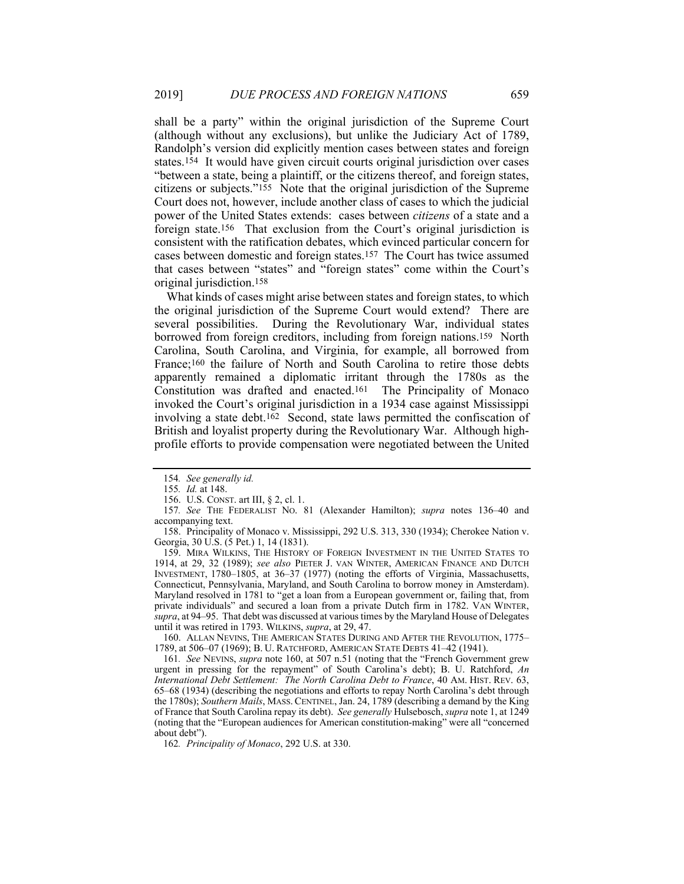shall be a party" within the original jurisdiction of the Supreme Court (although without any exclusions), but unlike the Judiciary Act of 1789, Randolph's version did explicitly mention cases between states and foreign states.154 It would have given circuit courts original jurisdiction over cases "between a state, being a plaintiff, or the citizens thereof, and foreign states, citizens or subjects."155 Note that the original jurisdiction of the Supreme Court does not, however, include another class of cases to which the judicial power of the United States extends: cases between *citizens* of a state and a foreign state.156 That exclusion from the Court's original jurisdiction is consistent with the ratification debates, which evinced particular concern for cases between domestic and foreign states.157 The Court has twice assumed that cases between "states" and "foreign states" come within the Court's original jurisdiction.158

What kinds of cases might arise between states and foreign states, to which the original jurisdiction of the Supreme Court would extend? There are several possibilities. During the Revolutionary War, individual states borrowed from foreign creditors, including from foreign nations.159 North Carolina, South Carolina, and Virginia, for example, all borrowed from France;160 the failure of North and South Carolina to retire those debts apparently remained a diplomatic irritant through the 1780s as the Constitution was drafted and enacted.161 The Principality of Monaco invoked the Court's original jurisdiction in a 1934 case against Mississippi involving a state debt.<sup>162</sup> Second, state laws permitted the confiscation of British and loyalist property during the Revolutionary War. Although highprofile efforts to provide compensation were negotiated between the United

 160. ALLAN NEVINS, THE AMERICAN STATES DURING AND AFTER THE REVOLUTION, 1775– 1789, at 506–07 (1969); B. U. RATCHFORD, AMERICAN STATE DEBTS 41–42 (1941).

161*. See* NEVINS, *supra* note 160, at 507 n.51 (noting that the "French Government grew urgent in pressing for the repayment" of South Carolina's debt); B. U. Ratchford, *An International Debt Settlement: The North Carolina Debt to France*, 40 AM. HIST. REV. 63, 65–68 (1934) (describing the negotiations and efforts to repay North Carolina's debt through the 1780s); *Southern Mails*, MASS. CENTINEL, Jan. 24, 1789 (describing a demand by the King of France that South Carolina repay its debt). *See generally* Hulsebosch, *supra* note 1, at 1249 (noting that the "European audiences for American constitution-making" were all "concerned about debt").

162*. Principality of Monaco*, 292 U.S. at 330.

<sup>154</sup>*. See generally id.*

<sup>155</sup>*. Id.* at 148.

 <sup>156.</sup> U.S. CONST. art III, § 2, cl. 1.

<sup>157</sup>*. See* THE FEDERALIST NO. 81 (Alexander Hamilton); *supra* notes 136–40 and accompanying text.

 <sup>158.</sup> Principality of Monaco v. Mississippi, 292 U.S. 313, 330 (1934); Cherokee Nation v. Georgia, 30 U.S. (5 Pet.) 1, 14 (1831).

 <sup>159.</sup> MIRA WILKINS, THE HISTORY OF FOREIGN INVESTMENT IN THE UNITED STATES TO 1914, at 29, 32 (1989); *see also* PIETER J. VAN WINTER, AMERICAN FINANCE AND DUTCH INVESTMENT, 1780–1805, at 36–37 (1977) (noting the efforts of Virginia, Massachusetts, Connecticut, Pennsylvania, Maryland, and South Carolina to borrow money in Amsterdam). Maryland resolved in 1781 to "get a loan from a European government or, failing that, from private individuals" and secured a loan from a private Dutch firm in 1782. VAN WINTER, *supra*, at 94–95. That debt was discussed at various times by the Maryland House of Delegates until it was retired in 1793. WILKINS, *supra*, at 29, 47.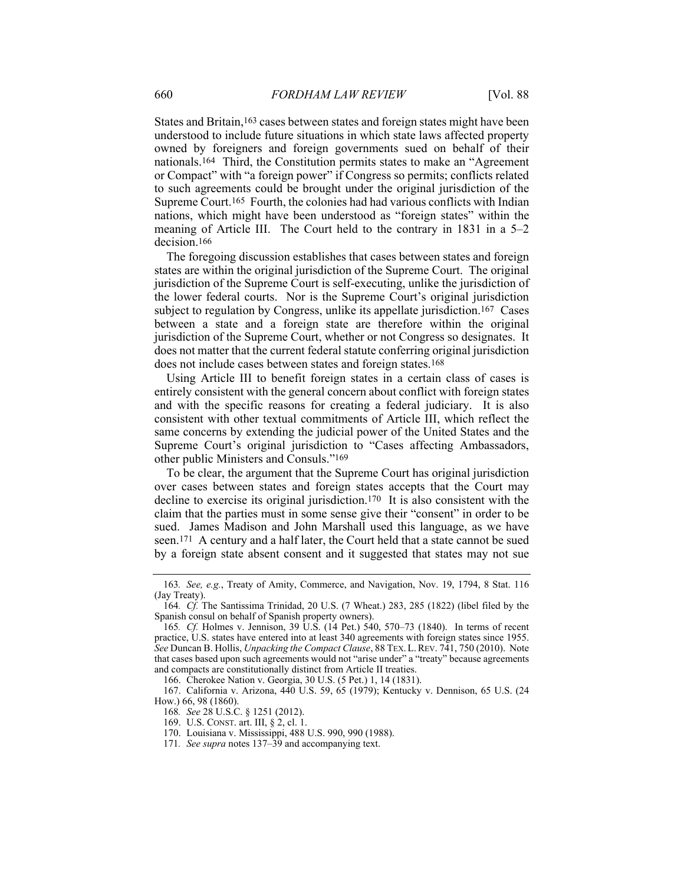States and Britain,163 cases between states and foreign states might have been understood to include future situations in which state laws affected property owned by foreigners and foreign governments sued on behalf of their nationals.164 Third, the Constitution permits states to make an "Agreement or Compact" with "a foreign power" if Congress so permits; conflicts related to such agreements could be brought under the original jurisdiction of the Supreme Court.165 Fourth, the colonies had had various conflicts with Indian nations, which might have been understood as "foreign states" within the meaning of Article III. The Court held to the contrary in 1831 in a 5–2 decision.166

The foregoing discussion establishes that cases between states and foreign states are within the original jurisdiction of the Supreme Court. The original jurisdiction of the Supreme Court is self-executing, unlike the jurisdiction of the lower federal courts. Nor is the Supreme Court's original jurisdiction subject to regulation by Congress, unlike its appellate jurisdiction.167 Cases between a state and a foreign state are therefore within the original jurisdiction of the Supreme Court, whether or not Congress so designates. It does not matter that the current federal statute conferring original jurisdiction does not include cases between states and foreign states.168

Using Article III to benefit foreign states in a certain class of cases is entirely consistent with the general concern about conflict with foreign states and with the specific reasons for creating a federal judiciary. It is also consistent with other textual commitments of Article III, which reflect the same concerns by extending the judicial power of the United States and the Supreme Court's original jurisdiction to "Cases affecting Ambassadors, other public Ministers and Consuls."169

To be clear, the argument that the Supreme Court has original jurisdiction over cases between states and foreign states accepts that the Court may decline to exercise its original jurisdiction.170 It is also consistent with the claim that the parties must in some sense give their "consent" in order to be sued. James Madison and John Marshall used this language, as we have seen.171 A century and a half later, the Court held that a state cannot be sued by a foreign state absent consent and it suggested that states may not sue

166. Cherokee Nation v. Georgia, 30 U.S. (5 Pet.) 1, 14 (1831).

<sup>163</sup>*. See, e.g.*, Treaty of Amity, Commerce, and Navigation, Nov. 19, 1794, 8 Stat. 116 (Jay Treaty).

<sup>164</sup>*. Cf.* The Santissima Trinidad, 20 U.S. (7 Wheat.) 283, 285 (1822) (libel filed by the Spanish consul on behalf of Spanish property owners).

<sup>165</sup>*. Cf.* Holmes v. Jennison, 39 U.S. (14 Pet.) 540, 570–73 (1840). In terms of recent practice, U.S. states have entered into at least 340 agreements with foreign states since 1955. *See* Duncan B. Hollis, *Unpacking the Compact Clause*, 88 TEX. L.REV. 741, 750 (2010). Note that cases based upon such agreements would not "arise under" a "treaty" because agreements and compacts are constitutionally distinct from Article II treaties.

 <sup>167.</sup> California v. Arizona, 440 U.S. 59, 65 (1979); Kentucky v. Dennison, 65 U.S. (24 How.) 66, 98 (1860).

<sup>168</sup>*. See* 28 U.S.C. § 1251 (2012).

 <sup>169.</sup> U.S. CONST. art. III, § 2, cl. 1.

 <sup>170.</sup> Louisiana v. Mississippi, 488 U.S. 990, 990 (1988).

<sup>171</sup>*. See supra* notes 137–39 and accompanying text.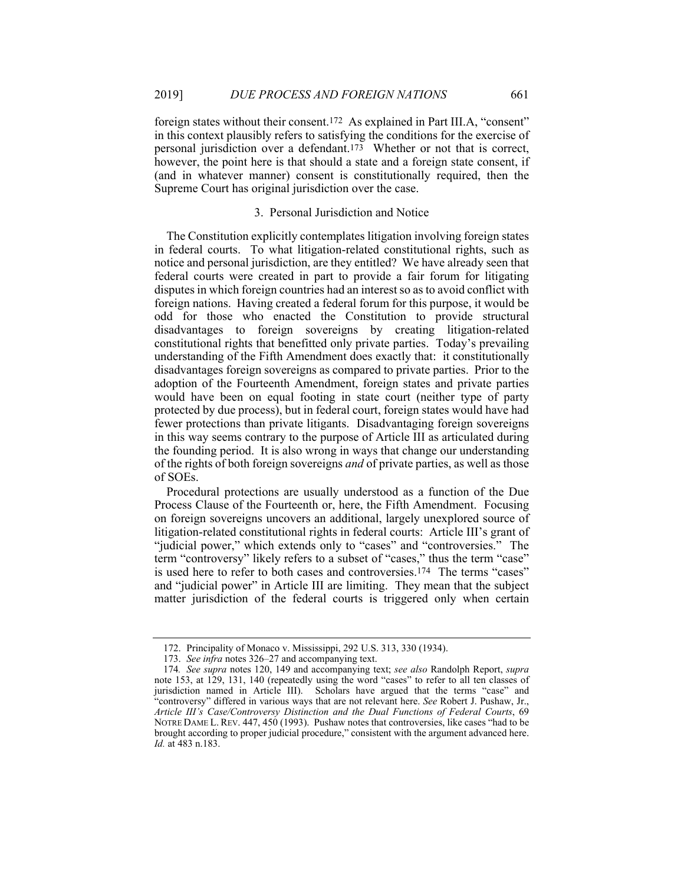foreign states without their consent.172 As explained in Part III.A, "consent" in this context plausibly refers to satisfying the conditions for the exercise of personal jurisdiction over a defendant.173 Whether or not that is correct, however, the point here is that should a state and a foreign state consent, if (and in whatever manner) consent is constitutionally required, then the Supreme Court has original jurisdiction over the case.

#### 3. Personal Jurisdiction and Notice

The Constitution explicitly contemplates litigation involving foreign states in federal courts. To what litigation-related constitutional rights, such as notice and personal jurisdiction, are they entitled? We have already seen that federal courts were created in part to provide a fair forum for litigating disputes in which foreign countries had an interest so as to avoid conflict with foreign nations. Having created a federal forum for this purpose, it would be odd for those who enacted the Constitution to provide structural disadvantages to foreign sovereigns by creating litigation-related constitutional rights that benefitted only private parties. Today's prevailing understanding of the Fifth Amendment does exactly that: it constitutionally disadvantages foreign sovereigns as compared to private parties. Prior to the adoption of the Fourteenth Amendment, foreign states and private parties would have been on equal footing in state court (neither type of party protected by due process), but in federal court, foreign states would have had fewer protections than private litigants. Disadvantaging foreign sovereigns in this way seems contrary to the purpose of Article III as articulated during the founding period. It is also wrong in ways that change our understanding of the rights of both foreign sovereigns *and* of private parties, as well as those of SOEs.

Procedural protections are usually understood as a function of the Due Process Clause of the Fourteenth or, here, the Fifth Amendment. Focusing on foreign sovereigns uncovers an additional, largely unexplored source of litigation-related constitutional rights in federal courts: Article III's grant of "judicial power," which extends only to "cases" and "controversies." The term "controversy" likely refers to a subset of "cases," thus the term "case" is used here to refer to both cases and controversies.174 The terms "cases" and "judicial power" in Article III are limiting. They mean that the subject matter jurisdiction of the federal courts is triggered only when certain

 <sup>172.</sup> Principality of Monaco v. Mississippi, 292 U.S. 313, 330 (1934).

 <sup>173.</sup> *See infra* notes 326–27 and accompanying text.

<sup>174</sup>*. See supra* notes 120, 149 and accompanying text; *see also* Randolph Report, *supra* note 153, at 129, 131, 140 (repeatedly using the word "cases" to refer to all ten classes of jurisdiction named in Article III). Scholars have argued that the terms "case" and "controversy" differed in various ways that are not relevant here. *See* Robert J. Pushaw, Jr., *Article III's Case/Controversy Distinction and the Dual Functions of Federal Courts*, 69 NOTRE DAME L. REV. 447, 450 (1993). Pushaw notes that controversies, like cases "had to be brought according to proper judicial procedure," consistent with the argument advanced here. *Id.* at 483 n.183.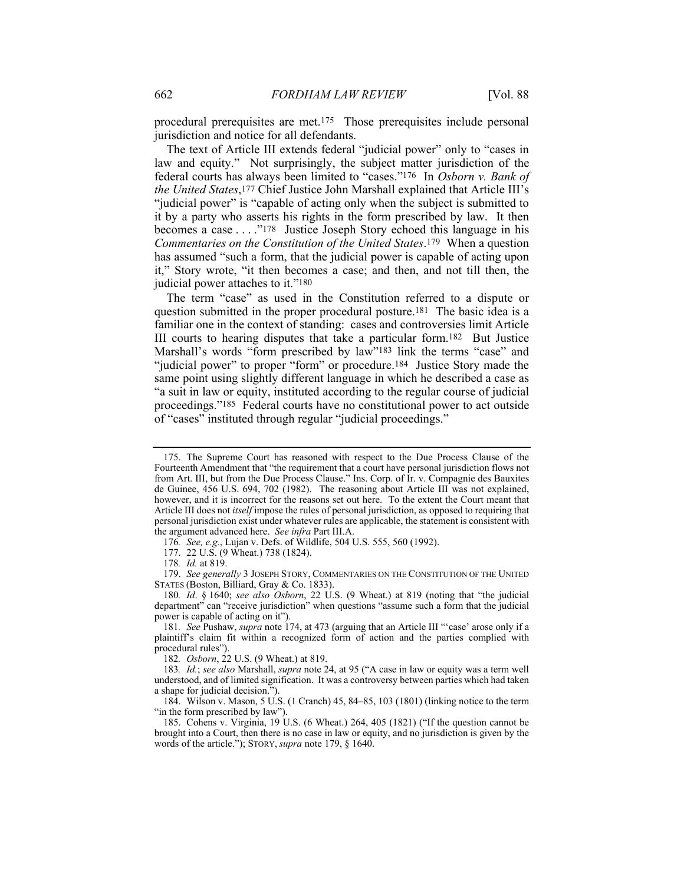procedural prerequisites are met.175 Those prerequisites include personal jurisdiction and notice for all defendants.

The text of Article III extends federal "judicial power" only to "cases in law and equity." Not surprisingly, the subject matter jurisdiction of the federal courts has always been limited to "cases."176 In *Osborn v. Bank of the United States*,177 Chief Justice John Marshall explained that Article III's "judicial power" is "capable of acting only when the subject is submitted to it by a party who asserts his rights in the form prescribed by law. It then becomes a case . . . ."178 Justice Joseph Story echoed this language in his *Commentaries on the Constitution of the United States*.179 When a question has assumed "such a form, that the judicial power is capable of acting upon it," Story wrote, "it then becomes a case; and then, and not till then, the judicial power attaches to it."180

The term "case" as used in the Constitution referred to a dispute or question submitted in the proper procedural posture.181 The basic idea is a familiar one in the context of standing: cases and controversies limit Article III courts to hearing disputes that take a particular form.182 But Justice Marshall's words "form prescribed by law"<sup>183</sup> link the terms "case" and "judicial power" to proper "form" or procedure.184 Justice Story made the same point using slightly different language in which he described a case as "a suit in law or equity, instituted according to the regular course of judicial proceedings."185 Federal courts have no constitutional power to act outside of "cases" instituted through regular "judicial proceedings."

176*. See, e.g.*, Lujan v. Defs. of Wildlife, 504 U.S. 555, 560 (1992).

177. 22 U.S. (9 Wheat.) 738 (1824).

178*. Id.* at 819.

 179. *See generally* 3 JOSEPH STORY, COMMENTARIES ON THE CONSTITUTION OF THE UNITED STATES (Boston, Billiard, Gray & Co. 1833).

180*. Id*. § 1640; *see also Osborn*, 22 U.S. (9 Wheat.) at 819 (noting that "the judicial department" can "receive jurisdiction" when questions "assume such a form that the judicial power is capable of acting on it").

182*. Osborn*, 22 U.S. (9 Wheat.) at 819.

 <sup>175.</sup> The Supreme Court has reasoned with respect to the Due Process Clause of the Fourteenth Amendment that "the requirement that a court have personal jurisdiction flows not from Art. III, but from the Due Process Clause." Ins. Corp. of Ir. v. Compagnie des Bauxites de Guinee, 456 U.S. 694, 702 (1982). The reasoning about Article III was not explained, however, and it is incorrect for the reasons set out here. To the extent the Court meant that Article III does not *itself* impose the rules of personal jurisdiction, as opposed to requiring that personal jurisdiction exist under whatever rules are applicable, the statement is consistent with the argument advanced here. *See infra* Part III.A.

<sup>181</sup>*. See* Pushaw, *supra* note 174, at 473 (arguing that an Article III "'case' arose only if a plaintiff's claim fit within a recognized form of action and the parties complied with procedural rules").

<sup>183</sup>*. Id.*; *see also* Marshall, *supra* note 24, at 95 ("A case in law or equity was a term well understood, and of limited signification. It was a controversy between parties which had taken a shape for judicial decision.").

 <sup>184.</sup> Wilson v. Mason, 5 U.S. (1 Cranch) 45, 84–85, 103 (1801) (linking notice to the term "in the form prescribed by law").

 <sup>185.</sup> Cohens v. Virginia, 19 U.S. (6 Wheat.) 264, 405 (1821) ("If the question cannot be brought into a Court, then there is no case in law or equity, and no jurisdiction is given by the words of the article."); STORY, *supra* note 179, § 1640.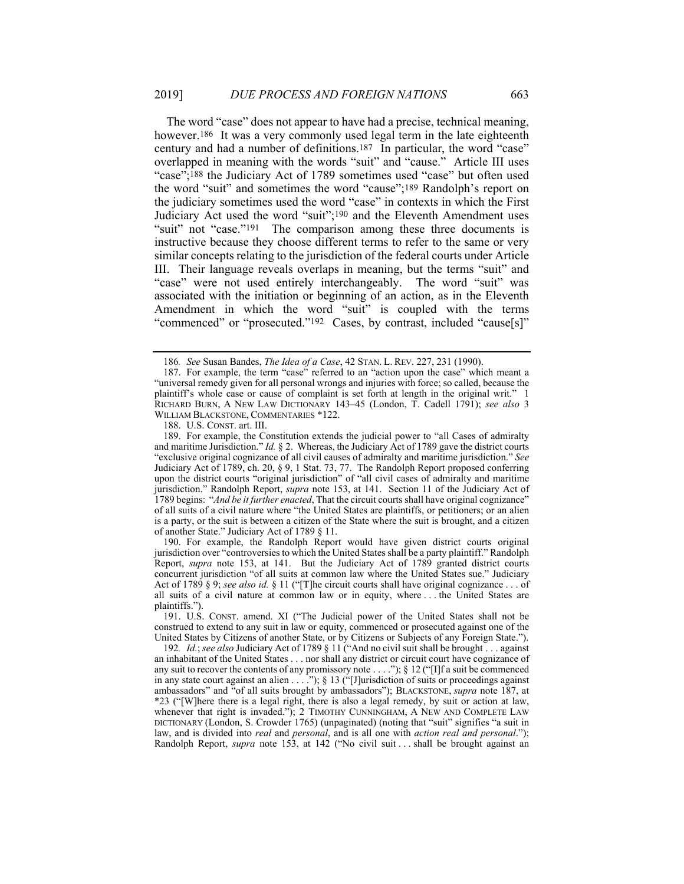The word "case" does not appear to have had a precise, technical meaning, however.<sup>186</sup> It was a very commonly used legal term in the late eighteenth century and had a number of definitions.187 In particular, the word "case" overlapped in meaning with the words "suit" and "cause." Article III uses "case";188 the Judiciary Act of 1789 sometimes used "case" but often used the word "suit" and sometimes the word "cause";189 Randolph's report on the judiciary sometimes used the word "case" in contexts in which the First Judiciary Act used the word "suit";190 and the Eleventh Amendment uses "suit" not "case."<sup>191</sup> The comparison among these three documents is instructive because they choose different terms to refer to the same or very similar concepts relating to the jurisdiction of the federal courts under Article III. Their language reveals overlaps in meaning, but the terms "suit" and "case" were not used entirely interchangeably. The word "suit" was associated with the initiation or beginning of an action, as in the Eleventh Amendment in which the word "suit" is coupled with the terms "commenced" or "prosecuted."192 Cases, by contrast, included "cause[s]"

188. U.S. CONST. art. III.

 189. For example, the Constitution extends the judicial power to "all Cases of admiralty and maritime Jurisdiction." *Id.* § 2. Whereas, the Judiciary Act of 1789 gave the district courts "exclusive original cognizance of all civil causes of admiralty and maritime jurisdiction." *See* Judiciary Act of 1789, ch. 20, § 9, 1 Stat. 73, 77. The Randolph Report proposed conferring upon the district courts "original jurisdiction" of "all civil cases of admiralty and maritime jurisdiction." Randolph Report, *supra* note 153, at 141. Section 11 of the Judiciary Act of 1789 begins: "*And be it further enacted*, That the circuit courts shall have original cognizance" of all suits of a civil nature where "the United States are plaintiffs, or petitioners; or an alien is a party, or the suit is between a citizen of the State where the suit is brought, and a citizen of another State." Judiciary Act of 1789 § 11.

 190. For example, the Randolph Report would have given district courts original jurisdiction over "controversies to which the United States shall be a party plaintiff." Randolph Report, *supra* note 153, at 141. But the Judiciary Act of 1789 granted district courts concurrent jurisdiction "of all suits at common law where the United States sue." Judiciary Act of 1789 § 9; *see also id.* § 11 ("[T]he circuit courts shall have original cognizance . . . of all suits of a civil nature at common law or in equity, where . . . the United States are plaintiffs.")

 191. U.S. CONST. amend. XI ("The Judicial power of the United States shall not be construed to extend to any suit in law or equity, commenced or prosecuted against one of the United States by Citizens of another State, or by Citizens or Subjects of any Foreign State.").

192*. Id.*; *see also* Judiciary Act of 1789 § 11 ("And no civil suit shall be brought . . . against an inhabitant of the United States . . . nor shall any district or circuit court have cognizance of any suit to recover the contents of any promissory note . . . ."); § 12 ("[I]f a suit be commenced in any state court against an alien . . . ."); § 13 ("Jurisdiction of suits or proceedings against ambassadors" and "of all suits brought by ambassadors"); BLACKSTONE, *supra* note 187, at \*23 ("[W]here there is a legal right, there is also a legal remedy, by suit or action at law, whenever that right is invaded."); 2 TIMOTHY CUNNINGHAM, A NEW AND COMPLETE LAW DICTIONARY (London, S. Crowder 1765) (unpaginated) (noting that "suit" signifies "a suit in law, and is divided into *real* and *personal*, and is all one with *action real and personal*."); Randolph Report, *supra* note 153, at 142 ("No civil suit . . . shall be brought against an

<sup>186</sup>*. See* Susan Bandes, *The Idea of a Case*, 42 STAN. L. REV. 227, 231 (1990).

 <sup>187.</sup> For example, the term "case" referred to an "action upon the case" which meant a "universal remedy given for all personal wrongs and injuries with force; so called, because the plaintiff's whole case or cause of complaint is set forth at length in the original writ." 1 RICHARD BURN, A NEW LAW DICTIONARY 143–45 (London, T. Cadell 1791); *see also* 3 WILLIAM BLACKSTONE, COMMENTARIES \*122.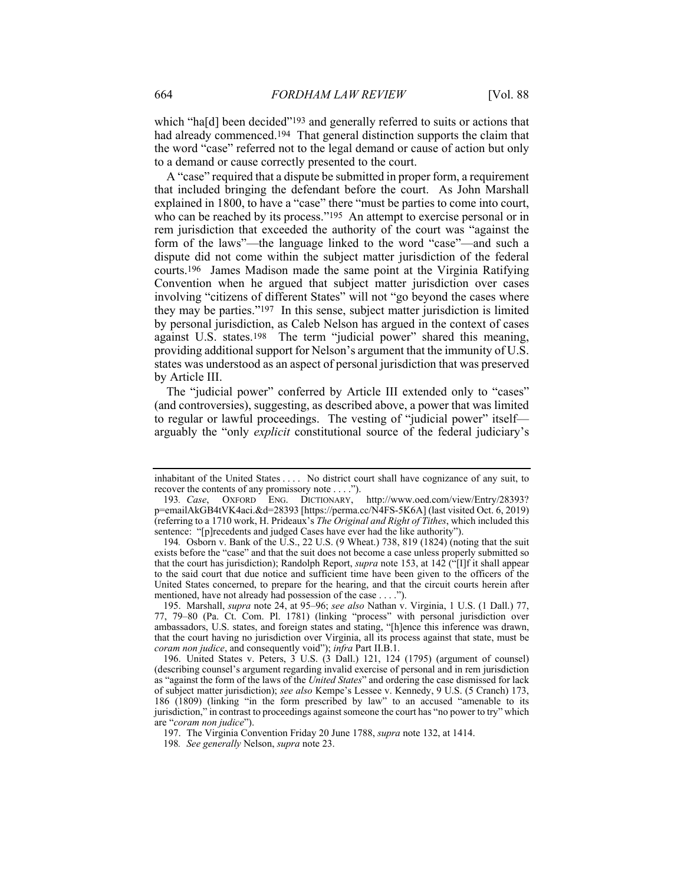which "ha[d] been decided"<sup>193</sup> and generally referred to suits or actions that had already commenced.<sup>194</sup> That general distinction supports the claim that the word "case" referred not to the legal demand or cause of action but only to a demand or cause correctly presented to the court.

A "case" required that a dispute be submitted in proper form, a requirement that included bringing the defendant before the court. As John Marshall explained in 1800, to have a "case" there "must be parties to come into court, who can be reached by its process."<sup>195</sup> An attempt to exercise personal or in rem jurisdiction that exceeded the authority of the court was "against the form of the laws"—the language linked to the word "case"—and such a dispute did not come within the subject matter jurisdiction of the federal courts.196 James Madison made the same point at the Virginia Ratifying Convention when he argued that subject matter jurisdiction over cases involving "citizens of different States" will not "go beyond the cases where they may be parties."197 In this sense, subject matter jurisdiction is limited by personal jurisdiction, as Caleb Nelson has argued in the context of cases against U.S. states.198 The term "judicial power" shared this meaning, providing additional support for Nelson's argument that the immunity of U.S. states was understood as an aspect of personal jurisdiction that was preserved by Article III.

The "judicial power" conferred by Article III extended only to "cases" (and controversies), suggesting, as described above, a power that was limited to regular or lawful proceedings. The vesting of "judicial power" itself arguably the "only *explicit* constitutional source of the federal judiciary's

inhabitant of the United States . . . . No district court shall have cognizance of any suit, to recover the contents of any promissory note . . . .").

<sup>193</sup>*. Case*, OXFORD ENG. DICTIONARY, http://www.oed.com/view/Entry/28393? p=emailAkGB4tVK4aci.&d=28393 [https://perma.cc/N4FS-5K6A] (last visited Oct. 6, 2019) (referring to a 1710 work, H. Prideaux's *The Original and Right of Tithes*, which included this sentence: "[p]recedents and judged Cases have ever had the like authority").

<sup>194</sup>*.* Osborn v. Bank of the U.S., 22 U.S. (9 Wheat.) 738, 819 (1824) (noting that the suit exists before the "case" and that the suit does not become a case unless properly submitted so that the court has jurisdiction); Randolph Report, *supra* note 153, at 142 ("[I]f it shall appear to the said court that due notice and sufficient time have been given to the officers of the United States concerned, to prepare for the hearing, and that the circuit courts herein after mentioned, have not already had possession of the case . . . .").

 <sup>195.</sup> Marshall, *supra* note 24, at 95–96; *see also* Nathan v. Virginia, 1 U.S. (1 Dall.) 77, 77, 79–80 (Pa. Ct. Com. Pl. 1781) (linking "process" with personal jurisdiction over ambassadors, U.S. states, and foreign states and stating, "[h]ence this inference was drawn, that the court having no jurisdiction over Virginia, all its process against that state, must be *coram non judice*, and consequently void"); *infra* Part II.B.1.

 <sup>196.</sup> United States v. Peters, 3 U.S. (3 Dall.) 121, 124 (1795) (argument of counsel) (describing counsel's argument regarding invalid exercise of personal and in rem jurisdiction as "against the form of the laws of the *United States*" and ordering the case dismissed for lack of subject matter jurisdiction); *see also* Kempe's Lessee v. Kennedy, 9 U.S. (5 Cranch) 173, 186 (1809) (linking "in the form prescribed by law" to an accused "amenable to its jurisdiction," in contrast to proceedings against someone the court has "no power to try" which are "*coram non judice*").

 <sup>197.</sup> The Virginia Convention Friday 20 June 1788, *supra* note 132, at 1414.

<sup>198</sup>*. See generally* Nelson, *supra* note 23.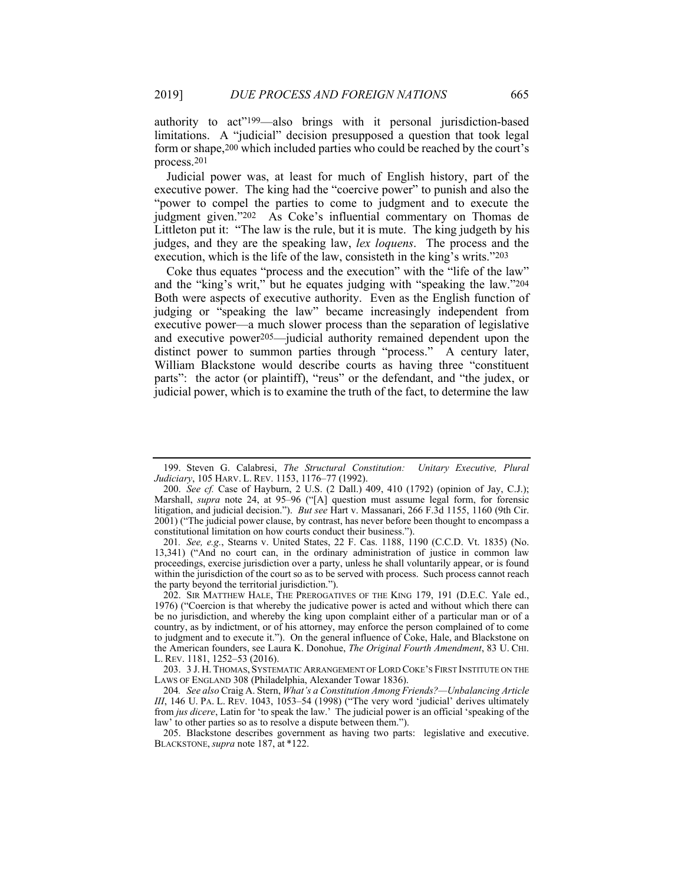authority to act"199—also brings with it personal jurisdiction-based limitations. A "judicial" decision presupposed a question that took legal form or shape,200 which included parties who could be reached by the court's process.201

Judicial power was, at least for much of English history, part of the executive power. The king had the "coercive power" to punish and also the "power to compel the parties to come to judgment and to execute the judgment given."202 As Coke's influential commentary on Thomas de Littleton put it: "The law is the rule, but it is mute. The king judgeth by his judges, and they are the speaking law, *lex loquens*. The process and the execution, which is the life of the law, consisteth in the king's writs."203

Coke thus equates "process and the execution" with the "life of the law" and the "king's writ," but he equates judging with "speaking the law."204 Both were aspects of executive authority. Even as the English function of judging or "speaking the law" became increasingly independent from executive power—a much slower process than the separation of legislative and executive power205—judicial authority remained dependent upon the distinct power to summon parties through "process." A century later, William Blackstone would describe courts as having three "constituent parts": the actor (or plaintiff), "reus" or the defendant, and "the judex, or judicial power, which is to examine the truth of the fact, to determine the law

 <sup>199.</sup> Steven G. Calabresi, *The Structural Constitution: Unitary Executive, Plural Judiciary*, 105 HARV. L. REV. 1153, 1176–77 (1992).

 <sup>200.</sup> *See cf.* Case of Hayburn, 2 U.S. (2 Dall.) 409, 410 (1792) (opinion of Jay, C.J.); Marshall, *supra* note 24, at 95–96 ("[A] question must assume legal form, for forensic litigation, and judicial decision."). *But see* Hart v. Massanari, 266 F.3d 1155, 1160 (9th Cir. 2001) ("The judicial power clause, by contrast, has never before been thought to encompass a constitutional limitation on how courts conduct their business.").

<sup>201</sup>*. See, e.g.*, Stearns v. United States, 22 F. Cas. 1188, 1190 (C.C.D. Vt. 1835) (No. 13,341) ("And no court can, in the ordinary administration of justice in common law proceedings, exercise jurisdiction over a party, unless he shall voluntarily appear, or is found within the jurisdiction of the court so as to be served with process. Such process cannot reach the party beyond the territorial jurisdiction.").

 <sup>202.</sup> SIR MATTHEW HALE, THE PREROGATIVES OF THE KING 179, 191 (D.E.C. Yale ed., 1976) ("Coercion is that whereby the judicative power is acted and without which there can be no jurisdiction, and whereby the king upon complaint either of a particular man or of a country, as by indictment, or of his attorney, may enforce the person complained of to come to judgment and to execute it."). On the general influence of Coke, Hale, and Blackstone on the American founders, see Laura K. Donohue, *The Original Fourth Amendment*, 83 U. CHI. L. REV. 1181, 1252–53 (2016).

 <sup>203. 3</sup> J. H. THOMAS, SYSTEMATIC ARRANGEMENT OF LORD COKE'S FIRST INSTITUTE ON THE LAWS OF ENGLAND 308 (Philadelphia, Alexander Towar 1836).

<sup>204</sup>*. See also* Craig A. Stern, *What's a Constitution Among Friends?—Unbalancing Article III*, 146 U. PA. L. REV. 1043, 1053–54 (1998) ("The very word 'judicial' derives ultimately from *jus dicere*, Latin for 'to speak the law.' The judicial power is an official 'speaking of the law' to other parties so as to resolve a dispute between them.").

 <sup>205.</sup> Blackstone describes government as having two parts: legislative and executive. BLACKSTONE, *supra* note 187, at \*122.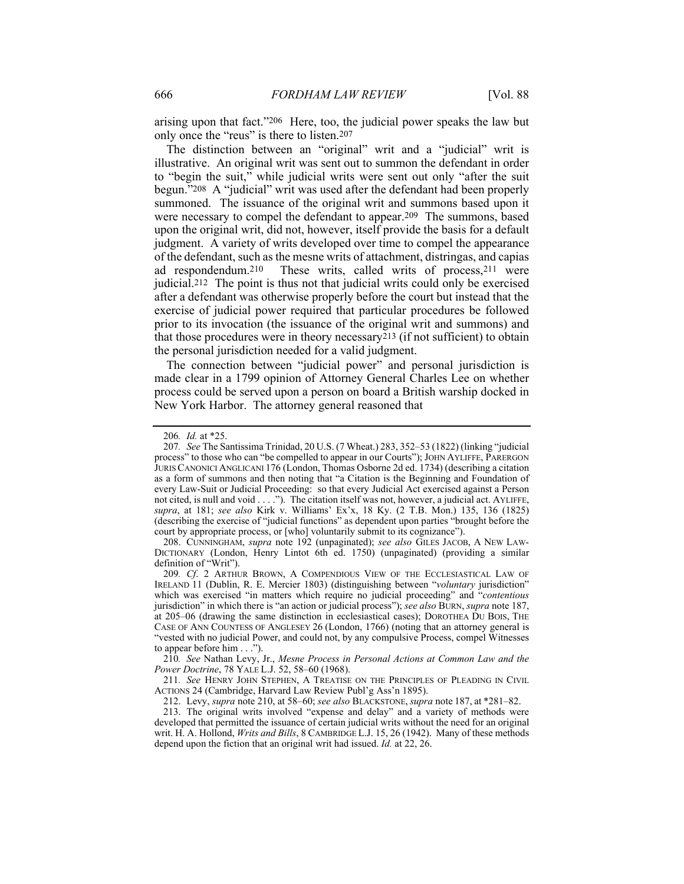arising upon that fact."206 Here, too, the judicial power speaks the law but only once the "reus" is there to listen.207

The distinction between an "original" writ and a "judicial" writ is illustrative. An original writ was sent out to summon the defendant in order to "begin the suit," while judicial writs were sent out only "after the suit begun."208 A "judicial" writ was used after the defendant had been properly summoned. The issuance of the original writ and summons based upon it were necessary to compel the defendant to appear.209 The summons, based upon the original writ, did not, however, itself provide the basis for a default judgment. A variety of writs developed over time to compel the appearance of the defendant, such as the mesne writs of attachment, distringas, and capias ad respondendum.<sup>210</sup> These writs, called writs of process.<sup>211</sup> were These writs, called writs of process, $211$  were judicial.212 The point is thus not that judicial writs could only be exercised after a defendant was otherwise properly before the court but instead that the exercise of judicial power required that particular procedures be followed prior to its invocation (the issuance of the original writ and summons) and that those procedures were in theory necessary213 (if not sufficient) to obtain the personal jurisdiction needed for a valid judgment.

The connection between "judicial power" and personal jurisdiction is made clear in a 1799 opinion of Attorney General Charles Lee on whether process could be served upon a person on board a British warship docked in New York Harbor. The attorney general reasoned that

 208. CUNNINGHAM, *supra* note 192 (unpaginated); *see also* GILES JACOB, A NEW LAW-DICTIONARY (London, Henry Lintot 6th ed. 1750) (unpaginated) (providing a similar definition of "Writ").

209*. Cf*. 2 ARTHUR BROWN, A COMPENDIOUS VIEW OF THE ECCLESIASTICAL LAW OF IRELAND 11 (Dublin, R. E. Mercier 1803) (distinguishing between "*voluntary* jurisdiction" which was exercised "in matters which require no judicial proceeding" and "*contentious* jurisdiction" in which there is "an action or judicial process"); *see also* BURN, *supra* note 187, at 205–06 (drawing the same distinction in ecclesiastical cases); DOROTHEA DU BOIS, THE CASE OF ANN COUNTESS OF ANGLESEY 26 (London, 1766) (noting that an attorney general is "vested with no judicial Power, and could not, by any compulsive Process, compel Witnesses to appear before him . . .").

210*. See* Nathan Levy, Jr., *Mesne Process in Personal Actions at Common Law and the Power Doctrine*, 78 YALE L.J. 52, 58–60 (1968).

211*. See* HENRY JOHN STEPHEN, A TREATISE ON THE PRINCIPLES OF PLEADING IN CIVIL ACTIONS 24 (Cambridge, Harvard Law Review Publ'g Ass'n 1895).

212. Levy, *supra* note 210, at 58–60; *see also* BLACKSTONE, *supra* note 187, at \*281–82.

 213. The original writs involved "expense and delay" and a variety of methods were developed that permitted the issuance of certain judicial writs without the need for an original writ. H. A. Hollond, *Writs and Bills*, 8 CAMBRIDGE L.J. 15, 26 (1942). Many of these methods depend upon the fiction that an original writ had issued. *Id.* at 22, 26.

<sup>206</sup>*. Id.* at \*25.

<sup>207</sup>*. See* The Santissima Trinidad, 20 U.S. (7 Wheat.) 283, 352–53 (1822) (linking "judicial process" to those who can "be compelled to appear in our Courts"); JOHN AYLIFFE, PARERGON JURIS CANONICI ANGLICANI 176 (London, Thomas Osborne 2d ed. 1734) (describing a citation as a form of summons and then noting that "a Citation is the Beginning and Foundation of every Law-Suit or Judicial Proceeding: so that every Judicial Act exercised against a Person not cited, is null and void . . . ."). The citation itself was not, however, a judicial act. AYLIFFE, *supra*, at 181; *see also* Kirk v. Williams' Ex'x, 18 Ky. (2 T.B. Mon.) 135, 136 (1825) (describing the exercise of "judicial functions" as dependent upon parties "brought before the court by appropriate process, or [who] voluntarily submit to its cognizance").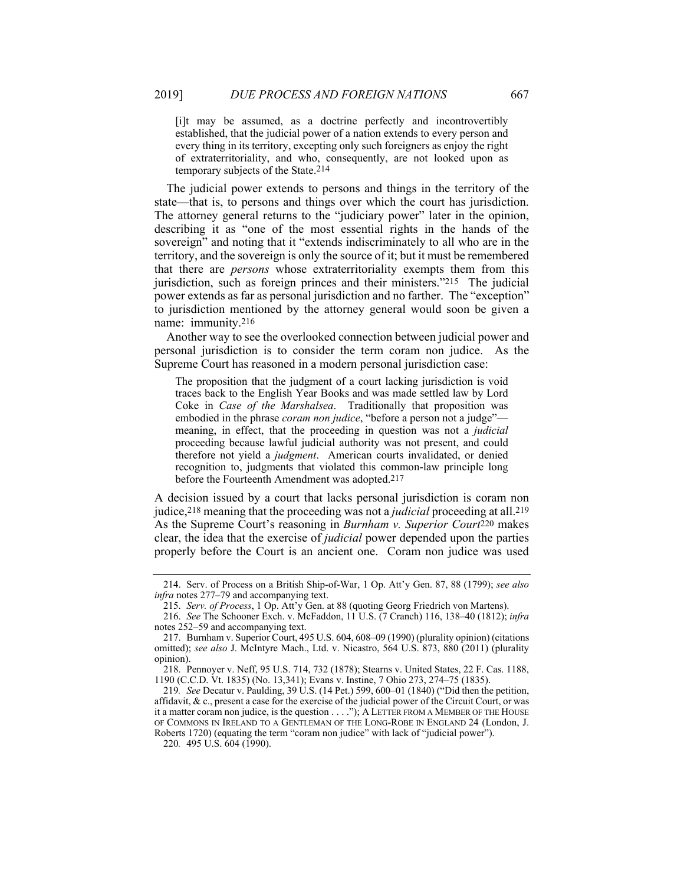[i]t may be assumed, as a doctrine perfectly and incontrovertibly established, that the judicial power of a nation extends to every person and every thing in its territory, excepting only such foreigners as enjoy the right of extraterritoriality, and who, consequently, are not looked upon as temporary subjects of the State.214

The judicial power extends to persons and things in the territory of the state—that is, to persons and things over which the court has jurisdiction. The attorney general returns to the "judiciary power" later in the opinion, describing it as "one of the most essential rights in the hands of the sovereign" and noting that it "extends indiscriminately to all who are in the territory, and the sovereign is only the source of it; but it must be remembered that there are *persons* whose extraterritoriality exempts them from this jurisdiction, such as foreign princes and their ministers."215 The judicial power extends as far as personal jurisdiction and no farther. The "exception" to jurisdiction mentioned by the attorney general would soon be given a name: immunity.216

Another way to see the overlooked connection between judicial power and personal jurisdiction is to consider the term coram non judice. As the Supreme Court has reasoned in a modern personal jurisdiction case:

The proposition that the judgment of a court lacking jurisdiction is void traces back to the English Year Books and was made settled law by Lord Coke in *Case of the Marshalsea*. Traditionally that proposition was embodied in the phrase *coram non judice*, "before a person not a judge" meaning, in effect, that the proceeding in question was not a *judicial* proceeding because lawful judicial authority was not present, and could therefore not yield a *judgment*. American courts invalidated, or denied recognition to, judgments that violated this common-law principle long before the Fourteenth Amendment was adopted.217

A decision issued by a court that lacks personal jurisdiction is coram non judice,218 meaning that the proceeding was not a *judicial* proceeding at all.219 As the Supreme Court's reasoning in *Burnham v. Superior Court*220 makes clear, the idea that the exercise of *judicial* power depended upon the parties properly before the Court is an ancient one. Coram non judice was used

220*.* 495 U.S. 604 (1990).

 <sup>214.</sup> Serv. of Process on a British Ship-of-War, 1 Op. Att'y Gen. 87, 88 (1799); *see also infra* notes 277–79 and accompanying text.

 <sup>215.</sup> *Serv. of Process*, 1 Op. Att'y Gen. at 88 (quoting Georg Friedrich von Martens).

 <sup>216.</sup> *See* The Schooner Exch. v. McFaddon, 11 U.S. (7 Cranch) 116, 138–40 (1812); *infra* notes 252–59 and accompanying text.

 <sup>217.</sup> Burnham v. Superior Court, 495 U.S. 604, 608–09 (1990) (plurality opinion) (citations omitted); *see also* J. McIntyre Mach., Ltd. v. Nicastro, 564 U.S. 873, 880 (2011) (plurality opinion).

 <sup>218.</sup> Pennoyer v. Neff, 95 U.S. 714, 732 (1878); Stearns v. United States, 22 F. Cas. 1188, 1190 (C.C.D. Vt. 1835) (No. 13,341); Evans v. Instine, 7 Ohio 273, 274–75 (1835).

<sup>219</sup>*. See* Decatur v. Paulding, 39 U.S. (14 Pet.) 599, 600–01 (1840) ("Did then the petition, affidavit,  $\&c.$ , present a case for the exercise of the judicial power of the Circuit Court, or was it a matter coram non judice, is the question . . . ."); A LETTER FROM A MEMBER OF THE HOUSE OF COMMONS IN IRELAND TO A GENTLEMAN OF THE LONG-ROBE IN ENGLAND 24 (London, J. Roberts 1720) (equating the term "coram non judice" with lack of "judicial power").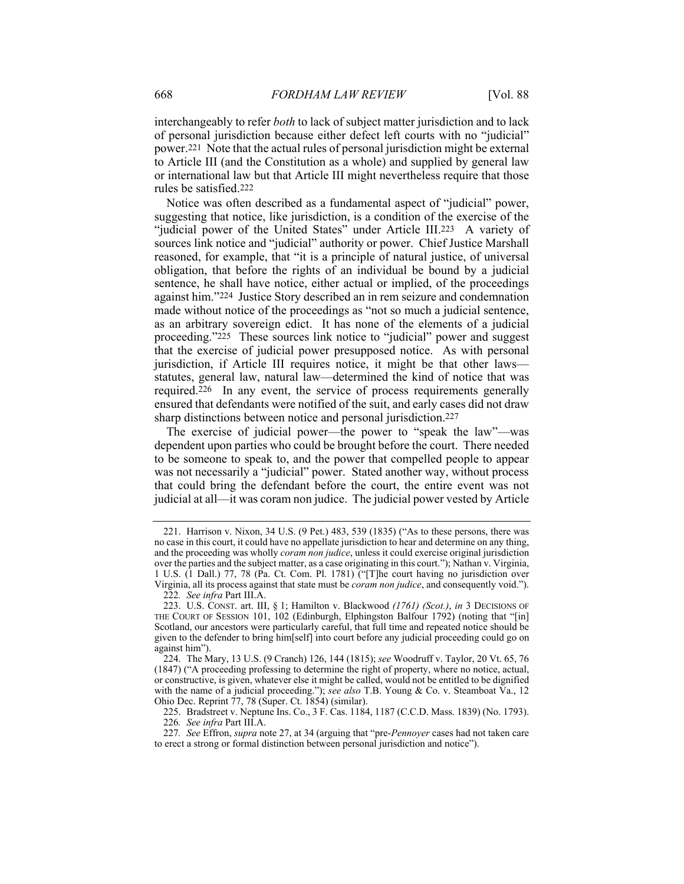interchangeably to refer *both* to lack of subject matter jurisdiction and to lack of personal jurisdiction because either defect left courts with no "judicial" power.221 Note that the actual rules of personal jurisdiction might be external to Article III (and the Constitution as a whole) and supplied by general law or international law but that Article III might nevertheless require that those rules be satisfied.222

Notice was often described as a fundamental aspect of "judicial" power, suggesting that notice, like jurisdiction, is a condition of the exercise of the "judicial power of the United States" under Article III.223 A variety of sources link notice and "judicial" authority or power. Chief Justice Marshall reasoned, for example, that "it is a principle of natural justice, of universal obligation, that before the rights of an individual be bound by a judicial sentence, he shall have notice, either actual or implied, of the proceedings against him."224 Justice Story described an in rem seizure and condemnation made without notice of the proceedings as "not so much a judicial sentence, as an arbitrary sovereign edict. It has none of the elements of a judicial proceeding."225 These sources link notice to "judicial" power and suggest that the exercise of judicial power presupposed notice. As with personal jurisdiction, if Article III requires notice, it might be that other laws statutes, general law, natural law—determined the kind of notice that was required.226 In any event, the service of process requirements generally ensured that defendants were notified of the suit, and early cases did not draw sharp distinctions between notice and personal jurisdiction.227

The exercise of judicial power—the power to "speak the law"—was dependent upon parties who could be brought before the court. There needed to be someone to speak to, and the power that compelled people to appear was not necessarily a "judicial" power. Stated another way, without process that could bring the defendant before the court, the entire event was not judicial at all—it was coram non judice. The judicial power vested by Article

 225. Bradstreet v. Neptune Ins. Co., 3 F. Cas. 1184, 1187 (C.C.D. Mass. 1839) (No. 1793). 226*. See infra* Part III.A.

 <sup>221.</sup> Harrison v. Nixon, 34 U.S. (9 Pet.) 483, 539 (1835) ("As to these persons, there was no case in this court, it could have no appellate jurisdiction to hear and determine on any thing, and the proceeding was wholly *coram non judice*, unless it could exercise original jurisdiction over the parties and the subject matter, as a case originating in this court."); Nathan v. Virginia, 1 U.S. (1 Dall.) 77, 78 (Pa. Ct. Com. Pl. 1781) ("[T]he court having no jurisdiction over Virginia, all its process against that state must be *coram non judice*, and consequently void."). 222*. See infra* Part III.A.

 <sup>223.</sup> U.S. CONST. art. III, § 1; Hamilton v. Blackwood *(1761) (Scot.)*, *in* 3 DECISIONS OF THE COURT OF SESSION 101, 102 (Edinburgh, Elphingston Balfour 1792) (noting that "[in] Scotland, our ancestors were particularly careful, that full time and repeated notice should be given to the defender to bring him[self] into court before any judicial proceeding could go on against him").

 <sup>224.</sup> The Mary, 13 U.S. (9 Cranch) 126, 144 (1815); *see* Woodruff v. Taylor, 20 Vt. 65, 76 (1847) ("A proceeding professing to determine the right of property, where no notice, actual, or constructive, is given, whatever else it might be called, would not be entitled to be dignified with the name of a judicial proceeding."); *see also* T.B. Young & Co. v. Steamboat Va., 12 Ohio Dec. Reprint 77, 78 (Super. Ct. 1854) (similar).

<sup>227</sup>*. See* Effron, *supra* note 27, at 34 (arguing that "pre-*Pennoyer* cases had not taken care to erect a strong or formal distinction between personal jurisdiction and notice").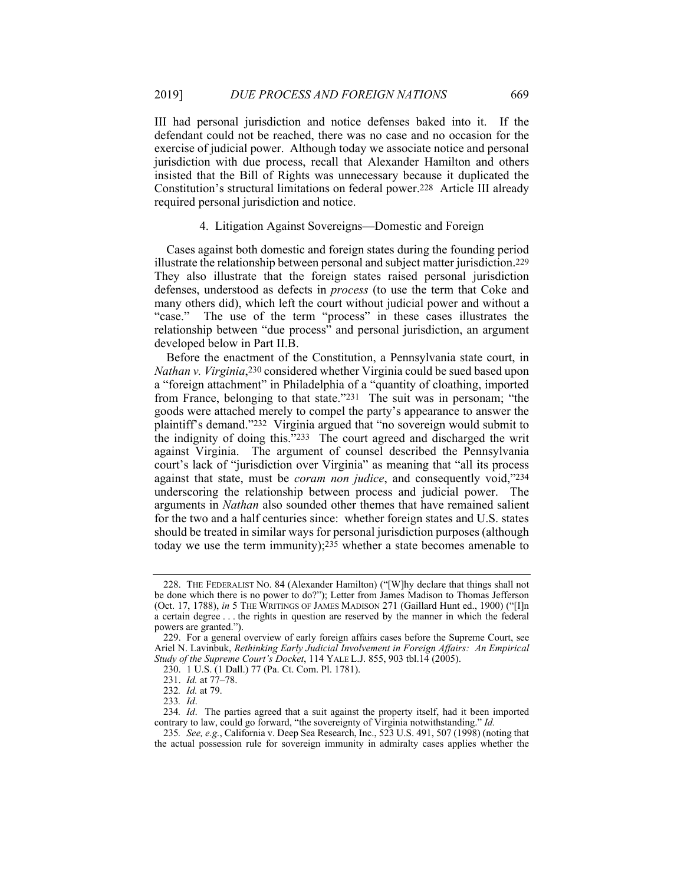III had personal jurisdiction and notice defenses baked into it. If the defendant could not be reached, there was no case and no occasion for the exercise of judicial power. Although today we associate notice and personal jurisdiction with due process, recall that Alexander Hamilton and others insisted that the Bill of Rights was unnecessary because it duplicated the Constitution's structural limitations on federal power.228 Article III already required personal jurisdiction and notice.

## 4. Litigation Against Sovereigns—Domestic and Foreign

Cases against both domestic and foreign states during the founding period illustrate the relationship between personal and subject matter jurisdiction.229 They also illustrate that the foreign states raised personal jurisdiction defenses, understood as defects in *process* (to use the term that Coke and many others did), which left the court without judicial power and without a "case." The use of the term "process" in these cases illustrates the relationship between "due process" and personal jurisdiction, an argument developed below in Part II.B.

Before the enactment of the Constitution, a Pennsylvania state court, in *Nathan v. Virginia*,230 considered whether Virginia could be sued based upon a "foreign attachment" in Philadelphia of a "quantity of cloathing, imported from France, belonging to that state."231 The suit was in personam; "the goods were attached merely to compel the party's appearance to answer the plaintiff's demand."232 Virginia argued that "no sovereign would submit to the indignity of doing this."233 The court agreed and discharged the writ against Virginia. The argument of counsel described the Pennsylvania court's lack of "jurisdiction over Virginia" as meaning that "all its process against that state, must be *coram non judice*, and consequently void,"234 underscoring the relationship between process and judicial power. The arguments in *Nathan* also sounded other themes that have remained salient for the two and a half centuries since: whether foreign states and U.S. states should be treated in similar ways for personal jurisdiction purposes (although today we use the term immunity);235 whether a state becomes amenable to

 <sup>228.</sup> THE FEDERALIST NO. 84 (Alexander Hamilton) ("[W]hy declare that things shall not be done which there is no power to do?"); Letter from James Madison to Thomas Jefferson (Oct. 17, 1788), *in* 5 THE WRITINGS OF JAMES MADISON 271 (Gaillard Hunt ed., 1900) ("[I]n a certain degree . . . the rights in question are reserved by the manner in which the federal powers are granted.").

 <sup>229.</sup> For a general overview of early foreign affairs cases before the Supreme Court, see Ariel N. Lavinbuk, *Rethinking Early Judicial Involvement in Foreign Affairs: An Empirical Study of the Supreme Court's Docket*, 114 YALE L.J. 855, 903 tbl.14 (2005).

 <sup>230. 1</sup> U.S. (1 Dall.) 77 (Pa. Ct. Com. Pl. 1781).

 <sup>231.</sup> *Id.* at 77–78.

<sup>232</sup>*. Id.* at 79.

<sup>233</sup>*. Id*.

<sup>234</sup>*. Id*. The parties agreed that a suit against the property itself, had it been imported contrary to law, could go forward, "the sovereignty of Virginia notwithstanding." *Id.* 

<sup>235</sup>*. See, e.g.*, California v. Deep Sea Research, Inc., 523 U.S. 491, 507 (1998) (noting that the actual possession rule for sovereign immunity in admiralty cases applies whether the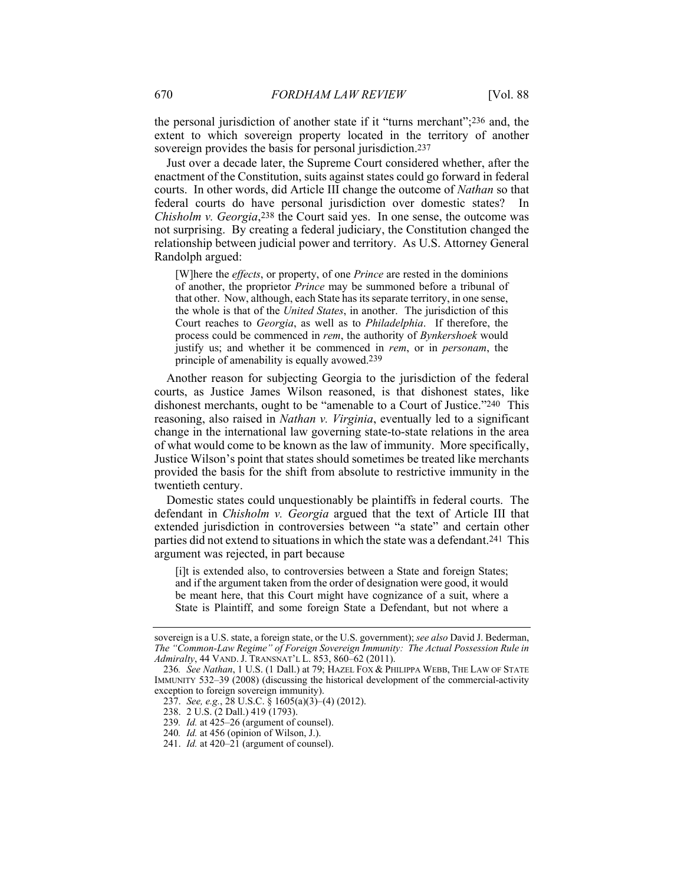the personal jurisdiction of another state if it "turns merchant";236 and, the extent to which sovereign property located in the territory of another sovereign provides the basis for personal jurisdiction.<sup>237</sup>

Just over a decade later, the Supreme Court considered whether, after the enactment of the Constitution, suits against states could go forward in federal courts. In other words, did Article III change the outcome of *Nathan* so that federal courts do have personal jurisdiction over domestic states? In *Chisholm v. Georgia*,<sup>238</sup> the Court said yes. In one sense, the outcome was not surprising. By creating a federal judiciary, the Constitution changed the relationship between judicial power and territory. As U.S. Attorney General Randolph argued:

[W]here the *effects*, or property, of one *Prince* are rested in the dominions of another, the proprietor *Prince* may be summoned before a tribunal of that other. Now, although, each State has its separate territory, in one sense, the whole is that of the *United States*, in another. The jurisdiction of this Court reaches to *Georgia*, as well as to *Philadelphia*. If therefore, the process could be commenced in *rem*, the authority of *Bynkershoek* would justify us; and whether it be commenced in *rem*, or in *personam*, the principle of amenability is equally avowed.239

Another reason for subjecting Georgia to the jurisdiction of the federal courts, as Justice James Wilson reasoned, is that dishonest states, like dishonest merchants, ought to be "amenable to a Court of Justice."240 This reasoning, also raised in *Nathan v. Virginia*, eventually led to a significant change in the international law governing state-to-state relations in the area of what would come to be known as the law of immunity. More specifically, Justice Wilson's point that states should sometimes be treated like merchants provided the basis for the shift from absolute to restrictive immunity in the twentieth century.

Domestic states could unquestionably be plaintiffs in federal courts. The defendant in *Chisholm v. Georgia* argued that the text of Article III that extended jurisdiction in controversies between "a state" and certain other parties did not extend to situations in which the state was a defendant.241 This argument was rejected, in part because

[i]t is extended also, to controversies between a State and foreign States; and if the argument taken from the order of designation were good, it would be meant here, that this Court might have cognizance of a suit, where a State is Plaintiff, and some foreign State a Defendant, but not where a

sovereign is a U.S. state, a foreign state, or the U.S. government); *see also* David J. Bederman, *The "Common-Law Regime" of Foreign Sovereign Immunity: The Actual Possession Rule in Admiralty*, 44 VAND. J. TRANSNAT'L L. 853, 860–62 (2011).

<sup>236</sup>*. See Nathan*, 1 U.S. (1 Dall.) at 79; HAZEL FOX & PHILIPPA WEBB, THE LAW OF STATE IMMUNITY 532–39 (2008) (discussing the historical development of the commercial-activity exception to foreign sovereign immunity).

 <sup>237.</sup> *See, e.g.*, 28 U.S.C. § 1605(a)(3)–(4) (2012).

 <sup>238. 2</sup> U.S. (2 Dall.) 419 (1793).

<sup>239</sup>*. Id.* at 425–26 (argument of counsel).

<sup>240</sup>*. Id.* at 456 (opinion of Wilson, J.).

 <sup>241.</sup> *Id.* at 420–21 (argument of counsel).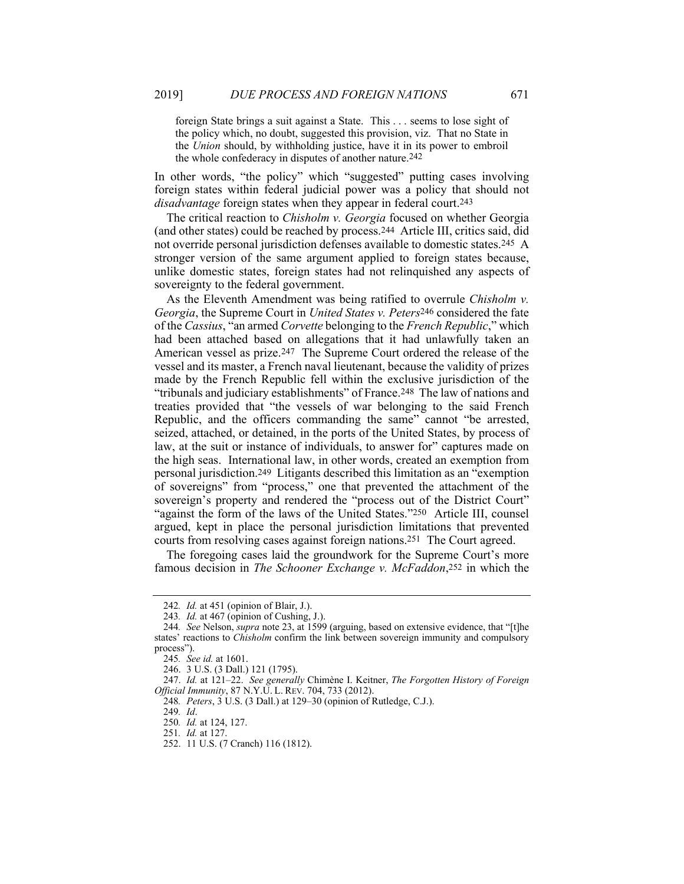foreign State brings a suit against a State. This . . . seems to lose sight of the policy which, no doubt, suggested this provision, viz. That no State in the *Union* should, by withholding justice, have it in its power to embroil the whole confederacy in disputes of another nature.242

In other words, "the policy" which "suggested" putting cases involving foreign states within federal judicial power was a policy that should not *disadvantage* foreign states when they appear in federal court.243

The critical reaction to *Chisholm v. Georgia* focused on whether Georgia (and other states) could be reached by process.244 Article III, critics said, did not override personal jurisdiction defenses available to domestic states.245 A stronger version of the same argument applied to foreign states because, unlike domestic states, foreign states had not relinquished any aspects of sovereignty to the federal government.

As the Eleventh Amendment was being ratified to overrule *Chisholm v. Georgia*, the Supreme Court in *United States v. Peters*246 considered the fate of the *Cassius*, "an armed *Corvette* belonging to the *French Republic*," which had been attached based on allegations that it had unlawfully taken an American vessel as prize.247 The Supreme Court ordered the release of the vessel and its master, a French naval lieutenant, because the validity of prizes made by the French Republic fell within the exclusive jurisdiction of the "tribunals and judiciary establishments" of France.248 The law of nations and treaties provided that "the vessels of war belonging to the said French Republic, and the officers commanding the same" cannot "be arrested, seized, attached, or detained, in the ports of the United States, by process of law, at the suit or instance of individuals, to answer for" captures made on the high seas. International law, in other words, created an exemption from personal jurisdiction.249 Litigants described this limitation as an "exemption of sovereigns" from "process," one that prevented the attachment of the sovereign's property and rendered the "process out of the District Court" "against the form of the laws of the United States."250 Article III, counsel argued, kept in place the personal jurisdiction limitations that prevented courts from resolving cases against foreign nations.251 The Court agreed.

The foregoing cases laid the groundwork for the Supreme Court's more famous decision in *The Schooner Exchange v. McFaddon*,252 in which the

<sup>242</sup>*. Id.* at 451 (opinion of Blair, J.).

<sup>243</sup>*. Id.* at 467 (opinion of Cushing, J.).

<sup>244</sup>*. See* Nelson, *supra* note 23, at 1599 (arguing, based on extensive evidence, that "[t]he states' reactions to *Chisholm* confirm the link between sovereign immunity and compulsory process").

<sup>245</sup>*. See id.* at 1601.

 <sup>246. 3</sup> U.S. (3 Dall.) 121 (1795).

 <sup>247.</sup> *Id.* at 121–22. *See generally* Chimène I. Keitner, *The Forgotten History of Foreign Official Immunity*, 87 N.Y.U. L. REV. 704, 733 (2012).

<sup>248</sup>*. Peters*, 3 U.S. (3 Dall.) at 129–30 (opinion of Rutledge, C.J.).

<sup>249</sup>*. Id*.

<sup>250</sup>*. Id.* at 124, 127.

<sup>251</sup>*. Id.* at 127.

 <sup>252. 11</sup> U.S. (7 Cranch) 116 (1812).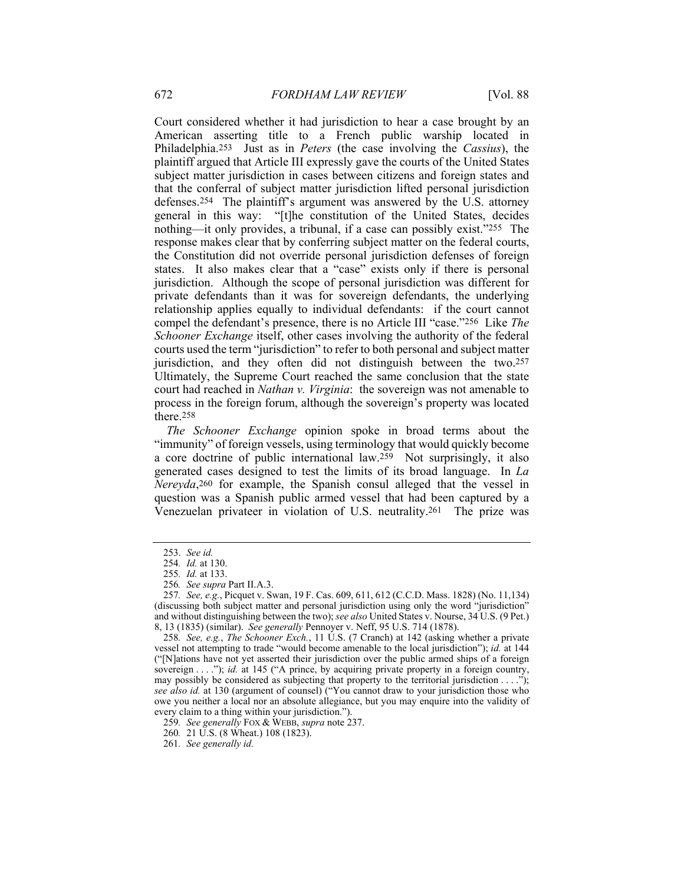Court considered whether it had jurisdiction to hear a case brought by an American asserting title to a French public warship located in Philadelphia.253 Just as in *Peters* (the case involving the *Cassius*), the plaintiff argued that Article III expressly gave the courts of the United States subject matter jurisdiction in cases between citizens and foreign states and that the conferral of subject matter jurisdiction lifted personal jurisdiction defenses.254 The plaintiff's argument was answered by the U.S. attorney general in this way: "[t]he constitution of the United States, decides nothing—it only provides, a tribunal, if a case can possibly exist."255 The response makes clear that by conferring subject matter on the federal courts, the Constitution did not override personal jurisdiction defenses of foreign states. It also makes clear that a "case" exists only if there is personal jurisdiction. Although the scope of personal jurisdiction was different for private defendants than it was for sovereign defendants, the underlying relationship applies equally to individual defendants: if the court cannot compel the defendant's presence, there is no Article III "case."256 Like *The Schooner Exchange* itself, other cases involving the authority of the federal courts used the term "jurisdiction" to refer to both personal and subject matter jurisdiction, and they often did not distinguish between the two.257 Ultimately, the Supreme Court reached the same conclusion that the state court had reached in *Nathan v. Virginia*: the sovereign was not amenable to process in the foreign forum, although the sovereign's property was located there.258

*The Schooner Exchange* opinion spoke in broad terms about the "immunity" of foreign vessels, using terminology that would quickly become a core doctrine of public international law.259 Not surprisingly, it also generated cases designed to test the limits of its broad language. In *La Nereyda*,260 for example, the Spanish consul alleged that the vessel in question was a Spanish public armed vessel that had been captured by a Venezuelan privateer in violation of U.S. neutrality.261 The prize was

 <sup>253.</sup> *See id.*

<sup>254</sup>*. Id.* at 130.

<sup>255</sup>*. Id.* at 133.

<sup>256</sup>*. See supra* Part II.A.3.

<sup>257</sup>*. See, e.g.*, Picquet v. Swan, 19 F. Cas. 609, 611, 612 (C.C.D. Mass. 1828) (No. 11,134) (discussing both subject matter and personal jurisdiction using only the word "jurisdiction" and without distinguishing between the two); *see also* United States v. Nourse, 34 U.S. (9 Pet.) 8, 13 (1835) (similar). *See generally* Pennoyer v. Neff, 95 U.S. 714 (1878).

<sup>258</sup>*. See, e.g.*, *The Schooner Exch.*, 11 U.S. (7 Cranch) at 142 (asking whether a private vessel not attempting to trade "would become amenable to the local jurisdiction"); *id.* at 144 ("[N]ations have not yet asserted their jurisdiction over the public armed ships of a foreign sovereign . . . ."); *id.* at 145 ("A prince, by acquiring private property in a foreign country, may possibly be considered as subjecting that property to the territorial jurisdiction . . . ."); *see also id.* at 130 (argument of counsel) ("You cannot draw to your jurisdiction those who owe you neither a local nor an absolute allegiance, but you may enquire into the validity of every claim to a thing within your jurisdiction.").

<sup>259</sup>*. See generally* FOX & WEBB, *supra* note 237.

<sup>260</sup>*.* 21 U.S. (8 Wheat.) 108 (1823).

<sup>261</sup>*. See generally id.*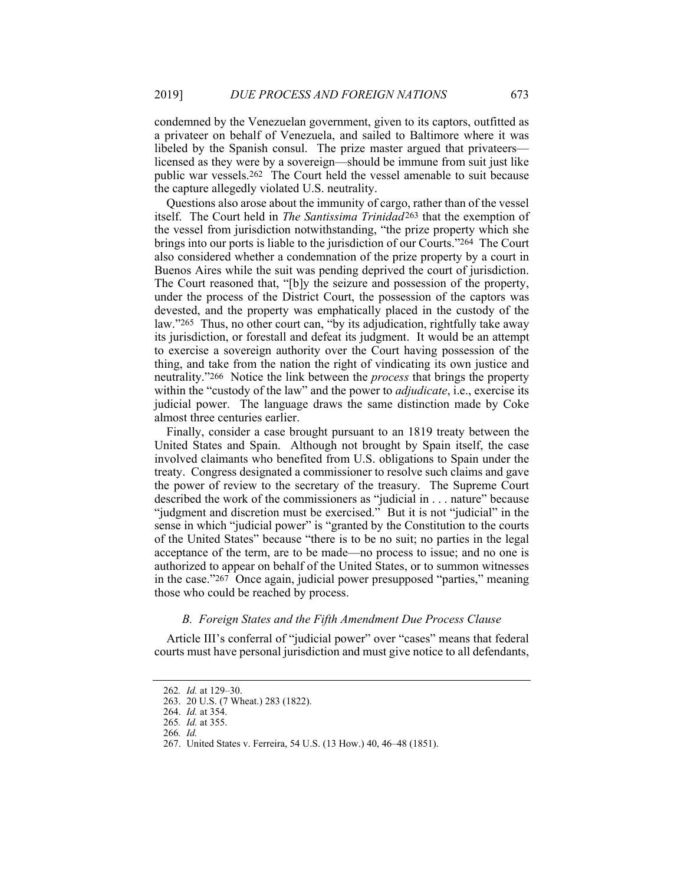condemned by the Venezuelan government, given to its captors, outfitted as a privateer on behalf of Venezuela, and sailed to Baltimore where it was libeled by the Spanish consul. The prize master argued that privateers licensed as they were by a sovereign—should be immune from suit just like public war vessels.262 The Court held the vessel amenable to suit because the capture allegedly violated U.S. neutrality.

Questions also arose about the immunity of cargo, rather than of the vessel itself. The Court held in *The Santissima Trinidad*263 that the exemption of the vessel from jurisdiction notwithstanding, "the prize property which she brings into our ports is liable to the jurisdiction of our Courts."264 The Court also considered whether a condemnation of the prize property by a court in Buenos Aires while the suit was pending deprived the court of jurisdiction. The Court reasoned that, "[b]y the seizure and possession of the property, under the process of the District Court, the possession of the captors was devested, and the property was emphatically placed in the custody of the law."265 Thus, no other court can, "by its adjudication, rightfully take away its jurisdiction, or forestall and defeat its judgment. It would be an attempt to exercise a sovereign authority over the Court having possession of the thing, and take from the nation the right of vindicating its own justice and neutrality."266 Notice the link between the *process* that brings the property within the "custody of the law" and the power to *adjudicate*, i.e., exercise its judicial power. The language draws the same distinction made by Coke almost three centuries earlier.

Finally, consider a case brought pursuant to an 1819 treaty between the United States and Spain. Although not brought by Spain itself, the case involved claimants who benefited from U.S. obligations to Spain under the treaty. Congress designated a commissioner to resolve such claims and gave the power of review to the secretary of the treasury. The Supreme Court described the work of the commissioners as "judicial in . . . nature" because "judgment and discretion must be exercised." But it is not "judicial" in the sense in which "judicial power" is "granted by the Constitution to the courts of the United States" because "there is to be no suit; no parties in the legal acceptance of the term, are to be made—no process to issue; and no one is authorized to appear on behalf of the United States, or to summon witnesses in the case."267 Once again, judicial power presupposed "parties," meaning those who could be reached by process.

## *B. Foreign States and the Fifth Amendment Due Process Clause*

Article III's conferral of "judicial power" over "cases" means that federal courts must have personal jurisdiction and must give notice to all defendants,

<sup>262</sup>*. Id.* at 129–30.

 <sup>263. 20</sup> U.S. (7 Wheat.) 283 (1822).

 <sup>264.</sup> *Id.* at 354.

<sup>265</sup>*. Id.* at 355.

<sup>266</sup>*. Id.*

 <sup>267.</sup> United States v. Ferreira, 54 U.S. (13 How.) 40, 46–48 (1851).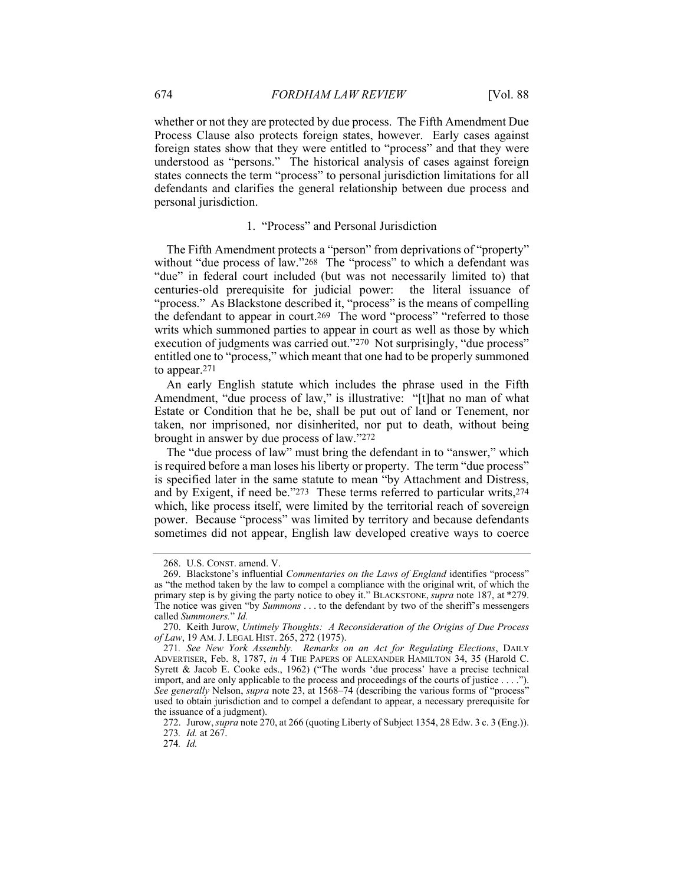whether or not they are protected by due process. The Fifth Amendment Due Process Clause also protects foreign states, however. Early cases against foreign states show that they were entitled to "process" and that they were understood as "persons." The historical analysis of cases against foreign states connects the term "process" to personal jurisdiction limitations for all defendants and clarifies the general relationship between due process and personal jurisdiction.

#### 1. "Process" and Personal Jurisdiction

The Fifth Amendment protects a "person" from deprivations of "property" without "due process of law."<sup>268</sup> The "process" to which a defendant was "due" in federal court included (but was not necessarily limited to) that centuries-old prerequisite for judicial power: the literal issuance of "process." As Blackstone described it, "process" is the means of compelling the defendant to appear in court.269 The word "process" "referred to those writs which summoned parties to appear in court as well as those by which execution of judgments was carried out."270 Not surprisingly, "due process" entitled one to "process," which meant that one had to be properly summoned to appear.271

An early English statute which includes the phrase used in the Fifth Amendment, "due process of law," is illustrative: "[t]hat no man of what Estate or Condition that he be, shall be put out of land or Tenement, nor taken, nor imprisoned, nor disinherited, nor put to death, without being brought in answer by due process of law."272

The "due process of law" must bring the defendant in to "answer," which is required before a man loses his liberty or property. The term "due process" is specified later in the same statute to mean "by Attachment and Distress, and by Exigent, if need be."273 These terms referred to particular writs,274 which, like process itself, were limited by the territorial reach of sovereign power. Because "process" was limited by territory and because defendants sometimes did not appear, English law developed creative ways to coerce

274*. Id.*

 <sup>268.</sup> U.S. CONST. amend. V.

 <sup>269.</sup> Blackstone's influential *Commentaries on the Laws of England* identifies "process" as "the method taken by the law to compel a compliance with the original writ, of which the primary step is by giving the party notice to obey it." BLACKSTONE, *supra* note 187, at \*279. The notice was given "by *Summons* . . . to the defendant by two of the sheriff's messengers called *Summoners.*" *Id.*

 <sup>270.</sup> Keith Jurow, *Untimely Thoughts: A Reconsideration of the Origins of Due Process of Law*, 19 AM. J. LEGAL HIST. 265, 272 (1975).

<sup>271</sup>*. See New York Assembly. Remarks on an Act for Regulating Elections*, DAILY ADVERTISER, Feb. 8, 1787, *in* 4 THE PAPERS OF ALEXANDER HAMILTON 34, 35 (Harold C. Syrett & Jacob E. Cooke eds., 1962) ("The words 'due process' have a precise technical import, and are only applicable to the process and proceedings of the courts of justice . . . ."). *See generally* Nelson, *supra* note 23, at 1568–74 (describing the various forms of "process" used to obtain jurisdiction and to compel a defendant to appear, a necessary prerequisite for the issuance of a judgment).

 <sup>272.</sup> Jurow, *supra* note 270, at 266 (quoting Liberty of Subject 1354, 28 Edw. 3 c. 3 (Eng.)). 273*. Id.* at 267.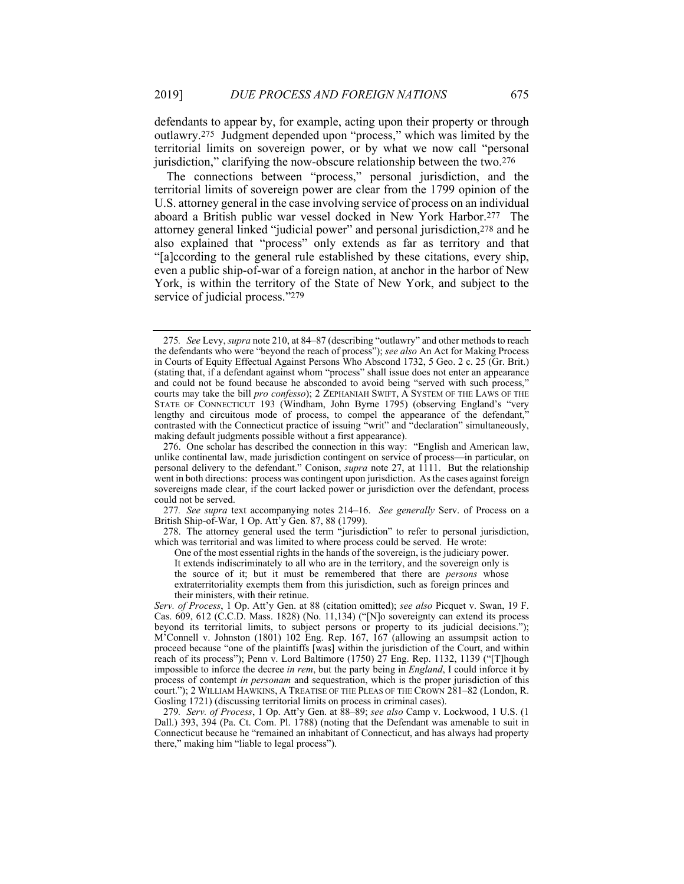defendants to appear by, for example, acting upon their property or through outlawry.275 Judgment depended upon "process," which was limited by the territorial limits on sovereign power, or by what we now call "personal jurisdiction," clarifying the now-obscure relationship between the two.276

The connections between "process," personal jurisdiction, and the territorial limits of sovereign power are clear from the 1799 opinion of the U.S. attorney general in the case involving service of process on an individual aboard a British public war vessel docked in New York Harbor.277 The attorney general linked "judicial power" and personal jurisdiction,278 and he also explained that "process" only extends as far as territory and that "[a]ccording to the general rule established by these citations, every ship, even a public ship-of-war of a foreign nation, at anchor in the harbor of New York, is within the territory of the State of New York, and subject to the service of judicial process."279

277*. See supra* text accompanying notes 214–16. *See generally* Serv. of Process on a British Ship-of-War, 1 Op. Att'y Gen. 87, 88 (1799).

 278. The attorney general used the term "jurisdiction" to refer to personal jurisdiction, which was territorial and was limited to where process could be served. He wrote:

One of the most essential rights in the hands of the sovereign, is the judiciary power. It extends indiscriminately to all who are in the territory, and the sovereign only is the source of it; but it must be remembered that there are *persons* whose extraterritoriality exempts them from this jurisdiction, such as foreign princes and their ministers, with their retinue.

*Serv. of Process*, 1 Op. Att'y Gen. at 88 (citation omitted); *see also* Picquet v. Swan, 19 F. Cas. 609, 612 (C.C.D. Mass. 1828) (No. 11,134) ("[N]o sovereignty can extend its process beyond its territorial limits, to subject persons or property to its judicial decisions."); M'Connell v. Johnston (1801) 102 Eng. Rep. 167, 167 (allowing an assumpsit action to proceed because "one of the plaintiffs [was] within the jurisdiction of the Court, and within reach of its process"); Penn v. Lord Baltimore (1750) 27 Eng. Rep. 1132, 1139 ("[T]hough impossible to inforce the decree *in rem*, but the party being in *England*, I could inforce it by process of contempt *in personam* and sequestration, which is the proper jurisdiction of this court."); 2 WILLIAM HAWKINS, A TREATISE OF THE PLEAS OF THE CROWN 281–82 (London, R. Gosling 1721) (discussing territorial limits on process in criminal cases).

279*. Serv. of Process*, 1 Op. Att'y Gen. at 88–89; *see also* Camp v. Lockwood, 1 U.S. (1 Dall.) 393, 394 (Pa. Ct. Com. Pl. 1788) (noting that the Defendant was amenable to suit in Connecticut because he "remained an inhabitant of Connecticut, and has always had property there," making him "liable to legal process").

<sup>275</sup>*. See* Levy, *supra* note 210, at 84–87 (describing "outlawry" and other methods to reach the defendants who were "beyond the reach of process"); *see also* An Act for Making Process in Courts of Equity Effectual Against Persons Who Abscond 1732, 5 Geo. 2 c. 25 (Gr. Brit.) (stating that, if a defendant against whom "process" shall issue does not enter an appearance and could not be found because he absconded to avoid being "served with such process," courts may take the bill *pro confesso*); 2 ZEPHANIAH SWIFT, A SYSTEM OF THE LAWS OF THE STATE OF CONNECTICUT 193 (Windham, John Byrne 1795) (observing England's "very lengthy and circuitous mode of process, to compel the appearance of the defendant," contrasted with the Connecticut practice of issuing "writ" and "declaration" simultaneously, making default judgments possible without a first appearance).

 <sup>276.</sup> One scholar has described the connection in this way: "English and American law, unlike continental law, made jurisdiction contingent on service of process—in particular, on personal delivery to the defendant." Conison, *supra* note 27, at 1111. But the relationship went in both directions: process was contingent upon jurisdiction. As the cases against foreign sovereigns made clear, if the court lacked power or jurisdiction over the defendant, process could not be served.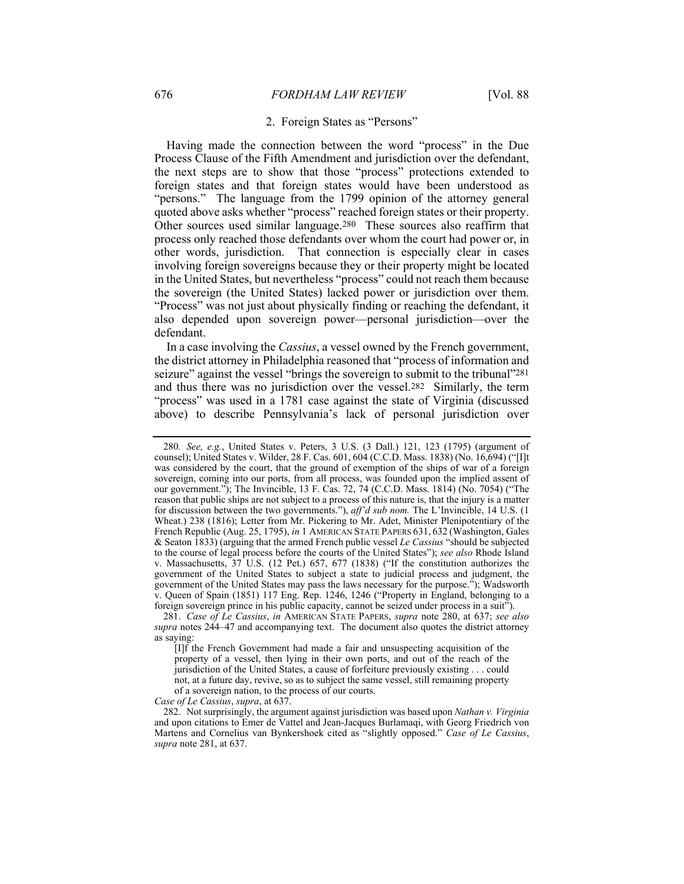## 2. Foreign States as "Persons"

Having made the connection between the word "process" in the Due Process Clause of the Fifth Amendment and jurisdiction over the defendant, the next steps are to show that those "process" protections extended to foreign states and that foreign states would have been understood as "persons." The language from the 1799 opinion of the attorney general quoted above asks whether "process" reached foreign states or their property. Other sources used similar language.280 These sources also reaffirm that process only reached those defendants over whom the court had power or, in other words, jurisdiction. That connection is especially clear in cases involving foreign sovereigns because they or their property might be located in the United States, but nevertheless "process" could not reach them because the sovereign (the United States) lacked power or jurisdiction over them. "Process" was not just about physically finding or reaching the defendant, it also depended upon sovereign power—personal jurisdiction—over the defendant.

In a case involving the *Cassius*, a vessel owned by the French government, the district attorney in Philadelphia reasoned that "process of information and seizure" against the vessel "brings the sovereign to submit to the tribunal"281 and thus there was no jurisdiction over the vessel.282 Similarly, the term "process" was used in a 1781 case against the state of Virginia (discussed above) to describe Pennsylvania's lack of personal jurisdiction over

*Case of Le Cassius*, *supra*, at 637.

<sup>280</sup>*. See, e.g.*, United States v. Peters, 3 U.S. (3 Dall.) 121, 123 (1795) (argument of counsel); United States v. Wilder, 28 F. Cas. 601, 604 (C.C.D. Mass. 1838) (No. 16,694) ("[I]t was considered by the court, that the ground of exemption of the ships of war of a foreign sovereign, coming into our ports, from all process, was founded upon the implied assent of our government."); The Invincible, 13 F. Cas. 72, 74 (C.C.D. Mass. 1814) (No. 7054) ("The reason that public ships are not subject to a process of this nature is, that the injury is a matter for discussion between the two governments."), *aff'd sub nom.* The L'Invincible, 14 U.S. (1 Wheat.) 238 (1816); Letter from Mr. Pickering to Mr. Adet, Minister Plenipotentiary of the French Republic (Aug. 25, 1795), *in* 1 AMERICAN STATE PAPERS 631, 632 (Washington, Gales & Seaton 1833) (arguing that the armed French public vessel *Le Cassius* "should be subjected to the course of legal process before the courts of the United States"); *see also* Rhode Island v. Massachusetts, 37 U.S. (12 Pet.) 657, 677 (1838) ("If the constitution authorizes the government of the United States to subject a state to judicial process and judgment, the government of the United States may pass the laws necessary for the purpose."); Wadsworth v. Queen of Spain (1851) 117 Eng. Rep. 1246, 1246 ("Property in England, belonging to a foreign sovereign prince in his public capacity, cannot be seized under process in a suit").

 <sup>281.</sup> *Case of Le Cassius*, *in* AMERICAN STATE PAPERS, *supra* note 280, at 637; *see also supra* notes 244–47 and accompanying text. The document also quotes the district attorney as saying:

<sup>[</sup>I]f the French Government had made a fair and unsuspecting acquisition of the property of a vessel, then lying in their own ports, and out of the reach of the jurisdiction of the United States, a cause of forfeiture previously existing . . . could not, at a future day, revive, so as to subject the same vessel, still remaining property of a sovereign nation, to the process of our courts.

 <sup>282.</sup> Not surprisingly, the argument against jurisdiction was based upon *Nathan v. Virginia* and upon citations to Emer de Vattel and Jean-Jacques Burlamaqi, with Georg Friedrich von Martens and Cornelius van Bynkershoek cited as "slightly opposed." *Case of Le Cassius*, *supra* note 281, at 637.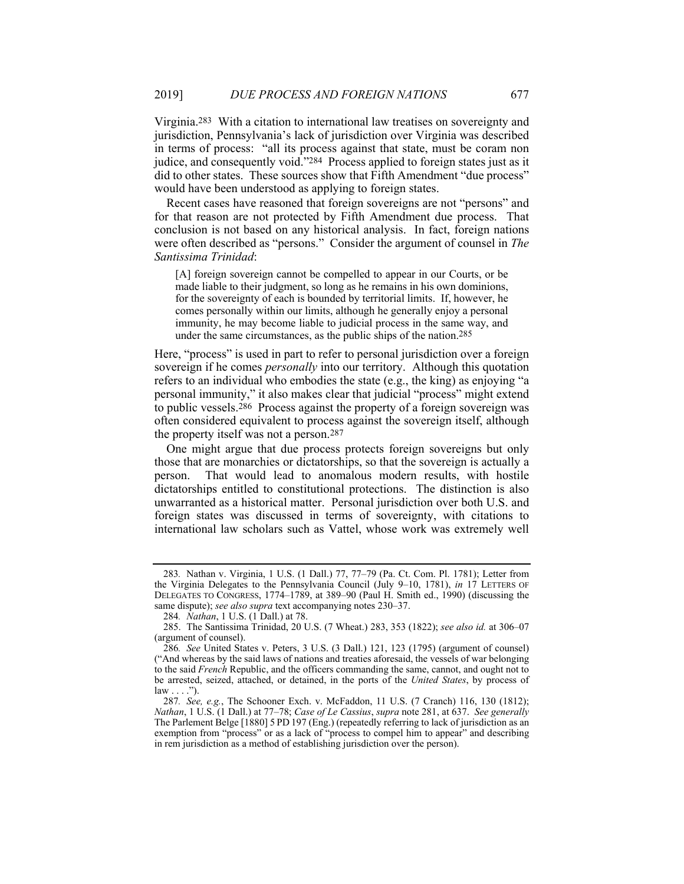Virginia.283 With a citation to international law treatises on sovereignty and jurisdiction, Pennsylvania's lack of jurisdiction over Virginia was described in terms of process: "all its process against that state, must be coram non judice, and consequently void."284 Process applied to foreign states just as it did to other states. These sources show that Fifth Amendment "due process" would have been understood as applying to foreign states.

Recent cases have reasoned that foreign sovereigns are not "persons" and for that reason are not protected by Fifth Amendment due process. That conclusion is not based on any historical analysis. In fact, foreign nations were often described as "persons." Consider the argument of counsel in *The Santissima Trinidad*:

[A] foreign sovereign cannot be compelled to appear in our Courts, or be made liable to their judgment, so long as he remains in his own dominions, for the sovereignty of each is bounded by territorial limits. If, however, he comes personally within our limits, although he generally enjoy a personal immunity, he may become liable to judicial process in the same way, and under the same circumstances, as the public ships of the nation.285

Here, "process" is used in part to refer to personal jurisdiction over a foreign sovereign if he comes *personally* into our territory. Although this quotation refers to an individual who embodies the state (e.g., the king) as enjoying "a personal immunity," it also makes clear that judicial "process" might extend to public vessels.286 Process against the property of a foreign sovereign was often considered equivalent to process against the sovereign itself, although the property itself was not a person.287

One might argue that due process protects foreign sovereigns but only those that are monarchies or dictatorships, so that the sovereign is actually a person. That would lead to anomalous modern results, with hostile dictatorships entitled to constitutional protections. The distinction is also unwarranted as a historical matter. Personal jurisdiction over both U.S. and foreign states was discussed in terms of sovereignty, with citations to international law scholars such as Vattel, whose work was extremely well

<sup>283</sup>*.* Nathan v. Virginia, 1 U.S. (1 Dall.) 77, 77–79 (Pa. Ct. Com. Pl. 1781); Letter from the Virginia Delegates to the Pennsylvania Council (July 9–10, 1781), *in* 17 LETTERS OF DELEGATES TO CONGRESS, 1774–1789, at 389–90 (Paul H. Smith ed., 1990) (discussing the same dispute); *see also supra* text accompanying notes 230–37.

<sup>284</sup>*. Nathan*, 1 U.S. (1 Dall.) at 78.

 <sup>285.</sup> The Santissima Trinidad, 20 U.S. (7 Wheat.) 283, 353 (1822); *see also id.* at 306–07 (argument of counsel).

<sup>286</sup>*. See* United States v. Peters, 3 U.S. (3 Dall.) 121, 123 (1795) (argument of counsel) ("And whereas by the said laws of nations and treaties aforesaid, the vessels of war belonging to the said *French* Republic, and the officers commanding the same, cannot, and ought not to be arrested, seized, attached, or detained, in the ports of the *United States*, by process of  $law \dots$ ").

<sup>287</sup>*. See, e.g.*, The Schooner Exch. v. McFaddon, 11 U.S. (7 Cranch) 116, 130 (1812); *Nathan*, 1 U.S. (1 Dall.) at 77–78; *Case of Le Cassius*, *supra* note 281, at 637. *See generally* The Parlement Belge [1880] 5 PD 197 (Eng.) (repeatedly referring to lack of jurisdiction as an exemption from "process" or as a lack of "process to compel him to appear" and describing in rem jurisdiction as a method of establishing jurisdiction over the person).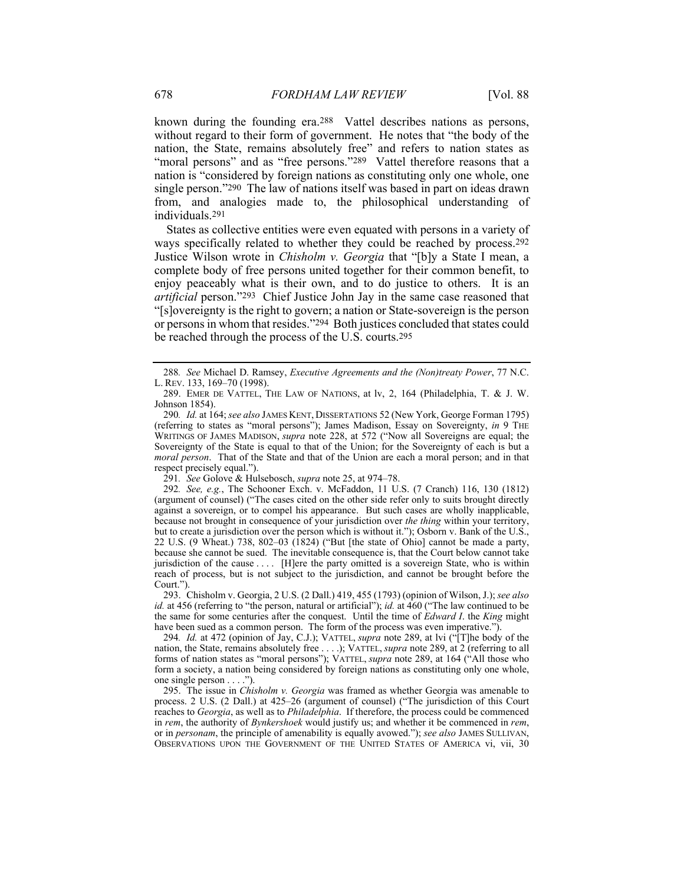known during the founding era.288 Vattel describes nations as persons, without regard to their form of government. He notes that "the body of the nation, the State, remains absolutely free" and refers to nation states as "moral persons" and as "free persons."<sup>289</sup> Vattel therefore reasons that a nation is "considered by foreign nations as constituting only one whole, one single person."290 The law of nations itself was based in part on ideas drawn from, and analogies made to, the philosophical understanding of individuals.291

States as collective entities were even equated with persons in a variety of ways specifically related to whether they could be reached by process.292 Justice Wilson wrote in *Chisholm v. Georgia* that "[b]y a State I mean, a complete body of free persons united together for their common benefit, to enjoy peaceably what is their own, and to do justice to others. It is an *artificial* person."293 Chief Justice John Jay in the same case reasoned that "[s]overeignty is the right to govern; a nation or State-sovereign is the person or persons in whom that resides."294 Both justices concluded that states could be reached through the process of the U.S. courts.295

294*. Id.* at 472 (opinion of Jay, C.J.); VATTEL, *supra* note 289, at lvi ("[T]he body of the nation, the State, remains absolutely free . . . .); VATTEL, *supra* note 289, at 2 (referring to all forms of nation states as "moral persons"); VATTEL, *supra* note 289, at 164 ("All those who form a society, a nation being considered by foreign nations as constituting only one whole, one single person . . . .").

 295. The issue in *Chisholm v. Georgia* was framed as whether Georgia was amenable to process. 2 U.S. (2 Dall.) at 425–26 (argument of counsel) ("The jurisdiction of this Court reaches to *Georgia*, as well as to *Philadelphia*. If therefore, the process could be commenced in *rem*, the authority of *Bynkershoek* would justify us; and whether it be commenced in *rem*, or in *personam*, the principle of amenability is equally avowed."); *see also* JAMES SULLIVAN, OBSERVATIONS UPON THE GOVERNMENT OF THE UNITED STATES OF AMERICA vi, vii, 30

<sup>288</sup>*. See* Michael D. Ramsey, *Executive Agreements and the (Non)treaty Power*, 77 N.C. L. REV. 133, 169–70 (1998).

 <sup>289.</sup> EMER DE VATTEL, THE LAW OF NATIONS, at lv, 2, 164 (Philadelphia, T. & J. W. Johnson 1854).

<sup>290</sup>*. Id.* at 164; *see also* JAMES KENT, DISSERTATIONS 52 (New York, George Forman 1795) (referring to states as "moral persons"); James Madison, Essay on Sovereignty, *in* 9 THE WRITINGS OF JAMES MADISON, *supra* note 228, at 572 ("Now all Sovereigns are equal; the Sovereignty of the State is equal to that of the Union; for the Sovereignty of each is but a *moral person*. That of the State and that of the Union are each a moral person; and in that respect precisely equal.").

<sup>291</sup>*. See* Golove & Hulsebosch, *supra* note 25, at 974–78.

<sup>292</sup>*. See, e.g.*, The Schooner Exch. v. McFaddon, 11 U.S. (7 Cranch) 116, 130 (1812) (argument of counsel) ("The cases cited on the other side refer only to suits brought directly against a sovereign, or to compel his appearance. But such cases are wholly inapplicable, because not brought in consequence of your jurisdiction over *the thing* within your territory, but to create a jurisdiction over the person which is without it."); Osborn v. Bank of the U.S., 22 U.S. (9 Wheat.) 738, 802–03 (1824) ("But [the state of Ohio] cannot be made a party, because she cannot be sued. The inevitable consequence is, that the Court below cannot take jurisdiction of the cause . . . . [H]ere the party omitted is a sovereign State, who is within reach of process, but is not subject to the jurisdiction, and cannot be brought before the Court.").

 <sup>293.</sup> Chisholm v. Georgia, 2 U.S. (2 Dall.) 419, 455 (1793) (opinion of Wilson, J.); *see also id.* at 456 (referring to "the person, natural or artificial"); *id.* at 460 ("The law continued to be the same for some centuries after the conquest. Until the time of *Edward I*. the *King* might have been sued as a common person. The form of the process was even imperative.").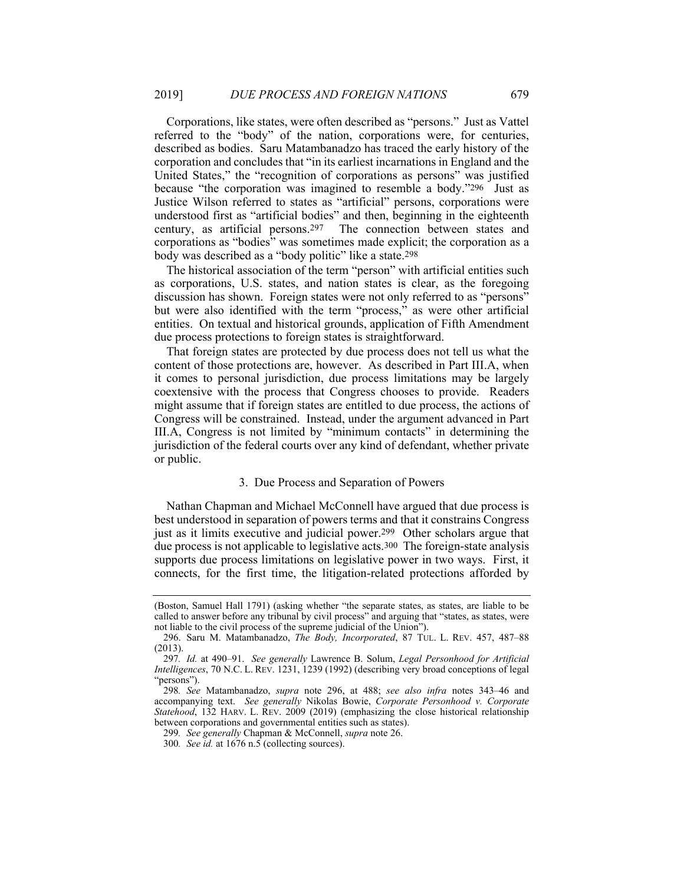Corporations, like states, were often described as "persons." Just as Vattel referred to the "body" of the nation, corporations were, for centuries, described as bodies. Saru Matambanadzo has traced the early history of the corporation and concludes that "in its earliest incarnations in England and the United States," the "recognition of corporations as persons" was justified because "the corporation was imagined to resemble a body."296 Just as Justice Wilson referred to states as "artificial" persons, corporations were understood first as "artificial bodies" and then, beginning in the eighteenth century, as artificial persons.297 The connection between states and corporations as "bodies" was sometimes made explicit; the corporation as a body was described as a "body politic" like a state.298

The historical association of the term "person" with artificial entities such as corporations, U.S. states, and nation states is clear, as the foregoing discussion has shown. Foreign states were not only referred to as "persons" but were also identified with the term "process," as were other artificial entities. On textual and historical grounds, application of Fifth Amendment due process protections to foreign states is straightforward.

That foreign states are protected by due process does not tell us what the content of those protections are, however. As described in Part III.A, when it comes to personal jurisdiction, due process limitations may be largely coextensive with the process that Congress chooses to provide. Readers might assume that if foreign states are entitled to due process, the actions of Congress will be constrained. Instead, under the argument advanced in Part III.A, Congress is not limited by "minimum contacts" in determining the jurisdiction of the federal courts over any kind of defendant, whether private or public.

#### 3. Due Process and Separation of Powers

Nathan Chapman and Michael McConnell have argued that due process is best understood in separation of powers terms and that it constrains Congress just as it limits executive and judicial power.<sup>299</sup> Other scholars argue that due process is not applicable to legislative acts.300 The foreign-state analysis supports due process limitations on legislative power in two ways. First, it connects, for the first time, the litigation-related protections afforded by

299*. See generally* Chapman & McConnell, *supra* note 26.

<sup>(</sup>Boston, Samuel Hall 1791) (asking whether "the separate states, as states, are liable to be called to answer before any tribunal by civil process" and arguing that "states, as states, were not liable to the civil process of the supreme judicial of the Union").

 <sup>296.</sup> Saru M. Matambanadzo, *The Body, Incorporated*, 87 TUL. L. REV. 457, 487–88 (2013).

<sup>297</sup>*. Id.* at 490–91. *See generally* Lawrence B. Solum, *Legal Personhood for Artificial Intelligences*, 70 N.C. L. REV. 1231, 1239 (1992) (describing very broad conceptions of legal "persons").

<sup>298</sup>*. See* Matambanadzo, *supra* note 296, at 488; *see also infra* notes 343–46 and accompanying text. *See generally* Nikolas Bowie, *Corporate Personhood v. Corporate Statehood*, 132 HARV. L. REV. 2009 (2019) (emphasizing the close historical relationship between corporations and governmental entities such as states).

<sup>300</sup>*. See id.* at 1676 n.5 (collecting sources).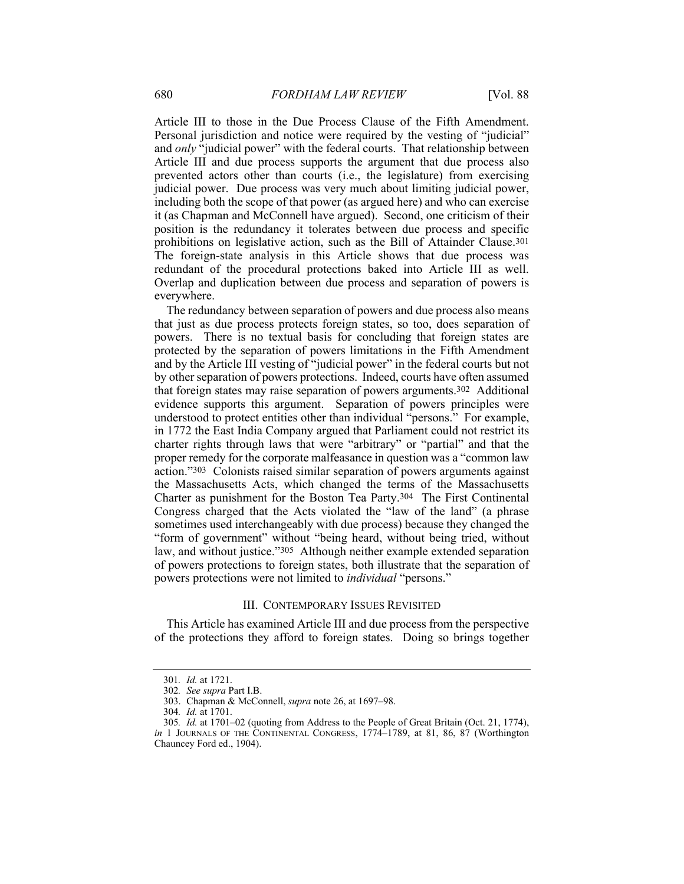Article III to those in the Due Process Clause of the Fifth Amendment. Personal jurisdiction and notice were required by the vesting of "judicial" and *only* "judicial power" with the federal courts. That relationship between Article III and due process supports the argument that due process also prevented actors other than courts (i.e., the legislature) from exercising judicial power. Due process was very much about limiting judicial power, including both the scope of that power (as argued here) and who can exercise it (as Chapman and McConnell have argued). Second, one criticism of their position is the redundancy it tolerates between due process and specific prohibitions on legislative action, such as the Bill of Attainder Clause.301 The foreign-state analysis in this Article shows that due process was redundant of the procedural protections baked into Article III as well. Overlap and duplication between due process and separation of powers is everywhere.

The redundancy between separation of powers and due process also means that just as due process protects foreign states, so too, does separation of powers. There is no textual basis for concluding that foreign states are protected by the separation of powers limitations in the Fifth Amendment and by the Article III vesting of "judicial power" in the federal courts but not by other separation of powers protections. Indeed, courts have often assumed that foreign states may raise separation of powers arguments.302 Additional evidence supports this argument. Separation of powers principles were understood to protect entities other than individual "persons." For example, in 1772 the East India Company argued that Parliament could not restrict its charter rights through laws that were "arbitrary" or "partial" and that the proper remedy for the corporate malfeasance in question was a "common law action."303 Colonists raised similar separation of powers arguments against the Massachusetts Acts, which changed the terms of the Massachusetts Charter as punishment for the Boston Tea Party.304 The First Continental Congress charged that the Acts violated the "law of the land" (a phrase sometimes used interchangeably with due process) because they changed the "form of government" without "being heard, without being tried, without law, and without justice."305 Although neither example extended separation of powers protections to foreign states, both illustrate that the separation of powers protections were not limited to *individual* "persons."

#### III. CONTEMPORARY ISSUES REVISITED

This Article has examined Article III and due process from the perspective of the protections they afford to foreign states. Doing so brings together

<sup>301</sup>*. Id.* at 1721.

<sup>302</sup>*. See supra* Part I.B.

 <sup>303.</sup> Chapman & McConnell, *supra* note 26, at 1697–98.

<sup>304</sup>*. Id.* at 1701.

<sup>305</sup>*. Id.* at 1701–02 (quoting from Address to the People of Great Britain (Oct. 21, 1774), *in* 1 JOURNALS OF THE CONTINENTAL CONGRESS, 1774–1789, at 81, 86, 87 (Worthington Chauncey Ford ed., 1904).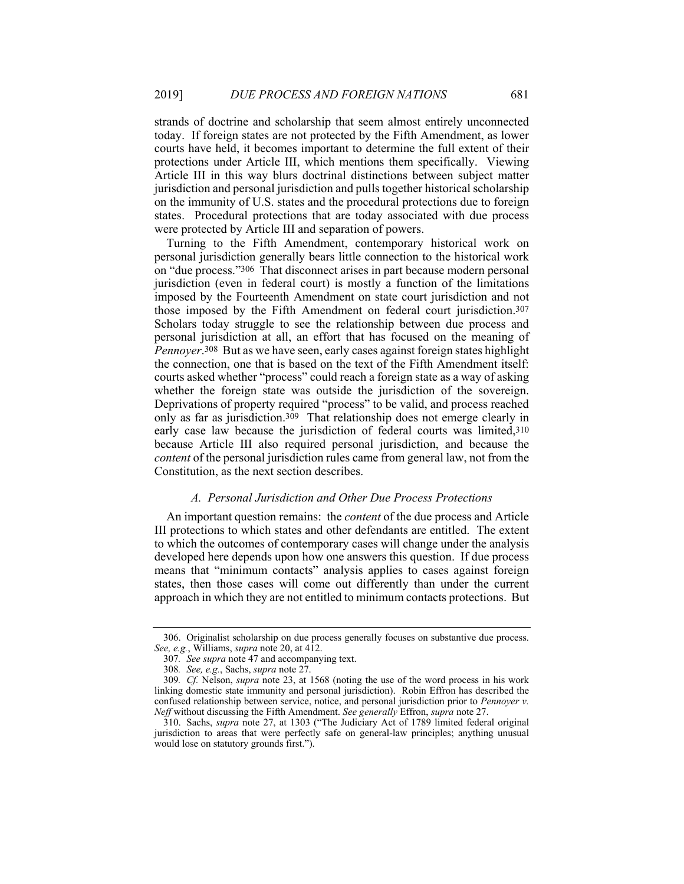strands of doctrine and scholarship that seem almost entirely unconnected today. If foreign states are not protected by the Fifth Amendment, as lower courts have held, it becomes important to determine the full extent of their protections under Article III, which mentions them specifically. Viewing Article III in this way blurs doctrinal distinctions between subject matter jurisdiction and personal jurisdiction and pulls together historical scholarship on the immunity of U.S. states and the procedural protections due to foreign states. Procedural protections that are today associated with due process were protected by Article III and separation of powers.

Turning to the Fifth Amendment, contemporary historical work on personal jurisdiction generally bears little connection to the historical work on "due process."306 That disconnect arises in part because modern personal jurisdiction (even in federal court) is mostly a function of the limitations imposed by the Fourteenth Amendment on state court jurisdiction and not those imposed by the Fifth Amendment on federal court jurisdiction.307 Scholars today struggle to see the relationship between due process and personal jurisdiction at all, an effort that has focused on the meaning of *Pennoyer*.308 But as we have seen, early cases against foreign states highlight the connection, one that is based on the text of the Fifth Amendment itself: courts asked whether "process" could reach a foreign state as a way of asking whether the foreign state was outside the jurisdiction of the sovereign. Deprivations of property required "process" to be valid, and process reached only as far as jurisdiction.309 That relationship does not emerge clearly in early case law because the jurisdiction of federal courts was limited,310 because Article III also required personal jurisdiction, and because the *content* of the personal jurisdiction rules came from general law, not from the Constitution, as the next section describes.

## *A. Personal Jurisdiction and Other Due Process Protections*

An important question remains: the *content* of the due process and Article III protections to which states and other defendants are entitled. The extent to which the outcomes of contemporary cases will change under the analysis developed here depends upon how one answers this question. If due process means that "minimum contacts" analysis applies to cases against foreign states, then those cases will come out differently than under the current approach in which they are not entitled to minimum contacts protections. But

 <sup>306.</sup> Originalist scholarship on due process generally focuses on substantive due process. *See, e.g.*, Williams, *supra* note 20, at 412.

<sup>307</sup>*. See supra* note 47 and accompanying text.

<sup>308</sup>*. See, e.g.*, Sachs, *supra* note 27.

<sup>309</sup>*. Cf.* Nelson, *supra* note 23, at 1568 (noting the use of the word process in his work linking domestic state immunity and personal jurisdiction). Robin Effron has described the confused relationship between service, notice, and personal jurisdiction prior to *Pennoyer v. Neff* without discussing the Fifth Amendment. *See generally* Effron, *supra* note 27.

 <sup>310.</sup> Sachs, *supra* note 27, at 1303 ("The Judiciary Act of 1789 limited federal original jurisdiction to areas that were perfectly safe on general-law principles; anything unusual would lose on statutory grounds first.").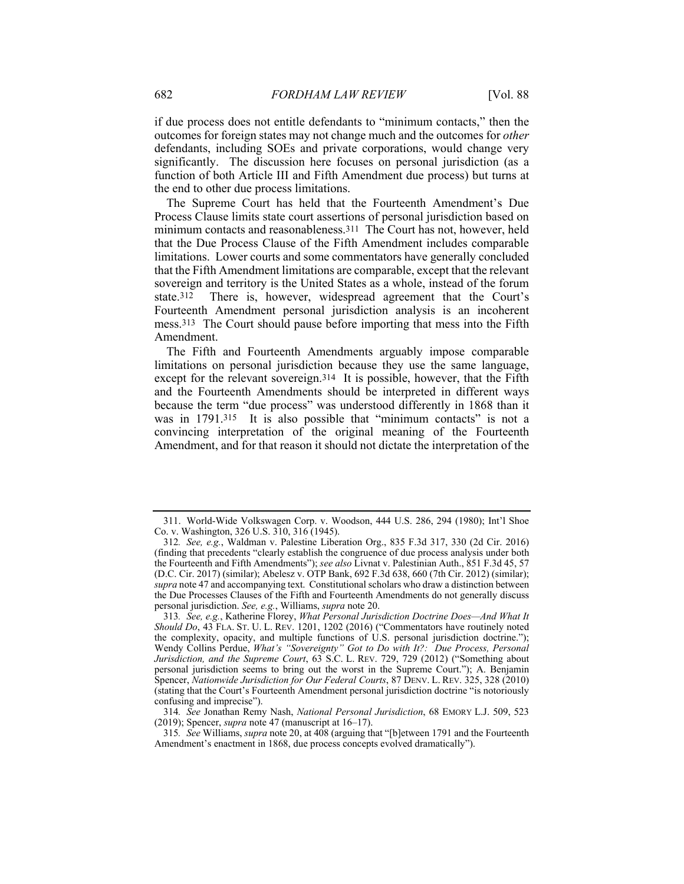if due process does not entitle defendants to "minimum contacts," then the outcomes for foreign states may not change much and the outcomes for *other* defendants, including SOEs and private corporations, would change very significantly. The discussion here focuses on personal jurisdiction (as a function of both Article III and Fifth Amendment due process) but turns at the end to other due process limitations.

The Supreme Court has held that the Fourteenth Amendment's Due Process Clause limits state court assertions of personal jurisdiction based on minimum contacts and reasonableness.311 The Court has not, however, held that the Due Process Clause of the Fifth Amendment includes comparable limitations. Lower courts and some commentators have generally concluded that the Fifth Amendment limitations are comparable, except that the relevant sovereign and territory is the United States as a whole, instead of the forum state.312 There is, however, widespread agreement that the Court's Fourteenth Amendment personal jurisdiction analysis is an incoherent mess.313 The Court should pause before importing that mess into the Fifth Amendment.

The Fifth and Fourteenth Amendments arguably impose comparable limitations on personal jurisdiction because they use the same language, except for the relevant sovereign.314 It is possible, however, that the Fifth and the Fourteenth Amendments should be interpreted in different ways because the term "due process" was understood differently in 1868 than it was in 1791.<sup>315</sup> It is also possible that "minimum contacts" is not a convincing interpretation of the original meaning of the Fourteenth Amendment, and for that reason it should not dictate the interpretation of the

 <sup>311.</sup> World-Wide Volkswagen Corp. v. Woodson, 444 U.S. 286, 294 (1980); Int'l Shoe Co. v. Washington, 326 U.S. 310, 316 (1945).

<sup>312</sup>*. See, e.g.*, Waldman v. Palestine Liberation Org., 835 F.3d 317, 330 (2d Cir. 2016) (finding that precedents "clearly establish the congruence of due process analysis under both the Fourteenth and Fifth Amendments"); *see also* Livnat v. Palestinian Auth., 851 F.3d 45, 57 (D.C. Cir. 2017) (similar); Abelesz v. OTP Bank, 692 F.3d 638, 660 (7th Cir. 2012) (similar); *supra* note 47 and accompanying text. Constitutional scholars who draw a distinction between the Due Processes Clauses of the Fifth and Fourteenth Amendments do not generally discuss personal jurisdiction. *See, e.g.*, Williams, *supra* note 20.

<sup>313</sup>*. See, e.g.*, Katherine Florey, *What Personal Jurisdiction Doctrine Does—And What It Should Do*, 43 FLA. ST. U. L. REV. 1201, 1202 (2016) ("Commentators have routinely noted the complexity, opacity, and multiple functions of U.S. personal jurisdiction doctrine."); Wendy Collins Perdue, *What's "Sovereignty" Got to Do with It?: Due Process, Personal Jurisdiction, and the Supreme Court*, 63 S.C. L. REV. 729, 729 (2012) ("Something about personal jurisdiction seems to bring out the worst in the Supreme Court."); A. Benjamin Spencer, *Nationwide Jurisdiction for Our Federal Courts*, 87 DENV. L. REV. 325, 328 (2010) (stating that the Court's Fourteenth Amendment personal jurisdiction doctrine "is notoriously confusing and imprecise").

<sup>314</sup>*. See* Jonathan Remy Nash, *National Personal Jurisdiction*, 68 EMORY L.J. 509, 523 (2019); Spencer, *supra* note 47 (manuscript at 16–17).

<sup>315</sup>*. See* Williams, *supra* note 20, at 408 (arguing that "[b]etween 1791 and the Fourteenth Amendment's enactment in 1868, due process concepts evolved dramatically").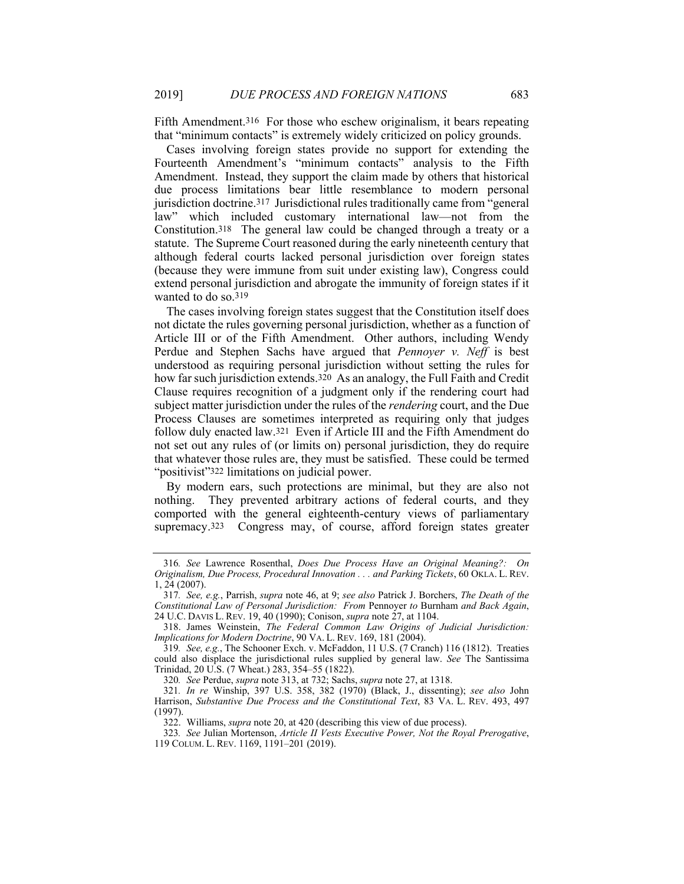Fifth Amendment.<sup>316</sup> For those who eschew originalism, it bears repeating that "minimum contacts" is extremely widely criticized on policy grounds.

Cases involving foreign states provide no support for extending the Fourteenth Amendment's "minimum contacts" analysis to the Fifth Amendment. Instead, they support the claim made by others that historical due process limitations bear little resemblance to modern personal jurisdiction doctrine.317 Jurisdictional rules traditionally came from "general law" which included customary international law—not from the Constitution.318 The general law could be changed through a treaty or a statute. The Supreme Court reasoned during the early nineteenth century that although federal courts lacked personal jurisdiction over foreign states (because they were immune from suit under existing law), Congress could extend personal jurisdiction and abrogate the immunity of foreign states if it wanted to do so.<sup>319</sup>

The cases involving foreign states suggest that the Constitution itself does not dictate the rules governing personal jurisdiction, whether as a function of Article III or of the Fifth Amendment. Other authors, including Wendy Perdue and Stephen Sachs have argued that *Pennoyer v. Neff* is best understood as requiring personal jurisdiction without setting the rules for how far such jurisdiction extends.<sup>320</sup> As an analogy, the Full Faith and Credit Clause requires recognition of a judgment only if the rendering court had subject matter jurisdiction under the rules of the *rendering* court, and the Due Process Clauses are sometimes interpreted as requiring only that judges follow duly enacted law.321 Even if Article III and the Fifth Amendment do not set out any rules of (or limits on) personal jurisdiction, they do require that whatever those rules are, they must be satisfied. These could be termed "positivist"322 limitations on judicial power.

By modern ears, such protections are minimal, but they are also not nothing. They prevented arbitrary actions of federal courts, and they comported with the general eighteenth-century views of parliamentary supremacy.<sup>323</sup> Congress may, of course, afford foreign states greater

<sup>316</sup>*. See* Lawrence Rosenthal, *Does Due Process Have an Original Meaning?: On Originalism, Due Process, Procedural Innovation . . . and Parking Tickets*, 60 OKLA. L. REV. 1, 24 (2007).

<sup>317</sup>*. See, e.g.*, Parrish, *supra* note 46, at 9; *see also* Patrick J. Borchers, *The Death of the Constitutional Law of Personal Jurisdiction: From* Pennoyer *to* Burnham *and Back Again*, 24 U.C. DAVIS L. REV. 19, 40 (1990); Conison, *supra* note 27, at 1104.

 <sup>318.</sup> James Weinstein, *The Federal Common Law Origins of Judicial Jurisdiction: Implications for Modern Doctrine*, 90 VA. L. REV. 169, 181 (2004).

<sup>319</sup>*. See, e.g.*, The Schooner Exch. v. McFaddon, 11 U.S. (7 Cranch) 116 (1812). Treaties could also displace the jurisdictional rules supplied by general law. *See* The Santissima Trinidad, 20 U.S. (7 Wheat.) 283, 354–55 (1822).

<sup>320</sup>*. See* Perdue, *supra* note 313, at 732; Sachs, *supra* note 27, at 1318.

<sup>321</sup>*. In re* Winship, 397 U.S. 358, 382 (1970) (Black, J., dissenting); *see also* John Harrison, *Substantive Due Process and the Constitutional Text*, 83 VA. L. REV. 493, 497 (1997).

 <sup>322.</sup> Williams, *supra* note 20, at 420 (describing this view of due process).

<sup>323</sup>*. See* Julian Mortenson, *Article II Vests Executive Power, Not the Royal Prerogative*, 119 COLUM. L. REV. 1169, 1191–201 (2019).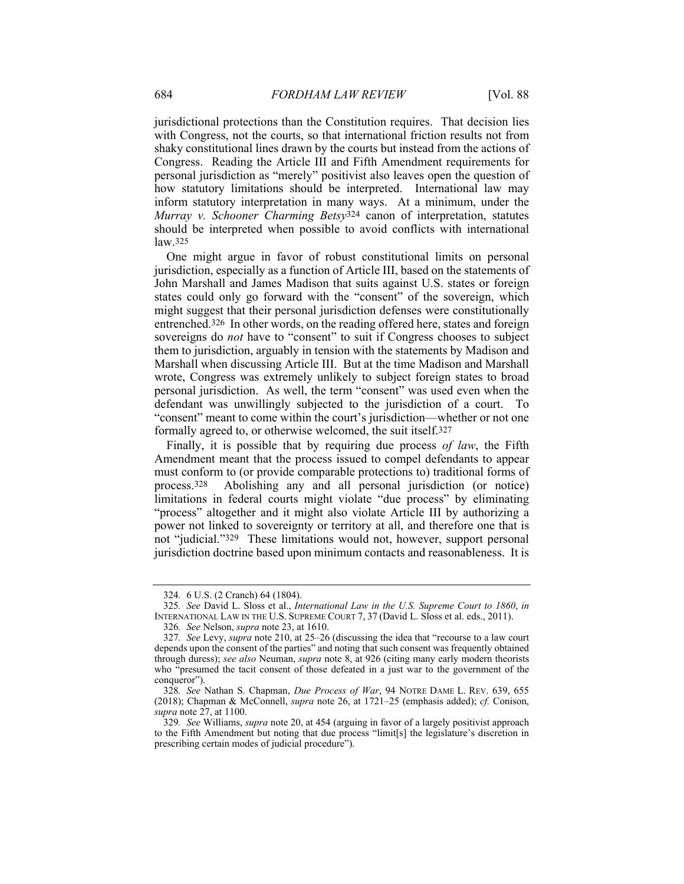jurisdictional protections than the Constitution requires. That decision lies with Congress, not the courts, so that international friction results not from shaky constitutional lines drawn by the courts but instead from the actions of Congress. Reading the Article III and Fifth Amendment requirements for personal jurisdiction as "merely" positivist also leaves open the question of how statutory limitations should be interpreted. International law may inform statutory interpretation in many ways. At a minimum, under the *Murray v. Schooner Charming Betsy*324 canon of interpretation, statutes should be interpreted when possible to avoid conflicts with international law.325

One might argue in favor of robust constitutional limits on personal jurisdiction, especially as a function of Article III, based on the statements of John Marshall and James Madison that suits against U.S. states or foreign states could only go forward with the "consent" of the sovereign, which might suggest that their personal jurisdiction defenses were constitutionally entrenched.326 In other words, on the reading offered here, states and foreign sovereigns do *not* have to "consent" to suit if Congress chooses to subject them to jurisdiction, arguably in tension with the statements by Madison and Marshall when discussing Article III. But at the time Madison and Marshall wrote, Congress was extremely unlikely to subject foreign states to broad personal jurisdiction. As well, the term "consent" was used even when the defendant was unwillingly subjected to the jurisdiction of a court. To "consent" meant to come within the court's jurisdiction—whether or not one formally agreed to, or otherwise welcomed, the suit itself.327

Finally, it is possible that by requiring due process *of law*, the Fifth Amendment meant that the process issued to compel defendants to appear must conform to (or provide comparable protections to) traditional forms of process.328 Abolishing any and all personal jurisdiction (or notice) limitations in federal courts might violate "due process" by eliminating "process" altogether and it might also violate Article III by authorizing a power not linked to sovereignty or territory at all, and therefore one that is not "judicial."329 These limitations would not, however, support personal jurisdiction doctrine based upon minimum contacts and reasonableness. It is

<sup>324</sup>*.* 6 U.S. (2 Cranch) 64 (1804).

<sup>325</sup>*. See* David L. Sloss et al., *International Law in the U.S. Supreme Court to 1860*, *in* INTERNATIONAL LAW IN THE U.S. SUPREME COURT 7, 37 (David L. SIOSS et al. eds., 2011).

<sup>326</sup>*. See* Nelson, *supra* note 23, at 1610.

<sup>327</sup>*. See* Levy, *supra* note 210, at 25–26 (discussing the idea that "recourse to a law court depends upon the consent of the parties" and noting that such consent was frequently obtained through duress); *see also* Neuman, *supra* note 8, at 926 (citing many early modern theorists who "presumed the tacit consent of those defeated in a just war to the government of the conqueror").

<sup>328</sup>*. See* Nathan S. Chapman, *Due Process of War*, 94 NOTRE DAME L. REV. 639, 655 (2018); Chapman & McConnell, *supra* note 26, at 1721–25 (emphasis added); *cf.* Conison, *supra* note 27, at 1100.

<sup>329</sup>*. See* Williams, *supra* note 20, at 454 (arguing in favor of a largely positivist approach to the Fifth Amendment but noting that due process "limit[s] the legislature's discretion in prescribing certain modes of judicial procedure").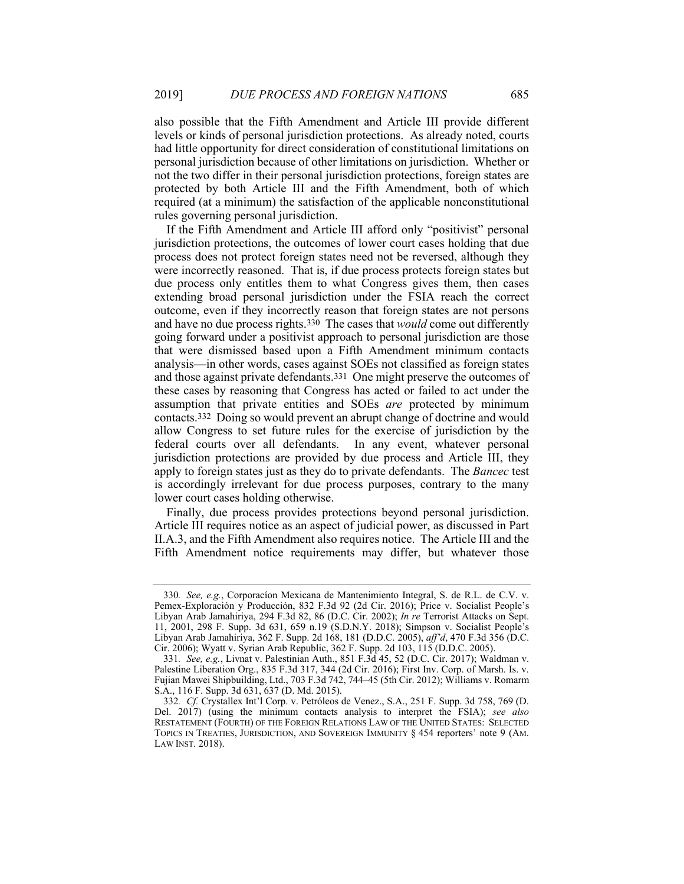also possible that the Fifth Amendment and Article III provide different levels or kinds of personal jurisdiction protections. As already noted, courts had little opportunity for direct consideration of constitutional limitations on personal jurisdiction because of other limitations on jurisdiction. Whether or not the two differ in their personal jurisdiction protections, foreign states are protected by both Article III and the Fifth Amendment, both of which required (at a minimum) the satisfaction of the applicable nonconstitutional rules governing personal jurisdiction.

If the Fifth Amendment and Article III afford only "positivist" personal jurisdiction protections, the outcomes of lower court cases holding that due process does not protect foreign states need not be reversed, although they were incorrectly reasoned. That is, if due process protects foreign states but due process only entitles them to what Congress gives them, then cases extending broad personal jurisdiction under the FSIA reach the correct outcome, even if they incorrectly reason that foreign states are not persons and have no due process rights.330 The cases that *would* come out differently going forward under a positivist approach to personal jurisdiction are those that were dismissed based upon a Fifth Amendment minimum contacts analysis—in other words, cases against SOEs not classified as foreign states and those against private defendants.331 One might preserve the outcomes of these cases by reasoning that Congress has acted or failed to act under the assumption that private entities and SOEs *are* protected by minimum contacts.332 Doing so would prevent an abrupt change of doctrine and would allow Congress to set future rules for the exercise of jurisdiction by the federal courts over all defendants. In any event, whatever personal jurisdiction protections are provided by due process and Article III, they apply to foreign states just as they do to private defendants. The *Bancec* test is accordingly irrelevant for due process purposes, contrary to the many lower court cases holding otherwise.

Finally, due process provides protections beyond personal jurisdiction. Article III requires notice as an aspect of judicial power, as discussed in Part II.A.3, and the Fifth Amendment also requires notice. The Article III and the Fifth Amendment notice requirements may differ, but whatever those

<sup>330</sup>*. See, e.g.*, Corporacíon Mexicana de Mantenimiento Integral, S. de R.L. de C.V. v. Pemex-Exploración y Producción, 832 F.3d 92 (2d Cir. 2016); Price v. Socialist People's Libyan Arab Jamahiriya, 294 F.3d 82, 86 (D.C. Cir. 2002); *In re* Terrorist Attacks on Sept. 11, 2001, 298 F. Supp. 3d 631, 659 n.19 (S.D.N.Y. 2018); Simpson v. Socialist People's Libyan Arab Jamahiriya, 362 F. Supp. 2d 168, 181 (D.D.C. 2005), *aff'd*, 470 F.3d 356 (D.C. Cir. 2006); Wyatt v. Syrian Arab Republic, 362 F. Supp. 2d 103, 115 (D.D.C. 2005).

<sup>331</sup>*. See, e.g.*, Livnat v. Palestinian Auth., 851 F.3d 45, 52 (D.C. Cir. 2017); Waldman v. Palestine Liberation Org., 835 F.3d 317, 344 (2d Cir. 2016); First Inv. Corp. of Marsh. Is. v. Fujian Mawei Shipbuilding, Ltd., 703 F.3d 742, 744–45 (5th Cir. 2012); Williams v. Romarm S.A., 116 F. Supp. 3d 631, 637 (D. Md. 2015).

<sup>332</sup>*. Cf.* Crystallex Int'l Corp. v. Petróleos de Venez., S.A., 251 F. Supp. 3d 758, 769 (D. Del. 2017) (using the minimum contacts analysis to interpret the FSIA); *see also* RESTATEMENT (FOURTH) OF THE FOREIGN RELATIONS LAW OF THE UNITED STATES: SELECTED TOPICS IN TREATIES, JURISDICTION, AND SOVEREIGN IMMUNITY § 454 reporters' note 9 (AM. LAW INST. 2018).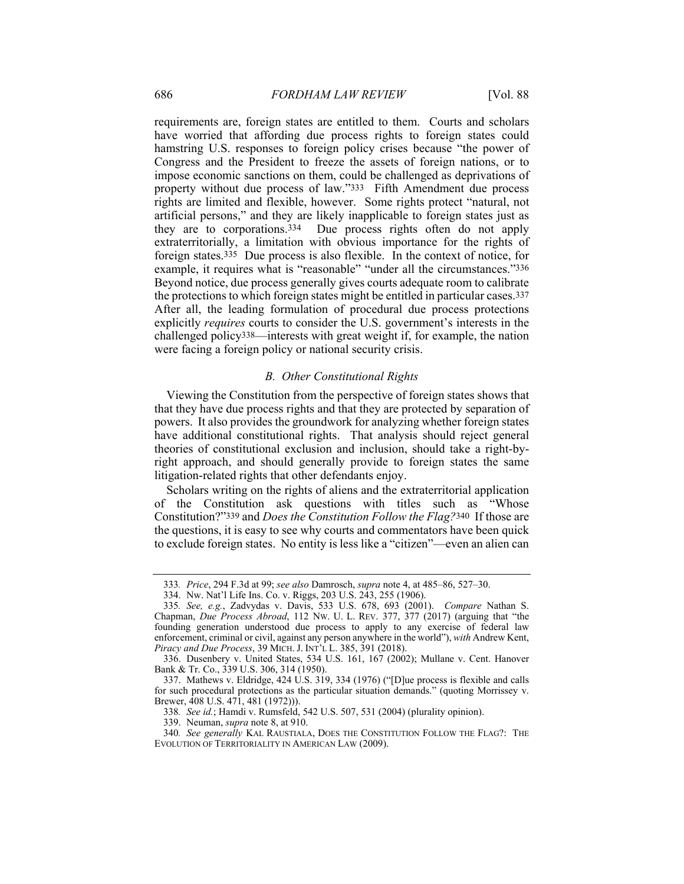requirements are, foreign states are entitled to them. Courts and scholars have worried that affording due process rights to foreign states could hamstring U.S. responses to foreign policy crises because "the power of Congress and the President to freeze the assets of foreign nations, or to impose economic sanctions on them, could be challenged as deprivations of property without due process of law."333 Fifth Amendment due process rights are limited and flexible, however. Some rights protect "natural, not artificial persons," and they are likely inapplicable to foreign states just as they are to corporations.334 Due process rights often do not apply extraterritorially, a limitation with obvious importance for the rights of foreign states.335 Due process is also flexible. In the context of notice, for example, it requires what is "reasonable" "under all the circumstances."336 Beyond notice, due process generally gives courts adequate room to calibrate the protections to which foreign states might be entitled in particular cases.337 After all, the leading formulation of procedural due process protections explicitly *requires* courts to consider the U.S. government's interests in the challenged policy338—interests with great weight if, for example, the nation were facing a foreign policy or national security crisis.

#### *B. Other Constitutional Rights*

Viewing the Constitution from the perspective of foreign states shows that that they have due process rights and that they are protected by separation of powers. It also provides the groundwork for analyzing whether foreign states have additional constitutional rights. That analysis should reject general theories of constitutional exclusion and inclusion, should take a right-byright approach, and should generally provide to foreign states the same litigation-related rights that other defendants enjoy.

Scholars writing on the rights of aliens and the extraterritorial application of the Constitution ask questions with titles such as "Whose Constitution?"339 and *Does the Constitution Follow the Flag?*340 If those are the questions, it is easy to see why courts and commentators have been quick to exclude foreign states. No entity is less like a "citizen"—even an alien can

<sup>333</sup>*. Price*, 294 F.3d at 99; *see also* Damrosch, *supra* note 4, at 485–86, 527–30.

 <sup>334.</sup> Nw. Nat'l Life Ins. Co. v. Riggs, 203 U.S. 243, 255 (1906).

<sup>335</sup>*. See, e.g.*, Zadvydas v. Davis, 533 U.S. 678, 693 (2001). *Compare* Nathan S. Chapman, *Due Process Abroad*, 112 NW. U. L. REV. 377, 377 (2017) (arguing that "the founding generation understood due process to apply to any exercise of federal law enforcement, criminal or civil, against any person anywhere in the world"), *with* Andrew Kent, *Piracy and Due Process*, 39 MICH. J. INT'L L. 385, 391 (2018).

 <sup>336.</sup> Dusenbery v. United States, 534 U.S. 161, 167 (2002); Mullane v. Cent. Hanover Bank & Tr. Co., 339 U.S. 306, 314 (1950).

 <sup>337.</sup> Mathews v. Eldridge, 424 U.S. 319, 334 (1976) ("[D]ue process is flexible and calls for such procedural protections as the particular situation demands." (quoting Morrissey v. Brewer, 408 U.S. 471, 481 (1972))).

<sup>338</sup>*. See id.*; Hamdi v. Rumsfeld, 542 U.S. 507, 531 (2004) (plurality opinion).

 <sup>339.</sup> Neuman, *supra* note 8, at 910.

<sup>340</sup>*. See generally* KAL RAUSTIALA, DOES THE CONSTITUTION FOLLOW THE FLAG?: THE EVOLUTION OF TERRITORIALITY IN AMERICAN LAW (2009).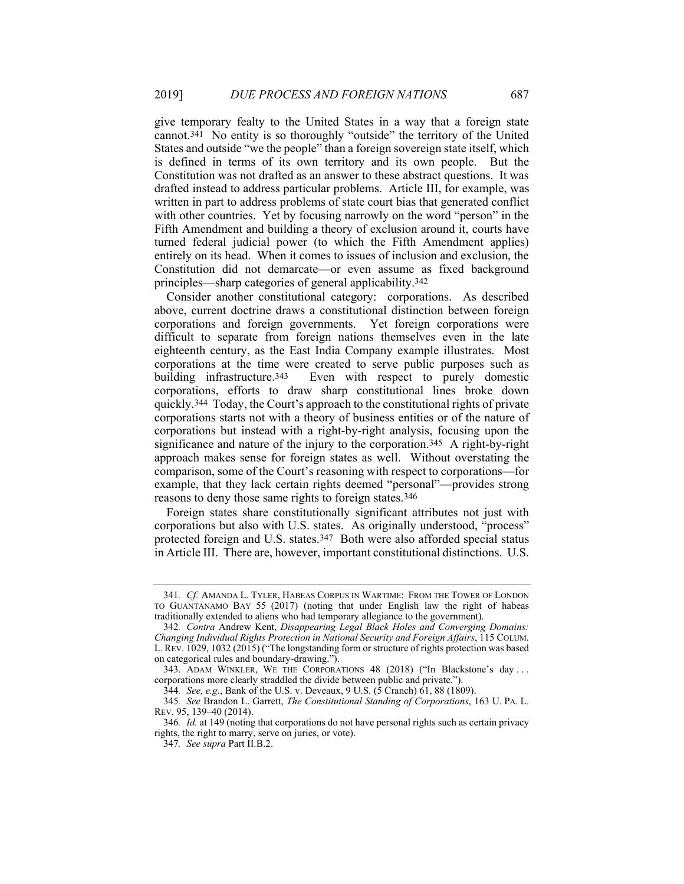give temporary fealty to the United States in a way that a foreign state cannot.341 No entity is so thoroughly "outside" the territory of the United States and outside "we the people" than a foreign sovereign state itself, which is defined in terms of its own territory and its own people. But the Constitution was not drafted as an answer to these abstract questions. It was drafted instead to address particular problems. Article III, for example, was written in part to address problems of state court bias that generated conflict with other countries. Yet by focusing narrowly on the word "person" in the Fifth Amendment and building a theory of exclusion around it, courts have turned federal judicial power (to which the Fifth Amendment applies) entirely on its head. When it comes to issues of inclusion and exclusion, the Constitution did not demarcate—or even assume as fixed background principles—sharp categories of general applicability.342

Consider another constitutional category: corporations. As described above, current doctrine draws a constitutional distinction between foreign corporations and foreign governments. Yet foreign corporations were difficult to separate from foreign nations themselves even in the late eighteenth century, as the East India Company example illustrates. Most corporations at the time were created to serve public purposes such as building infrastructure.<sup>343</sup> Even with respect to purely domestic Even with respect to purely domestic corporations, efforts to draw sharp constitutional lines broke down quickly.344 Today, the Court's approach to the constitutional rights of private corporations starts not with a theory of business entities or of the nature of corporations but instead with a right-by-right analysis, focusing upon the significance and nature of the injury to the corporation.345 A right-by-right approach makes sense for foreign states as well. Without overstating the comparison, some of the Court's reasoning with respect to corporations—for example, that they lack certain rights deemed "personal"—provides strong reasons to deny those same rights to foreign states.346

Foreign states share constitutionally significant attributes not just with corporations but also with U.S. states. As originally understood, "process" protected foreign and U.S. states.347 Both were also afforded special status in Article III. There are, however, important constitutional distinctions. U.S.

<sup>341</sup>*. Cf.* AMANDA L. TYLER, HABEAS CORPUS IN WARTIME: FROM THE TOWER OF LONDON TO GUANTANAMO BAY 55 (2017) (noting that under English law the right of habeas traditionally extended to aliens who had temporary allegiance to the government).

<sup>342</sup>*. Contra* Andrew Kent, *Disappearing Legal Black Holes and Converging Domains: Changing Individual Rights Protection in National Security and Foreign Affairs*, 115 COLUM. L.REV. 1029, 1032 (2015) ("The longstanding form or structure of rights protection was based on categorical rules and boundary-drawing.").

 <sup>343.</sup> ADAM WINKLER, WE THE CORPORATIONS 48 (2018) ("In Blackstone's day . . . corporations more clearly straddled the divide between public and private.").

<sup>344</sup>*. See, e.g.*, Bank of the U.S. v. Deveaux, 9 U.S. (5 Cranch) 61, 88 (1809).

<sup>345</sup>*. See* Brandon L. Garrett, *The Constitutional Standing of Corporations*, 163 U. PA. L. REV. 95, 139–40 (2014).

<sup>346</sup>*. Id.* at 149 (noting that corporations do not have personal rights such as certain privacy rights, the right to marry, serve on juries, or vote).

<sup>347</sup>*. See supra* Part II.B.2.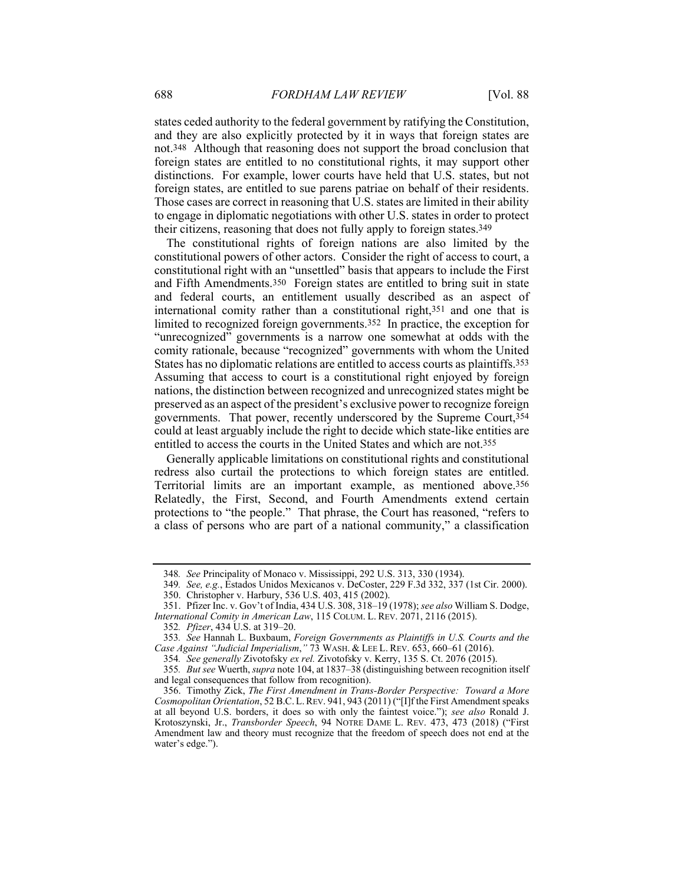states ceded authority to the federal government by ratifying the Constitution, and they are also explicitly protected by it in ways that foreign states are not.348 Although that reasoning does not support the broad conclusion that foreign states are entitled to no constitutional rights, it may support other distinctions. For example, lower courts have held that U.S. states, but not foreign states, are entitled to sue parens patriae on behalf of their residents. Those cases are correct in reasoning that U.S. states are limited in their ability to engage in diplomatic negotiations with other U.S. states in order to protect their citizens, reasoning that does not fully apply to foreign states.349

The constitutional rights of foreign nations are also limited by the constitutional powers of other actors. Consider the right of access to court, a constitutional right with an "unsettled" basis that appears to include the First and Fifth Amendments.350 Foreign states are entitled to bring suit in state and federal courts, an entitlement usually described as an aspect of international comity rather than a constitutional right,351 and one that is limited to recognized foreign governments.352 In practice, the exception for "unrecognized" governments is a narrow one somewhat at odds with the comity rationale, because "recognized" governments with whom the United States has no diplomatic relations are entitled to access courts as plaintiffs.353 Assuming that access to court is a constitutional right enjoyed by foreign nations, the distinction between recognized and unrecognized states might be preserved as an aspect of the president's exclusive power to recognize foreign governments. That power, recently underscored by the Supreme Court,354 could at least arguably include the right to decide which state-like entities are entitled to access the courts in the United States and which are not.355

Generally applicable limitations on constitutional rights and constitutional redress also curtail the protections to which foreign states are entitled. Territorial limits are an important example, as mentioned above.356 Relatedly, the First, Second, and Fourth Amendments extend certain protections to "the people." That phrase, the Court has reasoned, "refers to a class of persons who are part of a national community," a classification

 351. Pfizer Inc. v. Gov't of India, 434 U.S. 308, 318–19 (1978); *see also* William S. Dodge, *International Comity in American Law*, 115 COLUM. L. REV. 2071, 2116 (2015).

<sup>348</sup>*. See* Principality of Monaco v. Mississippi, 292 U.S. 313, 330 (1934).

<sup>349</sup>*. See, e.g.*, Estados Unidos Mexicanos v. DeCoster, 229 F.3d 332, 337 (1st Cir. 2000).

 <sup>350.</sup> Christopher v. Harbury, 536 U.S. 403, 415 (2002).

<sup>352</sup>*. Pfizer*, 434 U.S. at 319–20.

<sup>353</sup>*. See* Hannah L. Buxbaum, *Foreign Governments as Plaintiffs in U.S. Courts and the Case Against "Judicial Imperialism*,*"* 73 WASH. & LEE L. REV. 653, 660–61 (2016).

<sup>354</sup>*. See generally* Zivotofsky *ex rel.* Zivotofsky v. Kerry, 135 S. Ct. 2076 (2015).

<sup>355</sup>*. But see* Wuerth, *supra* note 104, at 1837–38 (distinguishing between recognition itself and legal consequences that follow from recognition).

 <sup>356.</sup> Timothy Zick, *The First Amendment in Trans-Border Perspective: Toward a More Cosmopolitan Orientation*, 52 B.C.L.REV. 941, 943 (2011) ("[I]f the First Amendment speaks at all beyond U.S. borders, it does so with only the faintest voice."); *see also* Ronald J. Krotoszynski, Jr., *Transborder Speech*, 94 NOTRE DAME L. REV. 473, 473 (2018) ("First Amendment law and theory must recognize that the freedom of speech does not end at the water's edge.").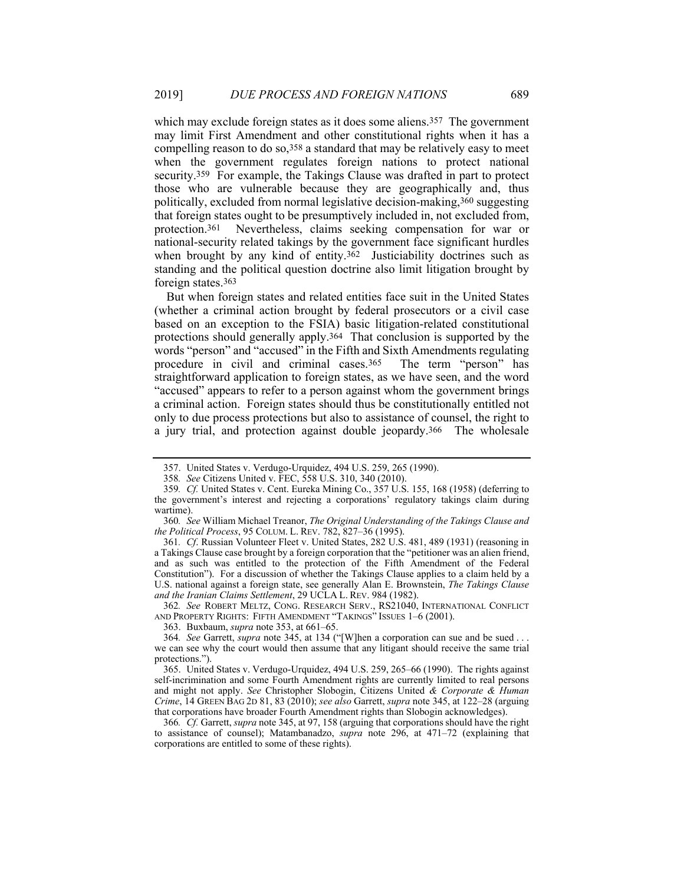which may exclude foreign states as it does some aliens.<sup>357</sup> The government may limit First Amendment and other constitutional rights when it has a compelling reason to do so,358 a standard that may be relatively easy to meet when the government regulates foreign nations to protect national security.359 For example, the Takings Clause was drafted in part to protect those who are vulnerable because they are geographically and, thus politically, excluded from normal legislative decision-making,360 suggesting that foreign states ought to be presumptively included in, not excluded from, protection.361 Nevertheless, claims seeking compensation for war or national-security related takings by the government face significant hurdles when brought by any kind of entity.<sup>362</sup> Justiciability doctrines such as standing and the political question doctrine also limit litigation brought by foreign states.363

But when foreign states and related entities face suit in the United States (whether a criminal action brought by federal prosecutors or a civil case based on an exception to the FSIA) basic litigation-related constitutional protections should generally apply.364 That conclusion is supported by the words "person" and "accused" in the Fifth and Sixth Amendments regulating procedure in civil and criminal cases.365 The term "person" has straightforward application to foreign states, as we have seen, and the word "accused" appears to refer to a person against whom the government brings a criminal action. Foreign states should thus be constitutionally entitled not only to due process protections but also to assistance of counsel, the right to a jury trial, and protection against double jeopardy.366 The wholesale

361*. Cf*. Russian Volunteer Fleet v. United States, 282 U.S. 481, 489 (1931) (reasoning in a Takings Clause case brought by a foreign corporation that the "petitioner was an alien friend, and as such was entitled to the protection of the Fifth Amendment of the Federal Constitution"). For a discussion of whether the Takings Clause applies to a claim held by a U.S. national against a foreign state, see generally Alan E. Brownstein, *The Takings Clause and the Iranian Claims Settlement*, 29 UCLA L. REV. 984 (1982).

362*. See* ROBERT MELTZ, CONG. RESEARCH SERV., RS21040, INTERNATIONAL CONFLICT AND PROPERTY RIGHTS: FIFTH AMENDMENT "TAKINGS" ISSUES 1–6 (2001).

 <sup>357.</sup> United States v. Verdugo-Urquidez, 494 U.S. 259, 265 (1990).

<sup>358</sup>*. See* Citizens United v. FEC, 558 U.S. 310, 340 (2010).

<sup>359</sup>*. Cf.* United States v. Cent. Eureka Mining Co., 357 U.S. 155, 168 (1958) (deferring to the government's interest and rejecting a corporations' regulatory takings claim during wartime).

<sup>360</sup>*. See* William Michael Treanor, *The Original Understanding of the Takings Clause and the Political Process*, 95 COLUM. L. REV. 782, 827–36 (1995).

 <sup>363.</sup> Buxbaum, *supra* note 353, at 661–65.

<sup>364</sup>*. See* Garrett, *supra* note 345, at 134 ("[W]hen a corporation can sue and be sued . . . we can see why the court would then assume that any litigant should receive the same trial protections.").

 <sup>365.</sup> United States v. Verdugo-Urquidez, 494 U.S. 259, 265–66 (1990). The rights against self-incrimination and some Fourth Amendment rights are currently limited to real persons and might not apply. *See* Christopher Slobogin, Citizens United *& Corporate & Human Crime*, 14 GREEN BAG 2D 81, 83 (2010); *see also* Garrett, *supra* note 345, at 122–28 (arguing that corporations have broader Fourth Amendment rights than Slobogin acknowledges).

<sup>366</sup>*. Cf.* Garrett, *supra* note 345, at 97, 158 (arguing that corporations should have the right to assistance of counsel); Matambanadzo, *supra* note 296, at 471–72 (explaining that corporations are entitled to some of these rights).